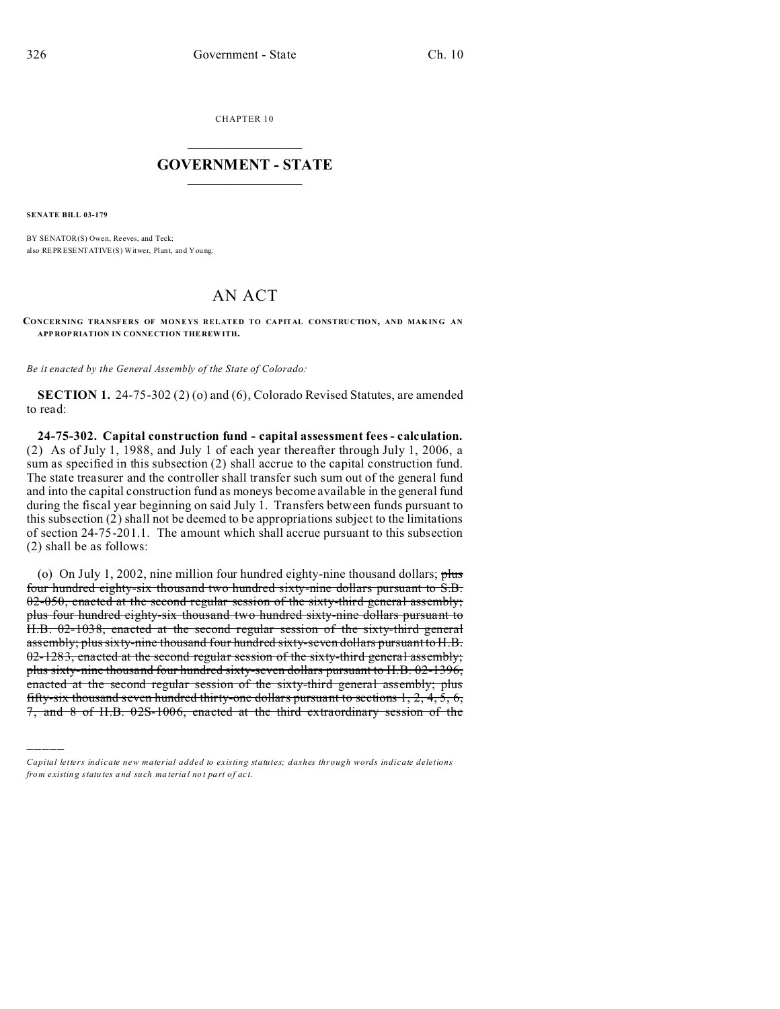CHAPTER 10  $\overline{\phantom{a}}$  , where  $\overline{\phantom{a}}$ 

### **GOVERNMENT - STATE**  $\_$   $\_$   $\_$   $\_$   $\_$   $\_$   $\_$   $\_$   $\_$

**SENATE BILL 03-179**

)))))

BY SENATOR(S) Owen, Reeves, and Teck; also REPRESENTATIVE(S) Witwer, Plant, and You ng.

## AN ACT

**CONCERNING TRANSFERS OF MONEYS RELATED TO CAPITAL CONSTRUCTION, AND MAKING AN APP ROP RIATION IN CONNE CTION THE REW ITH.**

*Be it enacted by the General Assembly of the State of Colorado:*

**SECTION 1.** 24-75-302 (2) (o) and (6), Colorado Revised Statutes, are amended to read:

**24-75-302. Capital construction fund - capital assessment fees - calculation.** (2) As of July 1, 1988, and July 1 of each year thereafter through July 1, 2006, a sum as specified in this subsection (2) shall accrue to the capital construction fund. The state treasurer and the controller shall transfer such sum out of the general fund and into the capital construction fund as moneys become available in the general fund during the fiscal year beginning on said July 1. Transfers between funds pursuant to this subsection (2) shall not be deemed to be appropriations subject to the limitations of section 24-75-201.1. The amount which shall accrue pursuant to this subsection (2) shall be as follows:

(o) On July 1, 2002, nine million four hundred eighty-nine thousand dollars;  $plus$ four hundred eighty-six thousand two hundred sixty-nine dollars pursuant to S.B. 02-050, enacted at the second regular session of the sixty-third general assembly; plus four hundred eighty-six thousand two hundred sixty-nine dollars pursuant to H.B. 02-1038, enacted at the second regular session of the sixty-third general assembly; plus sixty-nine thousand four hundred sixty-seven dollars pursuant to H.B. 02-1283, enacted at the second regular session of the sixty-third general assembly; plus sixty-nine thousand four hundred sixty-seven dollars pursuant to H.B. 02-1396, enacted at the second regular session of the sixty-third general assembly; plus fifty-six thousand seven hundred thirty-one dollars pursuant to sections  $1, 2, 4, 5, 6$ , 7, and 8 of H.B. 02S-1006, enacted at the third extraordinary session of the

*Capital letters indicate new material added to existing statutes; dashes through words indicate deletions from e xistin g statu tes a nd such ma teria l no t pa rt of ac t.*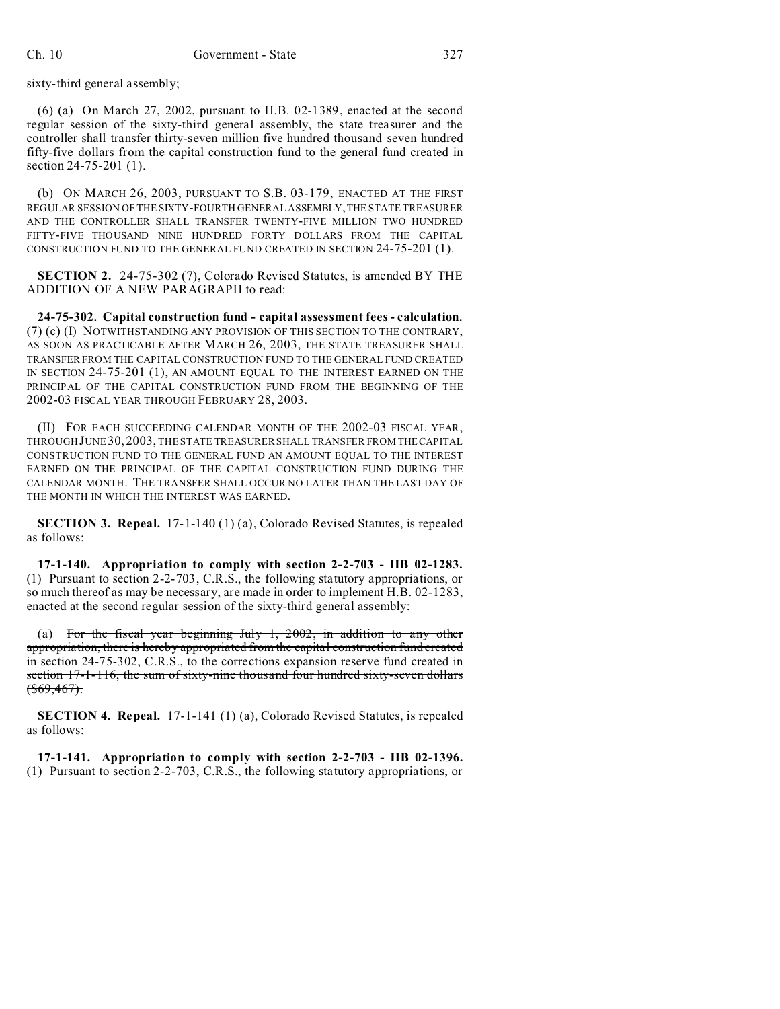sixty-third general assembly;

(6) (a) On March 27, 2002, pursuant to H.B. 02-1389, enacted at the second regular session of the sixty-third general assembly, the state treasurer and the controller shall transfer thirty-seven million five hundred thousand seven hundred fifty-five dollars from the capital construction fund to the general fund created in section 24-75-201 (1).

(b) ON MARCH 26, 2003, PURSUANT TO S.B. 03-179, ENACTED AT THE FIRST REGULAR SESSION OF THE SIXTY-FOURTH GENERAL ASSEMBLY,THE STATE TREASURER AND THE CONTROLLER SHALL TRANSFER TWENTY-FIVE MILLION TWO HUNDRED FIFTY-FIVE THOUSAND NINE HUNDRED FORTY DOLLARS FROM THE CAPITAL CONSTRUCTION FUND TO THE GENERAL FUND CREATED IN SECTION 24-75-201 (1).

**SECTION 2.** 24-75-302 (7), Colorado Revised Statutes, is amended BY THE ADDITION OF A NEW PARAGRAPH to read:

**24-75-302. Capital construction fund - capital assessment fees - calculation.** (7) (c) (I) NOTWITHSTANDING ANY PROVISION OF THIS SECTION TO THE CONTRARY, AS SOON AS PRACTICABLE AFTER MARCH 26, 2003, THE STATE TREASURER SHALL TRANSFER FROM THE CAPITAL CONSTRUCTION FUND TO THE GENERAL FUND CREATED IN SECTION 24-75-201 (1), AN AMOUNT EQUAL TO THE INTEREST EARNED ON THE PRINCIPAL OF THE CAPITAL CONSTRUCTION FUND FROM THE BEGINNING OF THE 2002-03 FISCAL YEAR THROUGH FEBRUARY 28, 2003.

(II) FOR EACH SUCCEEDING CALENDAR MONTH OF THE 2002-03 FISCAL YEAR, THROUGHJUNE 30, 2003, THE STATE TREASURER SHALL TRANSFER FROM THE CAPITAL CONSTRUCTION FUND TO THE GENERAL FUND AN AMOUNT EQUAL TO THE INTEREST EARNED ON THE PRINCIPAL OF THE CAPITAL CONSTRUCTION FUND DURING THE CALENDAR MONTH. THE TRANSFER SHALL OCCUR NO LATER THAN THE LAST DAY OF THE MONTH IN WHICH THE INTEREST WAS EARNED.

**SECTION 3. Repeal.** 17-1-140 (1) (a), Colorado Revised Statutes, is repealed as follows:

**17-1-140. Appropriation to comply with section 2-2-703 - HB 02-1283.** (1) Pursuant to section 2-2-703, C.R.S., the following statutory appropriations, or so much thereof as may be necessary, are made in order to implement H.B. 02-1283, enacted at the second regular session of the sixty-third general assembly:

(a) For the fiscal year beginning July 1, 2002, in addition to any other appropriation, there is hereby appropriated from the capital construction fund created in section 24-75-302, C.R.S., to the corrections expansion reserve fund created in section 17-1-116, the sum of sixty-nine thousand four hundred sixty-seven dollars  $$(\$69,467)$$ 

**SECTION 4. Repeal.** 17-1-141 (1) (a), Colorado Revised Statutes, is repealed as follows:

**17-1-141. Appropriation to comply with section 2-2-703 - HB 02-1396.** (1) Pursuant to section 2-2-703, C.R.S., the following statutory appropriations, or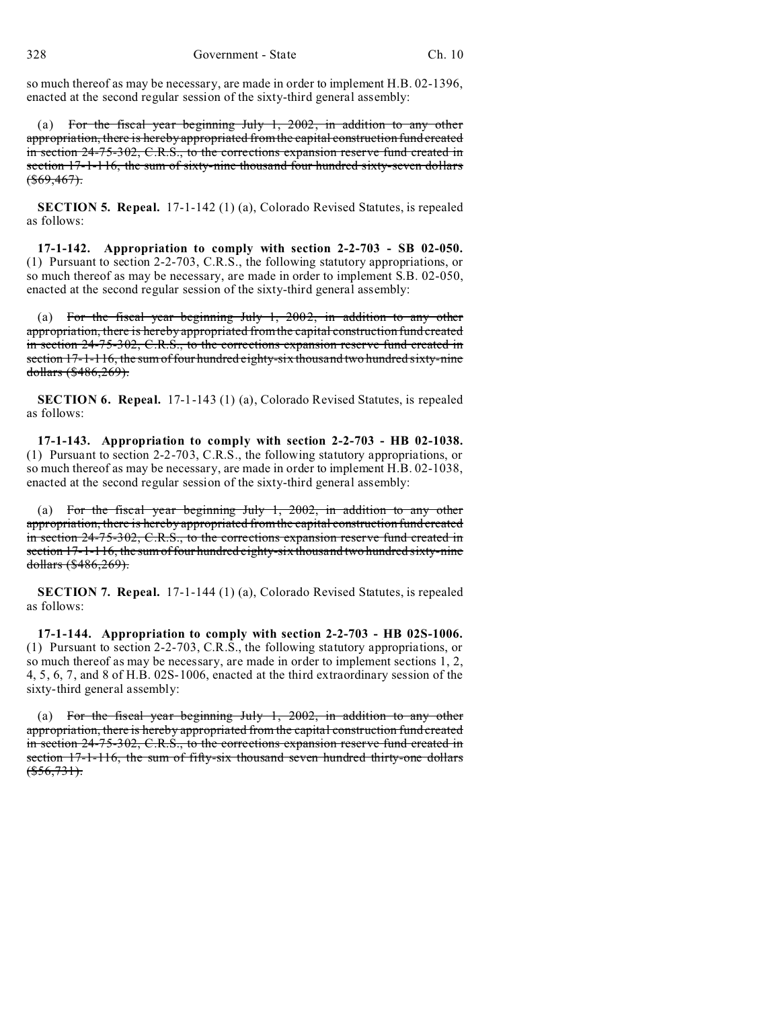so much thereof as may be necessary, are made in order to implement H.B. 02-1396, enacted at the second regular session of the sixty-third general assembly:

(a) For the fiscal year beginning July 1, 2002, in addition to any other appropriation, there is hereby appropriated from the capital construction fund created in section 24-75-302, C.R.S., to the corrections expansion reserve fund created in section 17-1-116, the sum of sixty-nine thousand four hundred sixty-seven dollars  $$(\$69,467)$$ 

**SECTION 5. Repeal.** 17-1-142 (1) (a), Colorado Revised Statutes, is repealed as follows:

**17-1-142. Appropriation to comply with section 2-2-703 - SB 02-050.** (1) Pursuant to section 2-2-703, C.R.S., the following statutory appropriations, or so much thereof as may be necessary, are made in order to implement S.B. 02-050, enacted at the second regular session of the sixty-third general assembly:

(a) For the fiscal year beginning July 1, 2002, in addition to any other appropriation, there is hereby appropriated from the capital construction fund created in section 24-75-302, C.R.S., to the corrections expansion reserve fund created in section 17-1-116, the sum of four hundred eighty-six thousand two hundred sixty-nine dollars (\$486,269).

**SECTION 6. Repeal.** 17-1-143 (1) (a), Colorado Revised Statutes, is repealed as follows:

**17-1-143. Appropriation to comply with section 2-2-703 - HB 02-1038.** (1) Pursuant to section 2-2-703, C.R.S., the following statutory appropriations, or so much thereof as may be necessary, are made in order to implement H.B. 02-1038, enacted at the second regular session of the sixty-third general assembly:

(a) For the fiscal year beginning July 1, 2002, in addition to any other appropriation, there is hereby appropriated from the capital construction fund created in section 24-75-302, C.R.S., to the corrections expansion reserve fund created in section 17-1-116, the sum of four hundred eighty-six thousand two hundred sixty-nine dollars (\$486,269).

**SECTION 7. Repeal.** 17-1-144 (1) (a), Colorado Revised Statutes, is repealed as follows:

**17-1-144. Appropriation to comply with section 2-2-703 - HB 02S-1006.** (1) Pursuant to section 2-2-703, C.R.S., the following statutory appropriations, or so much thereof as may be necessary, are made in order to implement sections 1, 2, 4, 5, 6, 7, and 8 of H.B. 02S-1006, enacted at the third extraordinary session of the sixty-third general assembly:

(a) For the fiscal year beginning July 1, 2002, in addition to any other appropriation, there is hereby appropriated from the capital construction fund created in section 24-75-302, C.R.S., to the corrections expansion reserve fund created in section 17-1-116, the sum of fifty-six thousand seven hundred thirty-one dollars  $(*556,731).$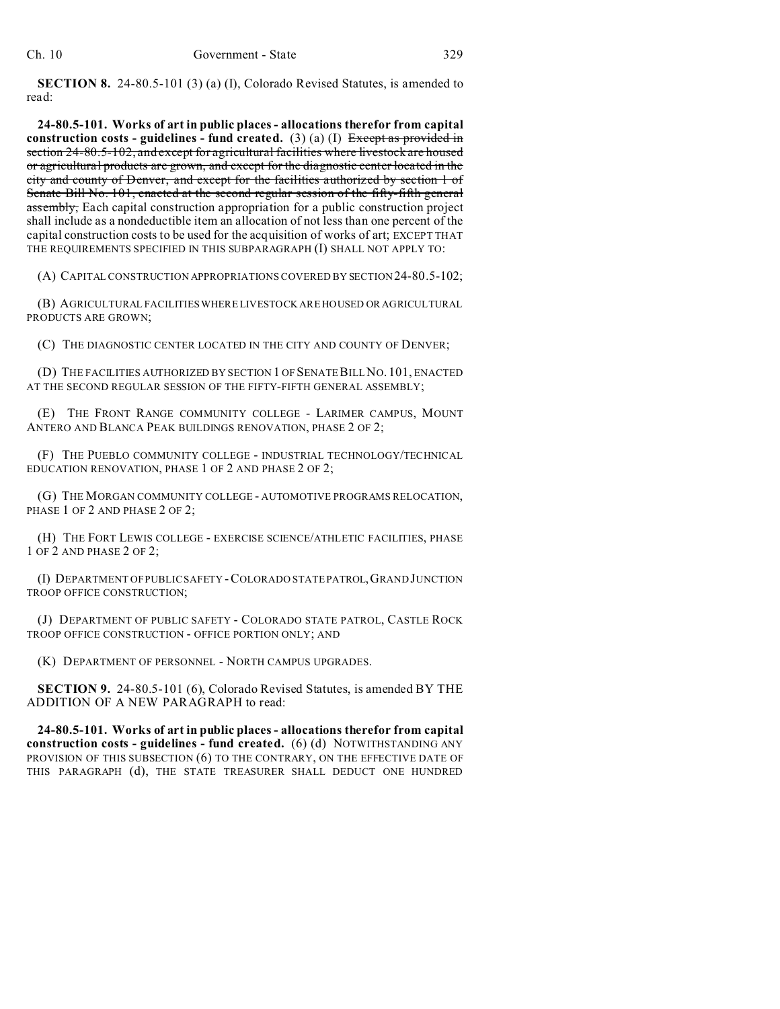**SECTION 8.** 24-80.5-101 (3) (a) (I), Colorado Revised Statutes, is amended to read:

**24-80.5-101. Works of art in public places - allocations therefor from capital construction costs - guidelines - fund created.** (3) (a) (I) Except as provided in section 24-80.5-102, and except for agricultural facilities where livestock are housed or agricultural products are grown, and except for the diagnostic center located in the city and county of Denver, and except for the facilities authorized by section 1 of Senate Bill No. 101, enacted at the second regular session of the fifty-fifth general assembly, Each capital construction appropriation for a public construction project shall include as a nondeductible item an allocation of not less than one percent of the capital construction costs to be used for the acquisition of works of art; EXCEPT THAT THE REQUIREMENTS SPECIFIED IN THIS SUBPARAGRAPH (I) SHALL NOT APPLY TO:

(A) CAPITAL CONSTRUCTION APPROPRIATIONS COVERED BY SECTION 24-80.5-102;

(B) AGRICULTURAL FACILITIES WHERE LIVESTOCK ARE HOUSED OR AGRICULTURAL PRODUCTS ARE GROWN;

(C) THE DIAGNOSTIC CENTER LOCATED IN THE CITY AND COUNTY OF DENVER;

(D) THE FACILITIES AUTHORIZED BY SECTION 1 OF SENATE BILL NO. 101, ENACTED AT THE SECOND REGULAR SESSION OF THE FIFTY-FIFTH GENERAL ASSEMBLY;

(E) THE FRONT RANGE COMMUNITY COLLEGE - LARIMER CAMPUS, MOUNT ANTERO AND BLANCA PEAK BUILDINGS RENOVATION, PHASE 2 OF 2;

(F) THE PUEBLO COMMUNITY COLLEGE - INDUSTRIAL TECHNOLOGY/TECHNICAL EDUCATION RENOVATION, PHASE 1 OF 2 AND PHASE 2 OF 2;

(G) THE MORGAN COMMUNITY COLLEGE - AUTOMOTIVE PROGRAMS RELOCATION, PHASE 1 OF 2 AND PHASE 2 OF 2;

(H) THE FORT LEWIS COLLEGE - EXERCISE SCIENCE/ATHLETIC FACILITIES, PHASE 1 OF 2 AND PHASE 2 OF 2;

(I) DEPARTMENT OF PUBLIC SAFETY -COLORADO STATE PATROL,GRAND JUNCTION TROOP OFFICE CONSTRUCTION;

(J) DEPARTMENT OF PUBLIC SAFETY - COLORADO STATE PATROL, CASTLE ROCK TROOP OFFICE CONSTRUCTION - OFFICE PORTION ONLY; AND

(K) DEPARTMENT OF PERSONNEL - NORTH CAMPUS UPGRADES.

**SECTION 9.** 24-80.5-101 (6), Colorado Revised Statutes, is amended BY THE ADDITION OF A NEW PARAGRAPH to read:

**24-80.5-101. Works of art in public places - allocations therefor from capital construction costs - guidelines - fund created.** (6) (d) NOTWITHSTANDING ANY PROVISION OF THIS SUBSECTION (6) TO THE CONTRARY, ON THE EFFECTIVE DATE OF THIS PARAGRAPH (d), THE STATE TREASURER SHALL DEDUCT ONE HUNDRED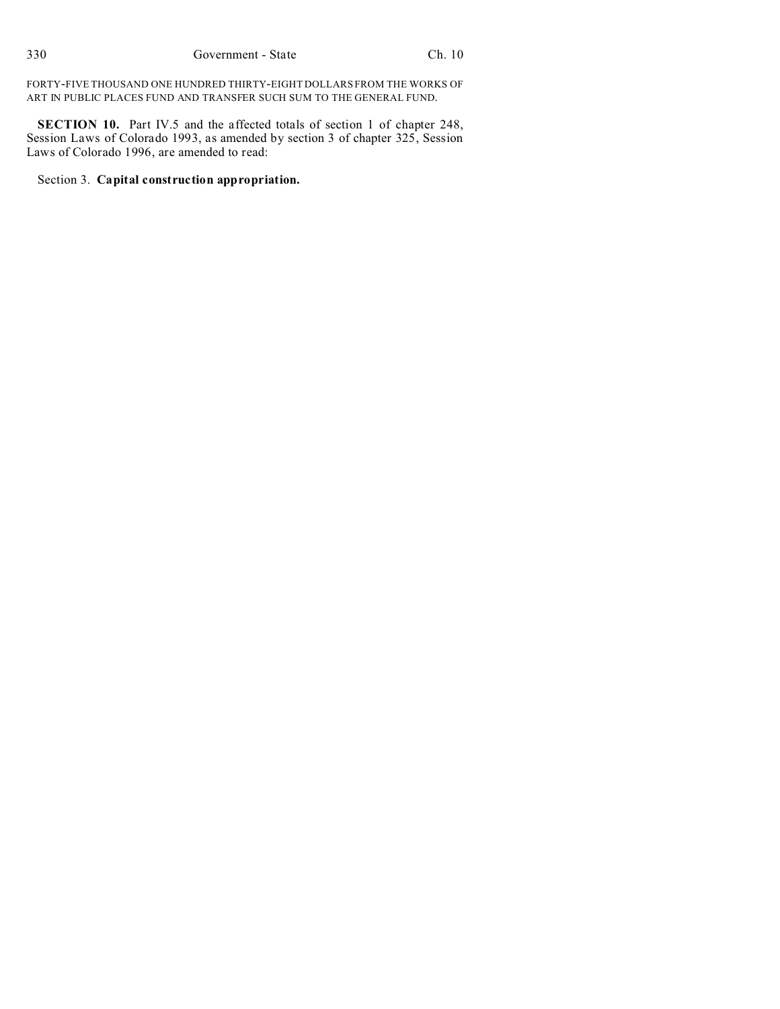FORTY-FIVE THOUSAND ONE HUNDRED THIRTY-EIGHT DOLLARS FROM THE WORKS OF ART IN PUBLIC PLACES FUND AND TRANSFER SUCH SUM TO THE GENERAL FUND.

**SECTION 10.** Part IV.5 and the affected totals of section 1 of chapter 248, Session Laws of Colorado 1993, as amended by section 3 of chapter 325, Session Laws of Colorado 1996, are amended to read:

Section 3. **Capital construction appropriation.**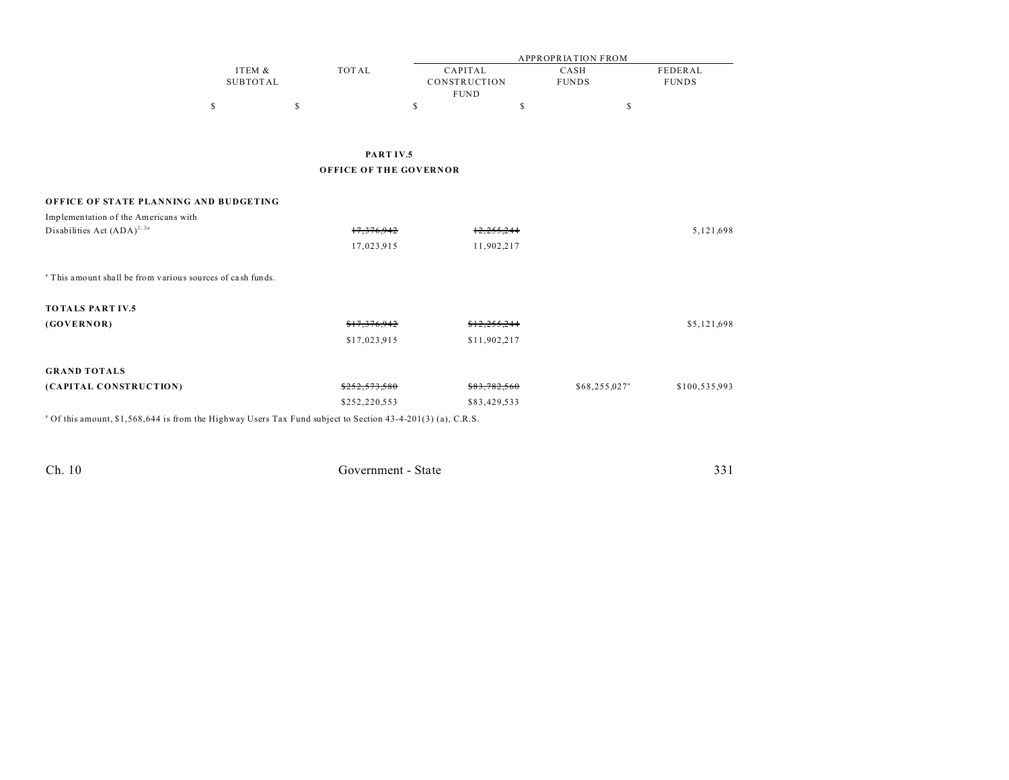|                                                                                                                        |                           |                               |                                        | <b>APPROPRIATION FROM</b> |                         |  |  |  |
|------------------------------------------------------------------------------------------------------------------------|---------------------------|-------------------------------|----------------------------------------|---------------------------|-------------------------|--|--|--|
|                                                                                                                        | ITEM &<br><b>SUBTOTAL</b> | <b>TOTAL</b>                  | CAPITAL<br>CONSTRUCTION<br><b>FUND</b> | CASH<br><b>FUNDS</b>      | FEDERAL<br><b>FUNDS</b> |  |  |  |
|                                                                                                                        | \$                        | \$                            | \$                                     | \$                        | \$                      |  |  |  |
|                                                                                                                        |                           |                               |                                        |                           |                         |  |  |  |
|                                                                                                                        |                           | PARTIV.5                      |                                        |                           |                         |  |  |  |
|                                                                                                                        |                           | <b>OFFICE OF THE GOVERNOR</b> |                                        |                           |                         |  |  |  |
| OFFICE OF STATE PLANNING AND BUDGETING                                                                                 |                           |                               |                                        |                           |                         |  |  |  |
| Implementation of the Americans with                                                                                   |                           |                               |                                        |                           |                         |  |  |  |
| Disabilities Act $(ADA)^{2, 2a}$                                                                                       |                           | 17,376,942                    | 12,233,244                             |                           | 5,121,698               |  |  |  |
|                                                                                                                        |                           | 17,023,915                    | 11,902,217                             |                           |                         |  |  |  |
| <sup>a</sup> This amount shall be from various sources of cash funds.                                                  |                           |                               |                                        |                           |                         |  |  |  |
| <b>TOTALS PART IV.5</b>                                                                                                |                           |                               |                                        |                           |                         |  |  |  |
| (GOVERNOR)                                                                                                             |                           | \$17,376,942                  | \$12,255,244                           |                           | \$5,121,698             |  |  |  |
|                                                                                                                        |                           | \$17,023,915                  | \$11,902,217                           |                           |                         |  |  |  |
| <b>GRAND TOTALS</b>                                                                                                    |                           |                               |                                        |                           |                         |  |  |  |
| (CAPITAL CONSTRUCTION)                                                                                                 |                           | 5252.573.580                  | \$83,782,560                           | $$68,255,027^{\circ}$$    | \$100,535,993           |  |  |  |
|                                                                                                                        |                           | \$252,220,553                 | \$83,429,533                           |                           |                         |  |  |  |
| <sup>a</sup> Of this amount, \$1,568,644 is from the Highway Users Tax Fund subject to Section 43-4-201(3) (a), C.R.S. |                           |                               |                                        |                           |                         |  |  |  |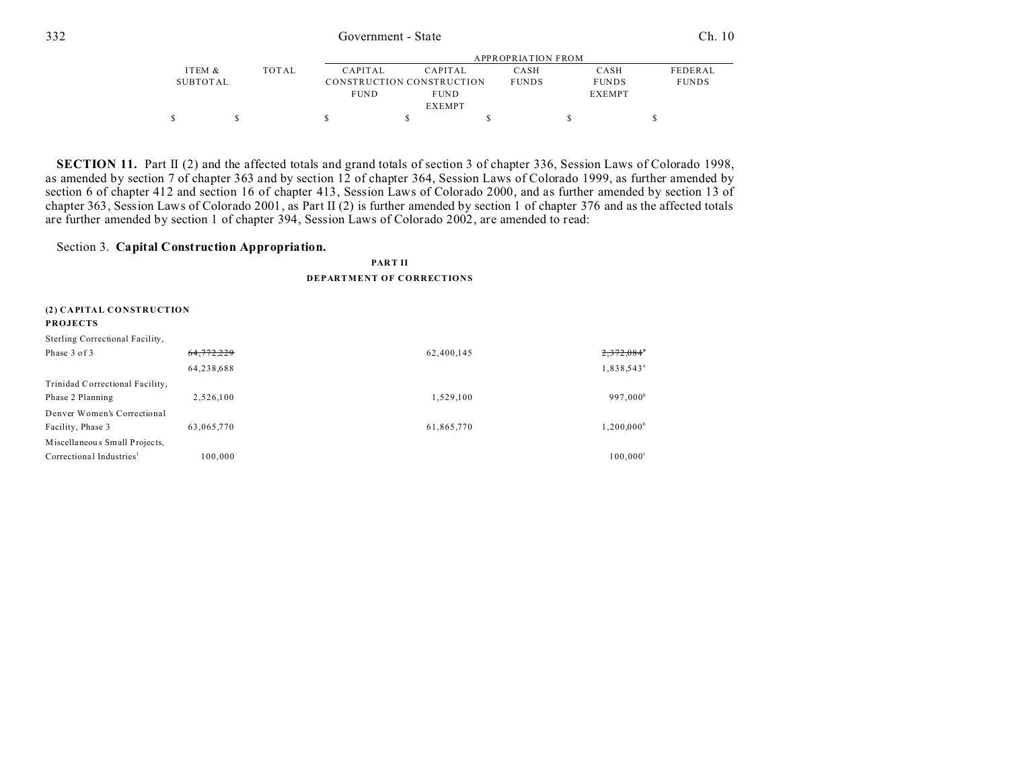|          |       |                |                           | APPROPRIATION FROM |               |                |
|----------|-------|----------------|---------------------------|--------------------|---------------|----------------|
| ITEM &   | TOTAL | <b>CAPITAL</b> | CAPITAL                   | CASH               | CASH          | <b>FEDERAL</b> |
| SUBTOTAL |       |                | CONSTRUCTION CONSTRUCTION | <b>FUNDS</b>       | <b>FUNDS</b>  | <b>FUNDS</b>   |
|          |       | <b>FUND</b>    | <b>FUND</b>               |                    | <b>EXEMPT</b> |                |
|          |       |                | <b>EXEMPT</b>             |                    |               |                |
|          |       |                |                           |                    |               |                |

**SECTION 11.** Part II (2) and the affected totals and grand totals of section 3 of chapter 336, Session Laws of Colorado 1998, as amended by section 7 of chapter 363 and by section 12 of chapter 364, Session Laws of Colorado 1999, as further amended by section 6 of chapter 412 and section 16 of chapter 413, Session Laws of Colorado 2000, and as further amended by section 13 of chapter 363, Session Laws of Colorado 2001, as Part II (2) is further amended by section 1 of chapter 376 and as the affected totals are further amended by section 1 of chapter 394, Session Laws of Colorado 2002, are amended to read:

### Section 3. **Capital Construction Appropriation.**

#### **PART II**

### **DEPARTMENT OF CORRECTIONS**

| (2) CAPITAL CONSTRUCTION<br><b>PROJECTS</b> |            |            |                          |
|---------------------------------------------|------------|------------|--------------------------|
| Sterling Correctional Facility,             |            |            |                          |
| Phase 3 of 3                                | 64,772,229 | 62,400,145 | $2,372,084$ <sup>*</sup> |
|                                             | 64,238,688 |            | 1,838,543 <sup>ª</sup>   |
| Trinidad Correctional Facility,             |            |            |                          |
| Phase 2 Planning                            | 2,526,100  | 1,529,100  | 997,000 <sup>b</sup>     |
| Denver Women's Correctional                 |            |            |                          |
| Facility, Phase 3                           | 63.065.770 | 61,865,770 | $1,200,000^b$            |
| Miscellaneous Small Projects,               |            |            |                          |
| Correctional Industries <sup>1</sup>        | 100.000    |            | $100,000^{\circ}$        |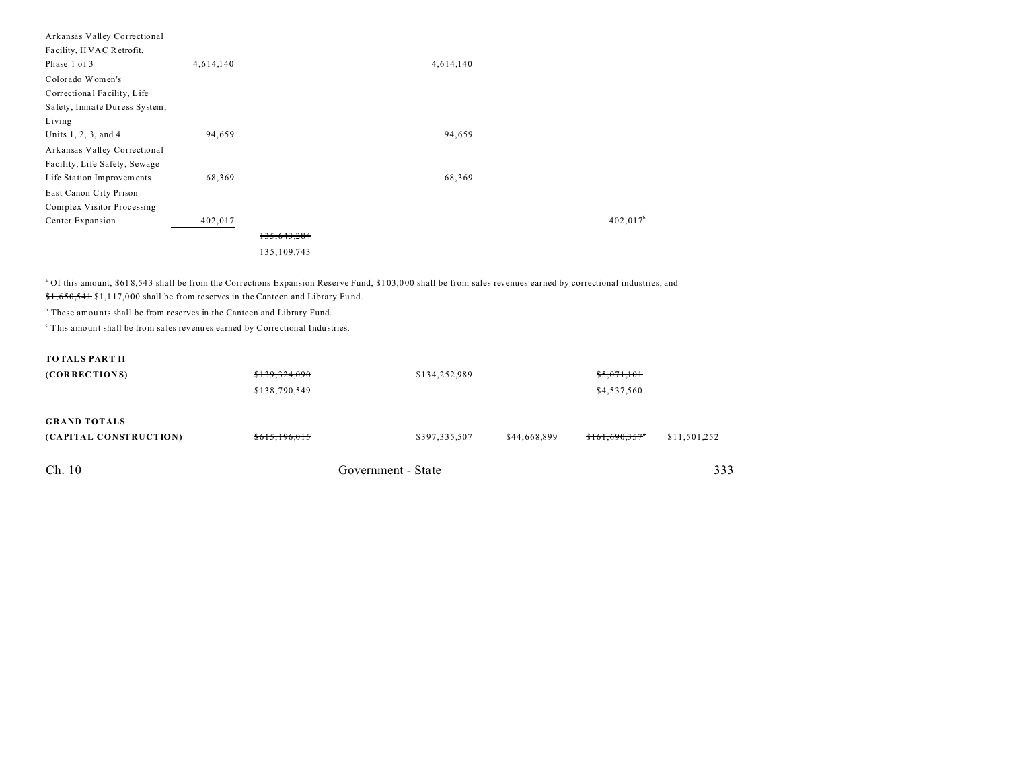| Arkansas Valley Correctional  |           |             |
|-------------------------------|-----------|-------------|
| Facility, HVAC Retrofit,      |           |             |
| Phase 1 of 3                  | 4,614,140 | 4,614,140   |
| Colorado Women's              |           |             |
| Correctional Facility, Life   |           |             |
| Safety, Inmate Duress System, |           |             |
| Living                        |           |             |
| Units 1, 2, 3, and 4          | 94,659    | 94,659      |
| Arkansas Valley Correctional  |           |             |
| Facility, Life Safety, Sewage |           |             |
| Life Station Improvements     | 68,369    | 68,369      |
| East Canon City Prison        |           |             |
| Complex Visitor Processing    |           |             |
| Center Expansion              | 402,017   | $402,017^b$ |
|                               |           | 135,643,284 |
|                               |           | 135,109,743 |

<sup>a</sup> Of this amount, \$618,543 shall be from the Corrections Expansion Reserve Fund, \$103,000 shall be from sales revenues earned by correctional industries, and \$1,650,541 \$1,1 17,0 00 shall be from reserves in the Canteen and Library Fu nd.

<sup>b</sup> These amounts shall be from reserves in the Canteen and Library Fund.

c This amount shall be from sa les revenues earned by Correctional Indu stries.

| <b>TOTALS PART II</b>                         |               |                    |              |                |              |  |
|-----------------------------------------------|---------------|--------------------|--------------|----------------|--------------|--|
| (CORRECTIONS)                                 | \$139,324,090 | \$134,252,989      |              | \$5,071,101    |              |  |
|                                               | \$138,790,549 |                    |              | \$4,537,560    |              |  |
| <b>GRAND TOTALS</b><br>(CAPITAL CONSTRUCTION) | \$615,196,015 | \$397,335,507      | \$44,668,899 | \$161,690,357" | \$11,501,252 |  |
| Ch. 10                                        |               | Government - State |              |                | 333          |  |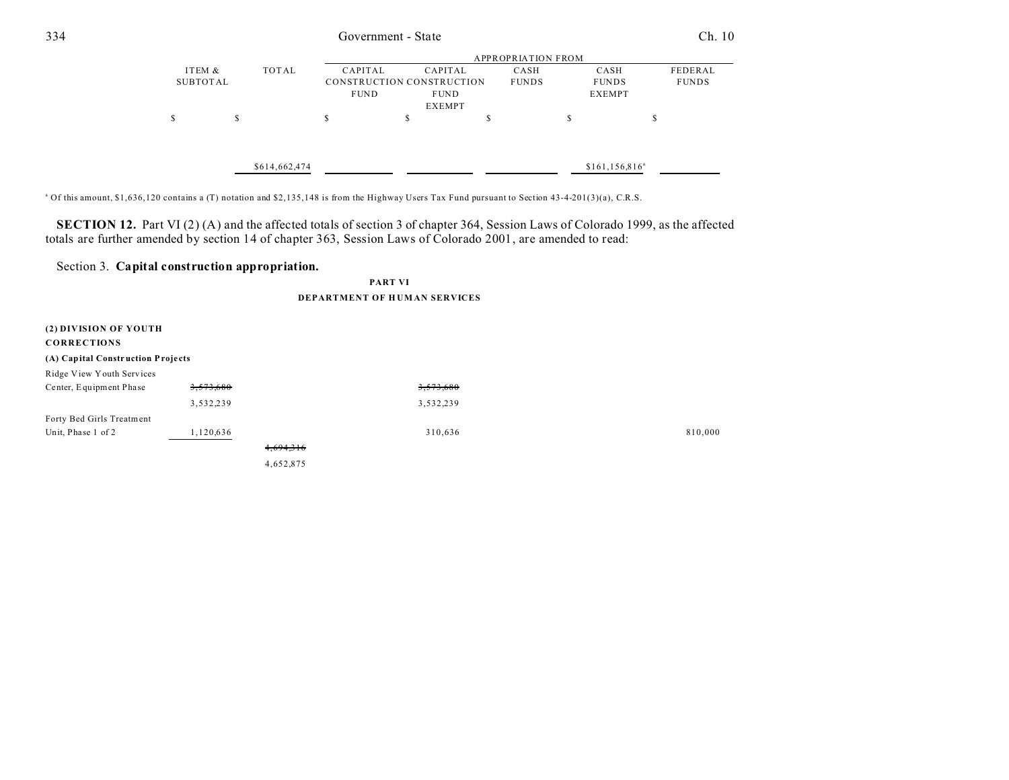| 334 |          | Government - State |                           |             |                           |              |                    |              |
|-----|----------|--------------------|---------------------------|-------------|---------------------------|--------------|--------------------|--------------|
|     |          |                    | <b>APPROPRIATION FROM</b> |             |                           |              |                    |              |
|     | ITEM &   |                    | TOTAL                     | CAPITAL     | CAPITAL                   | CASH         | CASH               | FEDERAL      |
|     | SUBTOTAL |                    |                           |             | CONSTRUCTION CONSTRUCTION | <b>FUNDS</b> | <b>FUNDS</b>       | <b>FUNDS</b> |
|     |          |                    |                           | <b>FUND</b> | <b>FUND</b>               |              | <b>EXEMPT</b>      |              |
|     |          |                    |                           |             | <b>EXEMPT</b>             |              |                    |              |
|     | S        | S                  |                           | \$          | ch<br>ъ                   | \$           | <sup>\$</sup>      | S            |
|     |          |                    |                           |             |                           |              |                    |              |
|     |          |                    |                           |             |                           |              |                    |              |
|     |          |                    | \$614,662,474             |             |                           |              | $$161, 156, 816^a$ |              |

<sup>a</sup> Of this amount, \$1,636,120 contains a (T) notation and \$2,135,148 is from the Highway Users Tax Fund pursuant to Section 43-4-201(3)(a), C.R.S.

**SECTION 12.** Part VI (2) (A) and the affected totals of section 3 of chapter 364, Session Laws of Colorado 1999, as the affected totals are further amended by section 14 of chapter 363, Session Laws of Colorado 2001, are amended to read:

## Section 3. **Capital construction appropriation.**

#### **PART VI**

#### **DEPARTMENT OF H UM AN SERVICES**

| (2) DIVISION OF YOUTH<br><b>CORRECTIONS</b> |           |           |         |
|---------------------------------------------|-----------|-----------|---------|
| (A) Capital Construction Projects           |           |           |         |
| Ridge View Youth Services                   |           |           |         |
| Center, Equipment Phase                     | 3,573,680 | 3,573,680 |         |
|                                             | 3,532,239 | 3,532,239 |         |
| Forty Bed Girls Treatment                   |           |           |         |
| Unit, Phase 1 of 2                          | 1,120,636 | 310,636   | 810,000 |
|                                             |           | 4,694,316 |         |
|                                             |           | 4,652,875 |         |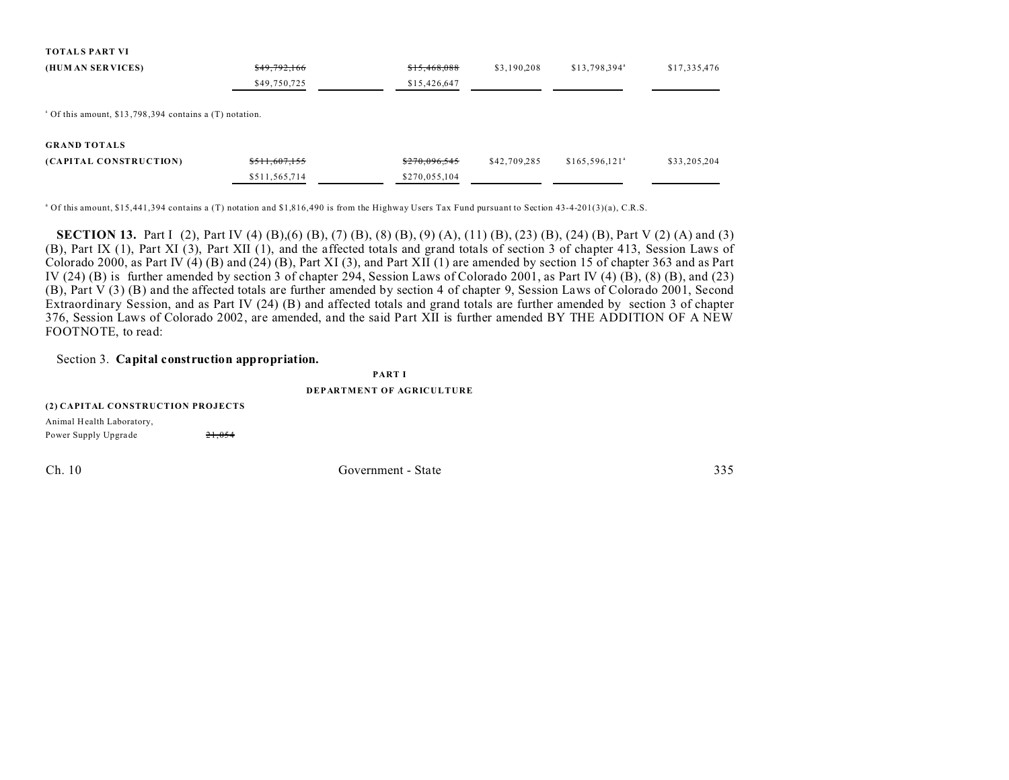| <b>TOTALS PART VI</b>                                              |               |               |              |                           |              |
|--------------------------------------------------------------------|---------------|---------------|--------------|---------------------------|--------------|
| (HUM AN SERVICES)                                                  | \$49,792,166  | \$15,468,088  | \$3,190,208  | \$13,798,394 <sup>a</sup> | \$17,335,476 |
|                                                                    | \$49,750,725  | \$15,426,647  |              |                           |              |
| <sup>8</sup> Of this amount, \$13,798,394 contains a (T) notation. |               |               |              |                           |              |
| <b>GRAND TOTALS</b>                                                |               |               |              |                           |              |
| (CAPITAL CONSTRUCTION)                                             | \$511,607,155 | \$270,096,545 | \$42,709,285 | $$165,596,121^a$          | \$33,205,204 |
|                                                                    | \$511,565,714 | \$270,055,104 |              |                           |              |
|                                                                    |               |               |              |                           |              |

<sup>a</sup> Of this amount, \$15,441,394 contains a (T) notation and \$1,816,490 is from the Highway Users Tax Fund pursuant to Section 43-4-201(3)(a), C.R.S.

**SECTION 13.** Part I (2), Part IV (4) (B), (6) (B), (7) (B), (8) (B), (9) (A), (11) (B), (23) (B), (24) (B), Part V (2) (A) and (3) (B), Part IX (1), Part XI (3), Part XII (1), and the affected totals and grand totals of section 3 of chapter 413, Session Laws of Colorado 2000, as Part IV  $(4)$  (B) and  $(24)$  (B), Part XI (3), and Part XII (1) are amended by section 15 of chapter 363 and as Part IV (24) (B) is further amended by section 3 of chapter 294, Session Laws of Colorado 2001, as Part IV (4) (B), (8) (B), and (23) (B), Part V (3) (B) and the affected totals are further amended by section 4 of chapter 9, Session Laws of Colorado 2001, Second Extraordinary Session, and as Part IV (24) (B) and affected totals and grand totals are further amended by section 3 of chapter 376, Session Laws of Colorado 2002, are amended, and the said Part XII is further amended BY THE ADDITION OF A NEW FOOTNOTE, to read:

Section 3. **Capital construction appropriation.**

**PART I**

#### **DEPARTMENT OF AGRICULTURE**

| (2) CAPITAL CONSTRUCTION PROJECTS |        |
|-----------------------------------|--------|
| Animal Health Laboratory,         |        |
| Power Supply Upgrade              | 21.054 |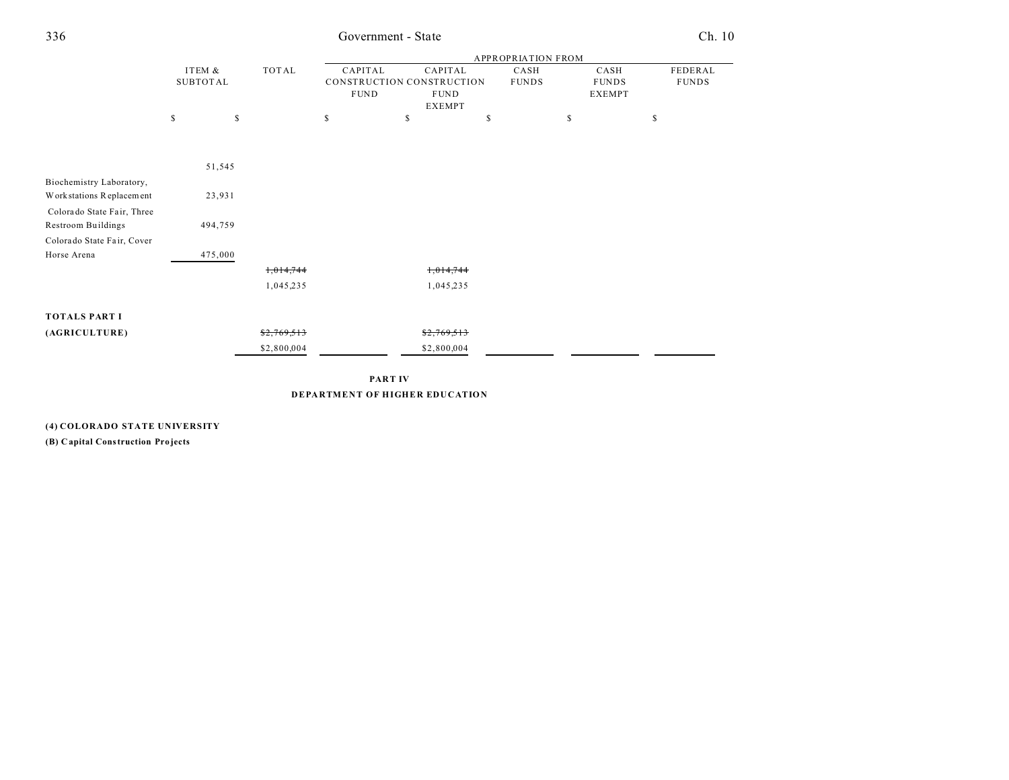| ×<br>۰. | ۰.<br>× | I<br>×<br>٧ |
|---------|---------|-------------|

## 336 Government - State Ch. 10

|                            |                 |         |             | <b>APPROPRIATION FROM</b> |                           |              |               |              |  |
|----------------------------|-----------------|---------|-------------|---------------------------|---------------------------|--------------|---------------|--------------|--|
|                            | ITEM &          |         | TOTAL       | CAPITAL                   | CAPITAL                   | CASH         | CASH          | FEDERAL      |  |
|                            | <b>SUBTOTAL</b> |         |             |                           | CONSTRUCTION CONSTRUCTION | <b>FUNDS</b> | <b>FUNDS</b>  | <b>FUNDS</b> |  |
|                            |                 |         |             | <b>FUND</b>               | <b>FUND</b>               |              | <b>EXEMPT</b> |              |  |
|                            |                 |         |             |                           | <b>EXEMPT</b>             |              |               |              |  |
|                            | \$              | \$      |             | \$                        | s                         | \$           | \$            | S            |  |
|                            |                 |         |             |                           |                           |              |               |              |  |
|                            |                 |         |             |                           |                           |              |               |              |  |
|                            |                 | 51,545  |             |                           |                           |              |               |              |  |
| Biochemistry Laboratory,   |                 |         |             |                           |                           |              |               |              |  |
| Work stations Replacement  |                 | 23,931  |             |                           |                           |              |               |              |  |
| Colorado State Fair, Three |                 |         |             |                           |                           |              |               |              |  |
| <b>Restroom Buildings</b>  |                 | 494,759 |             |                           |                           |              |               |              |  |
| Colorado State Fair, Cover |                 |         |             |                           |                           |              |               |              |  |
| Horse Arena                |                 | 475,000 |             |                           |                           |              |               |              |  |
|                            |                 |         | 1,014,744   |                           | 1,014,744                 |              |               |              |  |
|                            |                 |         | 1,045,235   |                           | 1,045,235                 |              |               |              |  |
|                            |                 |         |             |                           |                           |              |               |              |  |
|                            |                 |         |             |                           |                           |              |               |              |  |
| <b>TOTALS PART I</b>       |                 |         |             |                           |                           |              |               |              |  |
| (AGRICULTURE)              |                 |         | \$2,769,513 |                           | \$2,769,513               |              |               |              |  |
|                            |                 |         | \$2,800,004 |                           | \$2,800,004               |              |               |              |  |
|                            |                 |         |             |                           |                           |              |               |              |  |

**PART IV DEPARTMENT OF HIGHER EDUCATION**

**(4) COLORADO STATE UNIVERSITY**

**(B) Capital Construction Pro jects**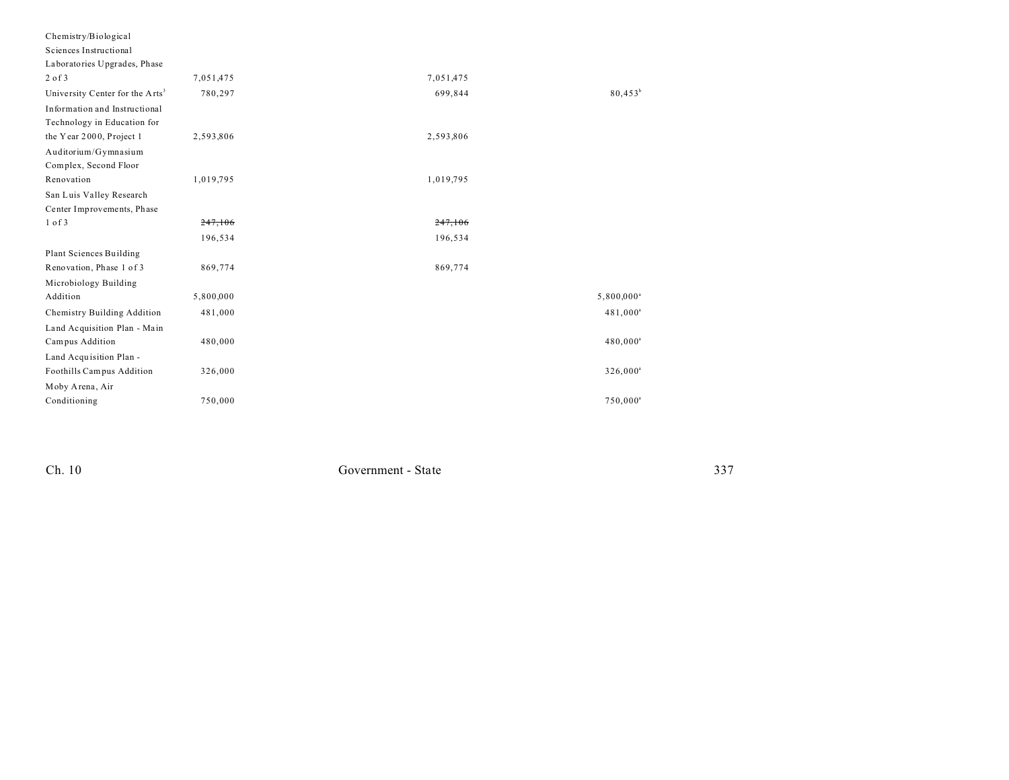| Chemistry/Biological                        |           |           |                        |
|---------------------------------------------|-----------|-----------|------------------------|
| Sciences Instructional                      |           |           |                        |
| Laboratories Upgrades, Phase                |           |           |                        |
| $2$ of $3$                                  | 7,051,475 | 7,051,475 |                        |
| University Center for the Arts <sup>3</sup> | 780,297   | 699,844   | $80,453^b$             |
| Information and Instructional               |           |           |                        |
| Technology in Education for                 |           |           |                        |
| the Year 2000, Project 1                    | 2,593,806 | 2,593,806 |                        |
| Auditorium/Gymnasium                        |           |           |                        |
| Complex, Second Floor                       |           |           |                        |
| Renovation                                  | 1,019,795 | 1,019,795 |                        |
| San Luis Valley Research                    |           |           |                        |
| Center Improvements, Phase                  |           |           |                        |
| $1$ of $3$                                  | 247,106   | 247.106   |                        |
|                                             | 196,534   | 196,534   |                        |
| Plant Sciences Building                     |           |           |                        |
| Renovation, Phase 1 of 3                    | 869,774   | 869,774   |                        |
| Microbiology Building                       |           |           |                        |
| Addition                                    | 5,800,000 |           | 5,800,000 <sup>a</sup> |
| Chemistry Building Addition                 | 481,000   |           | 481,000 <sup>a</sup>   |
| Land Acquisition Plan - Main                |           |           |                        |
| Campus Addition                             | 480,000   |           | 480,000 <sup>a</sup>   |
| Land Acquisition Plan -                     |           |           |                        |
| Foothills Campus Addition                   | 326,000   |           | 326,000 <sup>a</sup>   |
| Moby Arena, Air                             |           |           |                        |
| Conditioning                                | 750,000   |           | $750,000^a$            |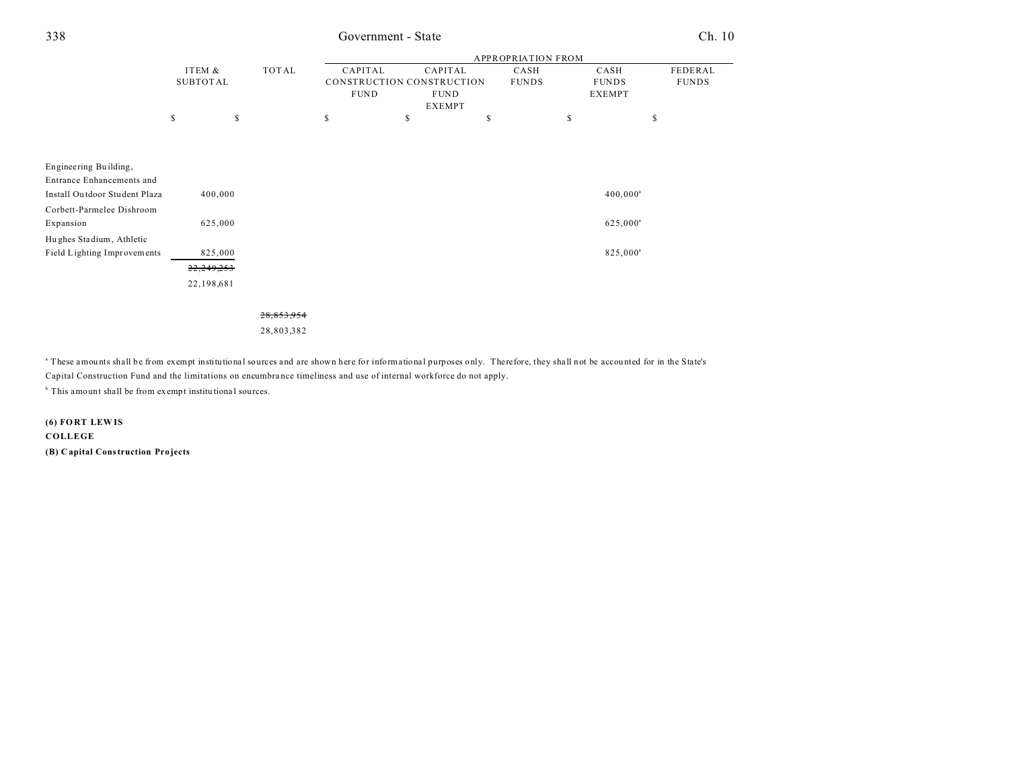## Government - State

|                               |                 |    |            |         |             |                           | <b>APPROPRIATION FROM</b> |                      |              |
|-------------------------------|-----------------|----|------------|---------|-------------|---------------------------|---------------------------|----------------------|--------------|
|                               | ITEM &          |    | TOTAL      | CAPITAL |             | CAPITAL                   | CASH                      | CASH                 | FEDERAL      |
|                               | <b>SUBTOTAL</b> |    |            |         |             | CONSTRUCTION CONSTRUCTION | <b>FUNDS</b>              | <b>FUNDS</b>         | <b>FUNDS</b> |
|                               |                 |    |            |         | <b>FUND</b> | <b>FUND</b>               |                           | <b>EXEMPT</b>        |              |
|                               |                 |    |            |         |             | <b>EXEMPT</b>             |                           |                      |              |
|                               | \$              | \$ |            | \$      | \$          |                           | \$                        | \$<br>S              |              |
|                               |                 |    |            |         |             |                           |                           |                      |              |
|                               |                 |    |            |         |             |                           |                           |                      |              |
| Engineering Building,         |                 |    |            |         |             |                           |                           |                      |              |
| Entrance Enhancements and     |                 |    |            |         |             |                           |                           |                      |              |
| Install Outdoor Student Plaza | 400,000         |    |            |         |             |                           |                           | $400,000^{\circ}$    |              |
| Corbett-Parmelee Dishroom     |                 |    |            |         |             |                           |                           |                      |              |
| Expansion                     | 625,000         |    |            |         |             |                           |                           | 625,000 <sup>a</sup> |              |
| Hughes Stadium, Athletic      |                 |    |            |         |             |                           |                           |                      |              |
| Field Lighting Improvements   | 825,000         |    |            |         |             |                           |                           | 825,000 <sup>a</sup> |              |
|                               | 22,249,253      |    |            |         |             |                           |                           |                      |              |
|                               | 22,198,681      |    |            |         |             |                           |                           |                      |              |
|                               |                 |    |            |         |             |                           |                           |                      |              |
|                               |                 |    | 28,853,954 |         |             |                           |                           |                      |              |

28,803,382

a These amounts shall be from exempt institutional sources and are shown here for informational purposes only. Therefore, they shall not be accounted for in the State's Capital Construction Fund and the limitations on encumbrance timeliness and use of internal workforce do not apply.

<sup>b</sup> This amount shall be from exempt institutional sources.

 $(6)$  FORT LEWIS COLLEGE (B) Capital Construction Projects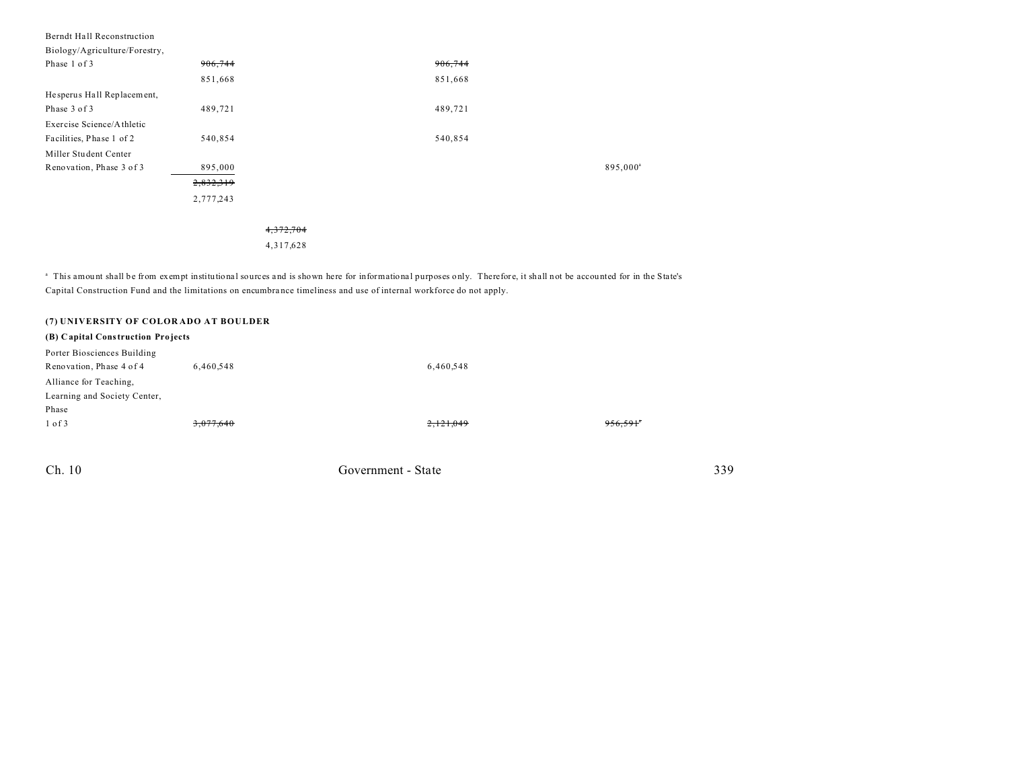| Berndt Hall Reconstruction    |           |           |         |                      |
|-------------------------------|-----------|-----------|---------|----------------------|
| Biology/Agriculture/Forestry, |           |           |         |                      |
| Phase 1 of 3                  | 906,744   |           | 906,744 |                      |
|                               | 851,668   |           | 851,668 |                      |
| Hesperus Hall Replacement,    |           |           |         |                      |
| Phase 3 of 3                  | 489,721   |           | 489,721 |                      |
| Exercise Science/Athletic     |           |           |         |                      |
| Facilities, Phase 1 of 2      | 540,854   |           | 540,854 |                      |
| Miller Student Center         |           |           |         |                      |
| Renovation, Phase 3 of 3      | 895,000   |           |         | 895,000 <sup>a</sup> |
|                               | 2,832,319 |           |         |                      |
|                               | 2,777,243 |           |         |                      |
|                               |           |           |         |                      |
|                               |           | 4,372,704 |         |                      |
|                               |           | 4,317,628 |         |                      |
|                               |           |           |         |                      |

<sup>a</sup> This amount shall be from exempt institutional sources and is shown here for informational purposes only. Therefore, it shall not be accounted for in the State's Capital Construction Fund and the limitations on encumbra nce timeliness and use of internal workforce do not apply.

| (7) UNIVERSITY OF COLORADO AT BOULDER |           |                    |         |     |
|---------------------------------------|-----------|--------------------|---------|-----|
| (B) Capital Construction Projects     |           |                    |         |     |
| Porter Biosciences Building           |           |                    |         |     |
| Renovation, Phase 4 of 4              | 6,460,548 | 6,460,548          |         |     |
| Alliance for Teaching,                |           |                    |         |     |
| Learning and Society Center,          |           |                    |         |     |
| Phase                                 |           |                    |         |     |
| $1$ of $3$                            | 3,077,640 | 2,121,049          | 956,591 |     |
|                                       |           |                    |         |     |
|                                       |           |                    |         |     |
| Ch. 10                                |           | Government - State |         | 339 |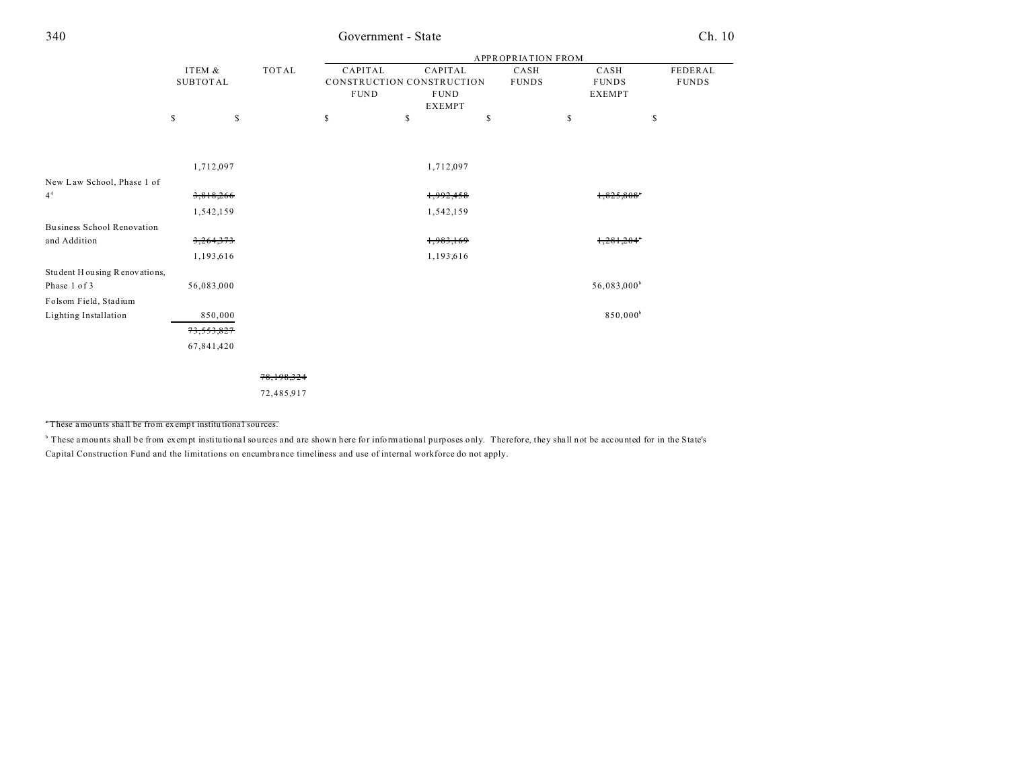| ٦<br>۰.<br>× | ٦<br>×<br>۰, |
|--------------|--------------|

## 340 Government - State Ch. 10

|                                   |            |                 |            | APPROPRIATION FROM |                           |    |              |    |                      |              |  |
|-----------------------------------|------------|-----------------|------------|--------------------|---------------------------|----|--------------|----|----------------------|--------------|--|
|                                   | ITEM &     |                 | TOTAL      | CAPITAL            | CAPITAL                   |    | CASH         |    | CASH                 | FEDERAL      |  |
|                                   |            | <b>SUBTOTAL</b> |            |                    | CONSTRUCTION CONSTRUCTION |    | <b>FUNDS</b> |    | <b>FUNDS</b>         | <b>FUNDS</b> |  |
|                                   |            |                 |            | <b>FUND</b>        | <b>FUND</b>               |    |              |    | <b>EXEMPT</b>        |              |  |
|                                   |            |                 |            | <b>EXEMPT</b>      |                           |    |              |    |                      |              |  |
|                                   | \$         | \$              |            | \$                 | \$                        | \$ |              | \$ | \$                   |              |  |
|                                   |            |                 |            |                    |                           |    |              |    |                      |              |  |
|                                   |            |                 |            |                    |                           |    |              |    |                      |              |  |
|                                   | 1,712,097  |                 |            |                    | 1,712,097                 |    |              |    |                      |              |  |
| New Law School, Phase 1 of        |            |                 |            |                    |                           |    |              |    |                      |              |  |
| 4 <sup>4</sup>                    | 3,818,266  |                 |            |                    | 1,992,458                 |    |              |    | 1,825,808            |              |  |
|                                   | 1,542,159  |                 |            |                    | 1,542,159                 |    |              |    |                      |              |  |
| <b>Business School Renovation</b> |            |                 |            |                    |                           |    |              |    |                      |              |  |
| and Addition                      | 3,264,373  |                 |            |                    | 1,983,169                 |    |              |    | 1,281,204"           |              |  |
|                                   | 1,193,616  |                 |            |                    | 1,193,616                 |    |              |    |                      |              |  |
| Student Housing Renovations,      |            |                 |            |                    |                           |    |              |    |                      |              |  |
| Phase 1 of 3                      | 56,083,000 |                 |            |                    |                           |    |              |    | $56,083,000^{\rm b}$ |              |  |
| Folsom Field, Stadium             |            |                 |            |                    |                           |    |              |    |                      |              |  |
| Lighting Installation             |            | 850,000         |            |                    |                           |    |              |    | 850,000 <sup>b</sup> |              |  |
|                                   | 73,553,827 |                 |            |                    |                           |    |              |    |                      |              |  |
|                                   | 67,841,420 |                 |            |                    |                           |    |              |    |                      |              |  |
|                                   |            |                 |            |                    |                           |    |              |    |                      |              |  |
|                                   |            |                 | 78,198,324 |                    |                           |    |              |    |                      |              |  |
|                                   |            |                 | 72,485,917 |                    |                           |    |              |    |                      |              |  |
|                                   |            |                 |            |                    |                           |    |              |    |                      |              |  |

<sup>a</sup>These amounts shall be from exempt institu tiona l sources.

<sup>b</sup> These amounts shall be from exempt institutional sources and are shown here for informational purposes only. Therefore, they shall not be accounted for in the State's Capital Construction Fund and the limitations on encumbra nce timeliness and use of internal workforce do not apply.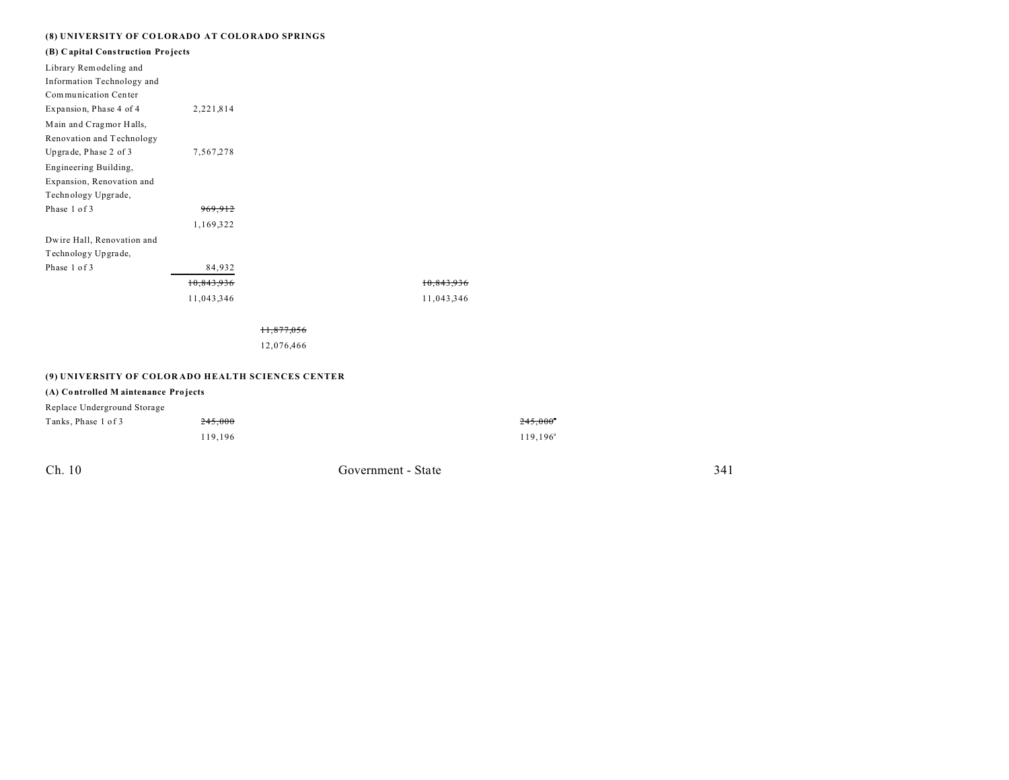### **(8) UNIVERSITY OF CO LORADO AT COLO RADO SPRINGS**

| (B) Capital Construction Projects<br>Library Remodeling and<br>Information Technology and<br>Communication Center<br>Expansion, Phase 4 of 4<br>2,221,814<br>Main and Cragmor Halls,<br>Renovation and Technology<br>Upgrade, Phase 2 of 3<br>7,567,278<br>Engineering Building,<br>Expansion, Renovation and<br>Technology Upgrade, |
|--------------------------------------------------------------------------------------------------------------------------------------------------------------------------------------------------------------------------------------------------------------------------------------------------------------------------------------|
|                                                                                                                                                                                                                                                                                                                                      |
|                                                                                                                                                                                                                                                                                                                                      |
|                                                                                                                                                                                                                                                                                                                                      |
|                                                                                                                                                                                                                                                                                                                                      |
|                                                                                                                                                                                                                                                                                                                                      |
|                                                                                                                                                                                                                                                                                                                                      |
|                                                                                                                                                                                                                                                                                                                                      |
|                                                                                                                                                                                                                                                                                                                                      |
|                                                                                                                                                                                                                                                                                                                                      |
|                                                                                                                                                                                                                                                                                                                                      |
|                                                                                                                                                                                                                                                                                                                                      |
| Phase 1 of 3                                                                                                                                                                                                                                                                                                                         |
| 1,169,322                                                                                                                                                                                                                                                                                                                            |
| Dwire Hall, Renovation and                                                                                                                                                                                                                                                                                                           |
| Technology Up grade,                                                                                                                                                                                                                                                                                                                 |
| Phase 1 of 3<br>84,932                                                                                                                                                                                                                                                                                                               |
| 10.843.936<br><del>10,843,930</del>                                                                                                                                                                                                                                                                                                  |
| 11,043,346<br>11,043,346                                                                                                                                                                                                                                                                                                             |
|                                                                                                                                                                                                                                                                                                                                      |

12,076,466

### **(9) UNIVERSITY OF COLOR ADO HEALTH SCIENCES CENTER**

### **(A) Co ntrolled M aintenance Pro jects**

| Replace Underground Storage |         |                   |  |  |  |  |
|-----------------------------|---------|-------------------|--|--|--|--|
| Tanks, Phase 1 of 3         | 245.000 | $245,000^{\circ}$ |  |  |  |  |
|                             | 119.196 | $119.196^a$       |  |  |  |  |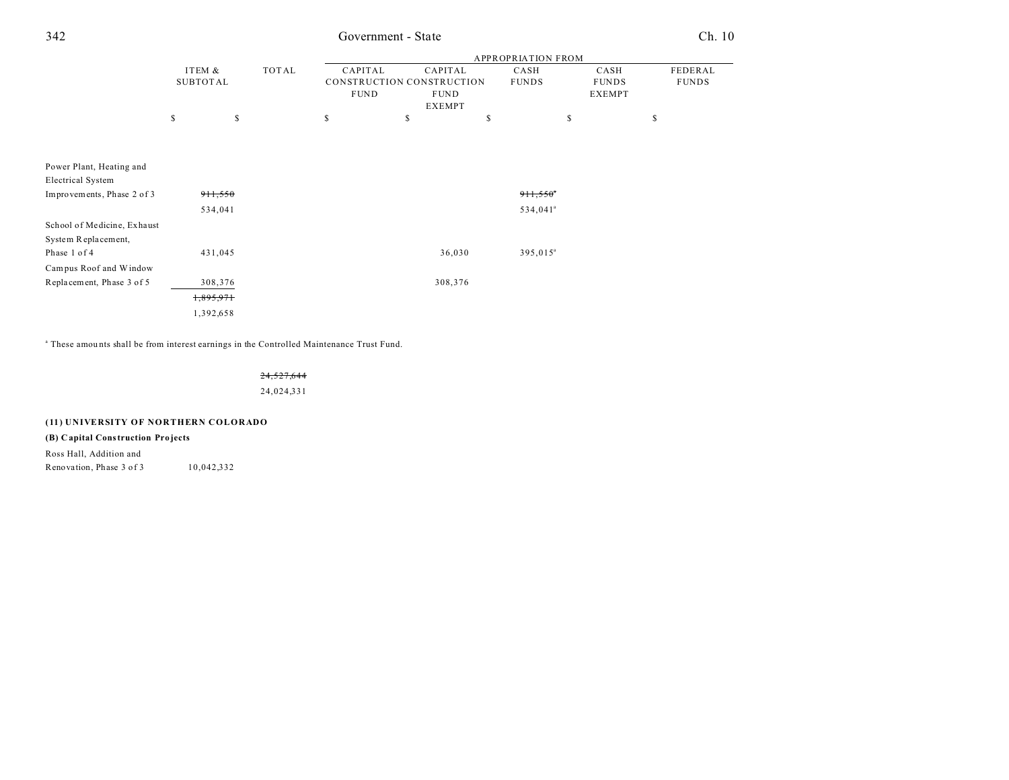## 342 Government - State Ch. 10

|                             |           |                 |       |                           |    |               | <b>APPROPRIATION FROM</b> |               |              |
|-----------------------------|-----------|-----------------|-------|---------------------------|----|---------------|---------------------------|---------------|--------------|
|                             | ITEM &    |                 | TOTAL | CAPITAL                   |    | CAPITAL       | CASH                      | CASH          | FEDERAL      |
|                             |           | <b>SUBTOTAL</b> |       | CONSTRUCTION CONSTRUCTION |    |               | <b>FUNDS</b>              | <b>FUNDS</b>  | <b>FUNDS</b> |
|                             |           |                 |       | <b>FUND</b>               |    | <b>FUND</b>   |                           | <b>EXEMPT</b> |              |
|                             |           |                 |       |                           |    | <b>EXEMPT</b> |                           |               |              |
|                             | \$        | \$              |       | \$                        | \$ |               | \$                        | \$            | \$           |
|                             |           |                 |       |                           |    |               |                           |               |              |
|                             |           |                 |       |                           |    |               |                           |               |              |
| Power Plant, Heating and    |           |                 |       |                           |    |               |                           |               |              |
| <b>Electrical System</b>    |           |                 |       |                           |    |               |                           |               |              |
| Improvements, Phase 2 of 3  |           | 911,550         |       |                           |    |               | 911,550                   |               |              |
|                             |           | 534,041         |       |                           |    |               | 534,041 <sup>ª</sup>      |               |              |
| School of Medicine, Exhaust |           |                 |       |                           |    |               |                           |               |              |
| System Replacement,         |           |                 |       |                           |    |               |                           |               |              |
| Phase 1 of 4                |           | 431,045         |       |                           |    | 36,030        | 395,015 <sup>a</sup>      |               |              |
| Campus Roof and Window      |           |                 |       |                           |    |               |                           |               |              |
| Replacement, Phase 3 of 5   |           | 308,376         |       |                           |    | 308,376       |                           |               |              |
|                             | 1,895,971 |                 |       |                           |    |               |                           |               |              |
|                             | 1,392,658 |                 |       |                           |    |               |                           |               |              |

<sup>a</sup> These amounts shall be from interest earnings in the Controlled Maintenance Trust Fund.

### 24,527,644

24,024,331

### **(11) UNIVERSITY OF NORTHERN COLORADO**

### **(B) Capital Construction Pro jects**

Ross Hall, Addition and Renovation, Phase  $3$  of  $3$  10,042,332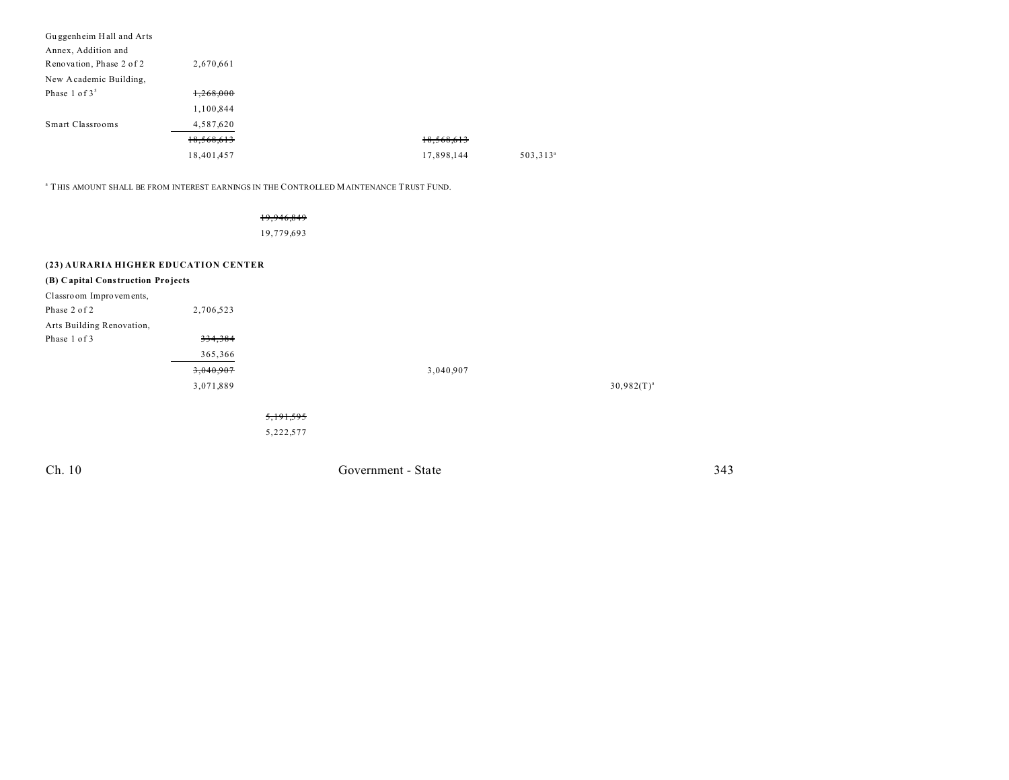| Guggenheim Hall and Arts |            |            |                      |
|--------------------------|------------|------------|----------------------|
| Annex, Addition and      |            |            |                      |
| Renovation, Phase 2 of 2 | 2,670,661  |            |                      |
| New Academic Building,   |            |            |                      |
| Phase 1 of $35$          | 1,268,000  |            |                      |
|                          | 1,100,844  |            |                      |
| Smart Classrooms         | 4,587,620  |            |                      |
|                          | 18,568,613 | 18,568,613 |                      |
|                          | 18,401,457 | 17,898,144 | 503,313 <sup>a</sup> |

a THIS AMOUNT SHALL BE FROM INTEREST EARNINGS IN THE CONTROLLED MAINTENANCE TRUST FUND.

### 19,946,849

19,779,693

| (23) AURARIA HIGHER EDUCATION CENTER |           |           |                    |                 |     |
|--------------------------------------|-----------|-----------|--------------------|-----------------|-----|
| (B) Capital Construction Projects    |           |           |                    |                 |     |
| Classroom Improvements,              |           |           |                    |                 |     |
| Phase 2 of 2                         | 2,706,523 |           |                    |                 |     |
| Arts Building Renovation,            |           |           |                    |                 |     |
| Phase 1 of 3                         | 334,384   |           |                    |                 |     |
|                                      | 365,366   |           |                    |                 |     |
|                                      | 3,040,907 |           | 3,040,907          |                 |     |
|                                      | 3,071,889 |           |                    | $30,982(T)^{a}$ |     |
|                                      |           |           |                    |                 |     |
|                                      |           | 5,191,595 |                    |                 |     |
|                                      |           | 5,222,577 |                    |                 |     |
|                                      |           |           |                    |                 |     |
|                                      |           |           |                    |                 |     |
| Ch. 10                               |           |           | Government - State |                 | 343 |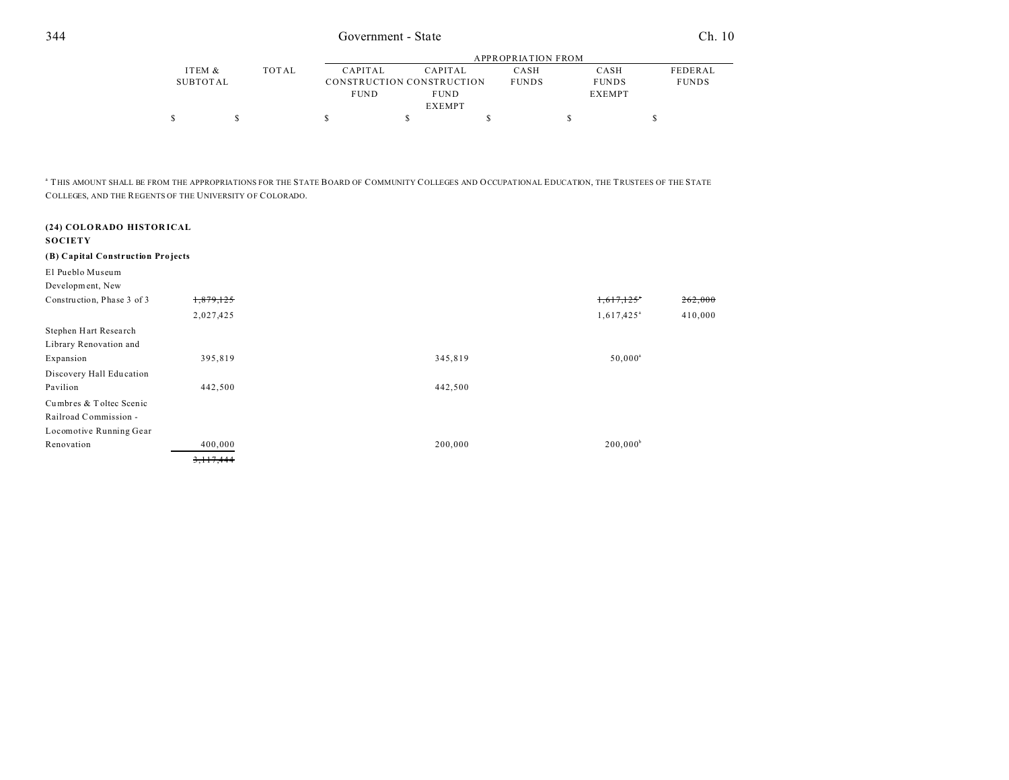|          |       |             | APPROPRIATION FROM        |              |               |                |  |  |  |  |
|----------|-------|-------------|---------------------------|--------------|---------------|----------------|--|--|--|--|
| ITEM &   | TOTAL | CAPITAL     | CAPITAL                   | CASH         | CASH          | <b>FEDERAL</b> |  |  |  |  |
| SUBTOTAL |       |             | CONSTRUCTION CONSTRUCTION | <b>FUNDS</b> | <b>FUNDS</b>  | <b>FUNDS</b>   |  |  |  |  |
|          |       | <b>FUND</b> | <b>FUND</b>               |              | <b>EXEMPT</b> |                |  |  |  |  |
|          |       |             | <b>EXEMPT</b>             |              |               |                |  |  |  |  |
|          |       |             |                           |              |               |                |  |  |  |  |

a THIS AMOUNT SHALL BE FROM THE APPROPRIATIONS FOR THE STATE BOARD OF COMMUNITY COLLEGES AND OCCUPATIONAL EDUCATION, THE TRUSTEES OF THE STATE COLLEGES, AND THE REGENTS OF THE UNIVERSITY OF COLORADO.

| (24) COLORADO HISTORICAL<br><b>SOCIETY</b> |           |         |                          |         |
|--------------------------------------------|-----------|---------|--------------------------|---------|
| (B) Capital Construction Projects          |           |         |                          |         |
| El Pueblo Museum                           |           |         |                          |         |
| Development, New                           |           |         |                          |         |
| Construction, Phase 3 of 3                 | 1,879,125 |         | 1,617,125                | 262,000 |
|                                            | 2,027,425 |         | $1,617,425$ <sup>a</sup> | 410,000 |
| Stephen Hart Research                      |           |         |                          |         |
| Library Renovation and                     |           |         |                          |         |
| Expansion                                  | 395,819   | 345,819 | $50,000^{\circ}$         |         |
| Discovery Hall Education                   |           |         |                          |         |
| Pavilion                                   | 442,500   | 442,500 |                          |         |
| Cumbres & Toltec Scenic                    |           |         |                          |         |
| Railroad Commission -                      |           |         |                          |         |
| Locomotive Running Gear                    |           |         |                          |         |
| Renovation                                 | 400,000   | 200,000 | $200,000^b$              |         |
|                                            | 3,117,444 |         |                          |         |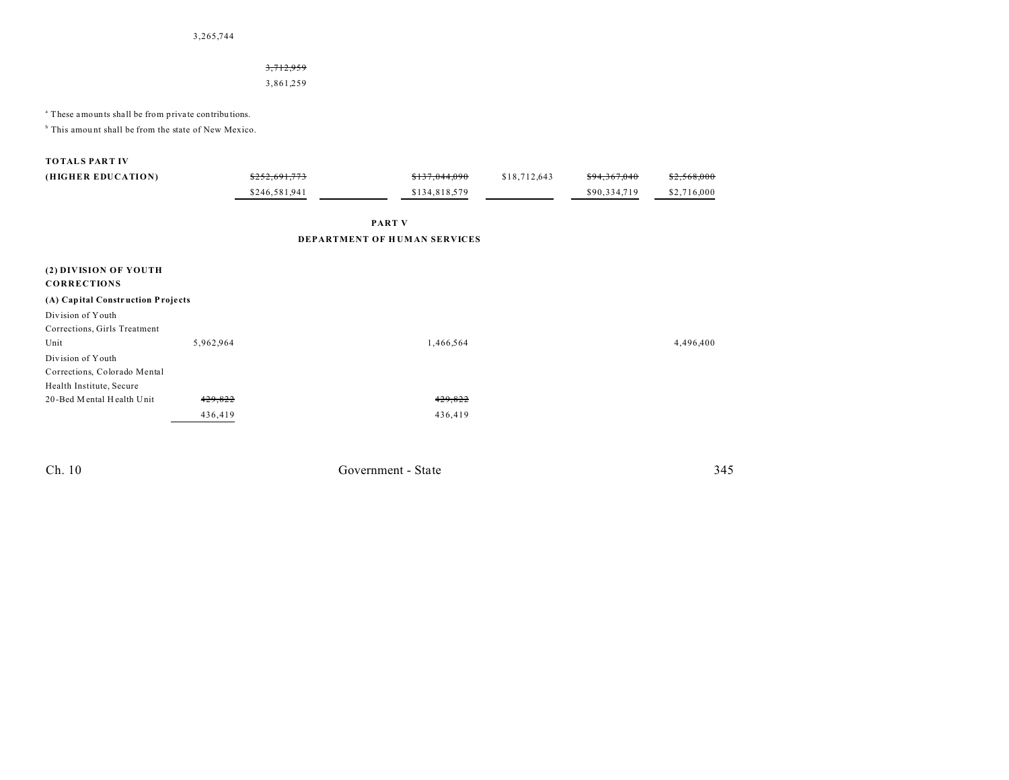3,265,744

### 3,712,959

3,861,259

<sup>a</sup> These amounts shall be from private contributions.

<sup>b</sup> This amount shall be from the state of New Mexico.

### **TOTALS PART IV**

| (HIGHER EDUCATION)                          |           | \$252,691,773 | \$137,044,090                | \$18,712,643 | \$94,367,040 | \$2,568,000 |
|---------------------------------------------|-----------|---------------|------------------------------|--------------|--------------|-------------|
|                                             |           | \$246,581,941 | \$134,818,579                |              | \$90,334,719 | \$2,716,000 |
|                                             |           |               | <b>PART V</b>                |              |              |             |
|                                             |           |               | DEPARTMENT OF HUMAN SERVICES |              |              |             |
| (2) DIVISION OF YOUTH<br><b>CORRECTIONS</b> |           |               |                              |              |              |             |
| (A) Capital Construction Projects           |           |               |                              |              |              |             |
| Division of Youth                           |           |               |                              |              |              |             |
| Corrections, Girls Treatment                |           |               |                              |              |              |             |
| Unit                                        | 5,962,964 |               | 1,466,564                    |              |              | 4,496,400   |
| Division of Youth                           |           |               |                              |              |              |             |
| Corrections, Colorado Mental                |           |               |                              |              |              |             |
| Health Institute, Secure                    |           |               |                              |              |              |             |
| 20-Bed Mental Health Unit                   | 429,822   |               | 429,822                      |              |              |             |
|                                             | 436,419   |               | 436,419                      |              |              |             |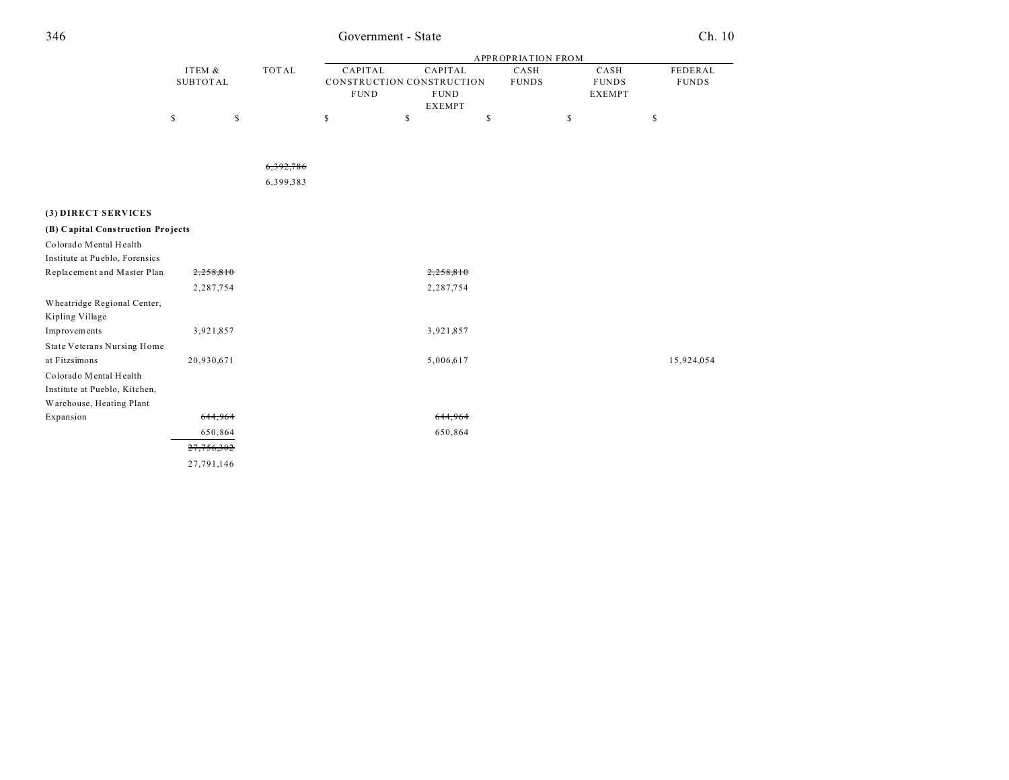## 346 Government - State Ch. 10

|                                   |                 |           | <b>APPROPRIATION FROM</b> |    |                              |    |              |    |               |              |
|-----------------------------------|-----------------|-----------|---------------------------|----|------------------------------|----|--------------|----|---------------|--------------|
|                                   | ITEM &          | TOTAL     | CAPITAL                   |    | CAPITAL                      |    | CASH         |    | CASH          | FEDERAL      |
|                                   | <b>SUBTOTAL</b> |           | CONSTRUCTION CONSTRUCTION |    |                              |    | <b>FUNDS</b> |    | <b>FUNDS</b>  | <b>FUNDS</b> |
|                                   |                 |           | <b>FUND</b>               |    | <b>FUND</b><br><b>EXEMPT</b> |    |              |    | <b>EXEMPT</b> |              |
|                                   | \$              | \$        | \$                        | \$ |                              | \$ |              | \$ |               | \$           |
|                                   |                 |           |                           |    |                              |    |              |    |               |              |
|                                   |                 |           |                           |    |                              |    |              |    |               |              |
|                                   |                 | 6.392.786 |                           |    |                              |    |              |    |               |              |
|                                   |                 | 6,399,383 |                           |    |                              |    |              |    |               |              |
| (3) DIRECT SERVICES               |                 |           |                           |    |                              |    |              |    |               |              |
| (B) Capital Construction Projects |                 |           |                           |    |                              |    |              |    |               |              |
| Colorado Mental Health            |                 |           |                           |    |                              |    |              |    |               |              |
| Institute at Pueblo, Forensics    |                 |           |                           |    |                              |    |              |    |               |              |
| Replacement and Master Plan       | 2,258,810       |           |                           |    | 2,258,810                    |    |              |    |               |              |
|                                   | 2,287,754       |           |                           |    | 2,287,754                    |    |              |    |               |              |
| Wheatridge Regional Center,       |                 |           |                           |    |                              |    |              |    |               |              |
| Kipling Village                   |                 |           |                           |    |                              |    |              |    |               |              |
| Improvements                      | 3,921,857       |           |                           |    | 3,921,857                    |    |              |    |               |              |
| State Veterans Nursing Home       |                 |           |                           |    |                              |    |              |    |               |              |
| at Fitzsimons                     | 20,930,671      |           |                           |    | 5,006,617                    |    |              |    |               | 15,924,054   |
| Colorado Mental Health            |                 |           |                           |    |                              |    |              |    |               |              |
| Institute at Pueblo, Kitchen,     |                 |           |                           |    |                              |    |              |    |               |              |
| Warehouse, Heating Plant          |                 |           |                           |    |                              |    |              |    |               |              |
| Expansion                         | 644,964         |           |                           |    | 644,964                      |    |              |    |               |              |
|                                   | 650,864         |           |                           |    | 650,864                      |    |              |    |               |              |
|                                   | 27,756,302      |           |                           |    |                              |    |              |    |               |              |
|                                   | 27,791,146      |           |                           |    |                              |    |              |    |               |              |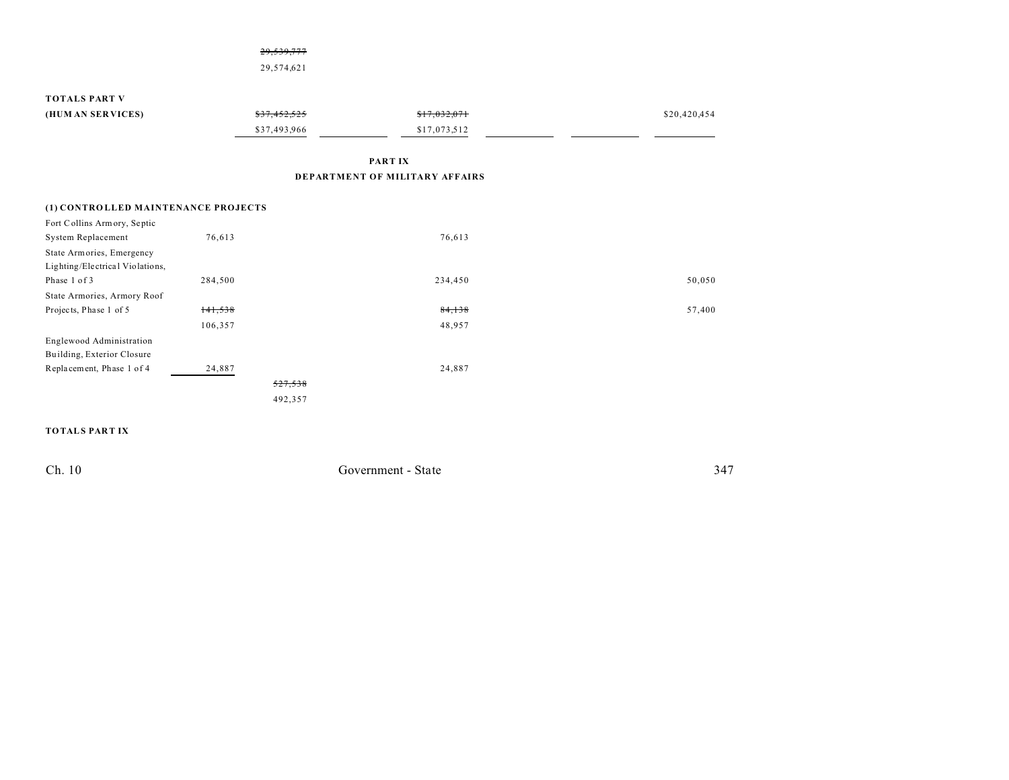|                                     | 29,539,777   |                                |              |
|-------------------------------------|--------------|--------------------------------|--------------|
|                                     | 29,574,621   |                                |              |
| <b>TOTALS PART V</b>                |              |                                |              |
|                                     |              |                                |              |
| (HUM AN SERVICES)                   | \$37,452,525 | \$17,032,071                   | \$20,420,454 |
|                                     | \$37,493,966 | \$17,073,512                   |              |
|                                     |              | PART IX                        |              |
|                                     |              | DEPARTMENT OF MILITARY AFFAIRS |              |
| (1) CONTROLLED MAINTENANCE PROJECTS |              |                                |              |
| Fort Collins Armory, Septic         |              |                                |              |

| <b>System Replacement</b>       | 76,613  | 76,613  |        |
|---------------------------------|---------|---------|--------|
| State Armories, Emergency       |         |         |        |
| Lighting/Electrical Violations, |         |         |        |
| Phase 1 of 3                    | 284,500 | 234,450 | 50,050 |
| State Armories, Armory Roof     |         |         |        |
| Projects, Phase 1 of 5          | 141,538 | 84,138  | 57,400 |
|                                 | 106,357 | 48,957  |        |
| Englewood Administration        |         |         |        |
| Building, Exterior Closure      |         |         |        |
| Replacement, Phase 1 of 4       | 24,887  | 24,887  |        |
|                                 |         | 527,538 |        |
|                                 |         | 492,357 |        |
|                                 |         |         |        |

### **TOTALS PART IX**

| Ch. 10 | Government - State<br>$\begin{array}{cccccccccccccc} \multicolumn{4}{c}{} & \multicolumn{4}{c}{} & \multicolumn{4}{c}{} & \multicolumn{4}{c}{} & \multicolumn{4}{c}{} & \multicolumn{4}{c}{} & \multicolumn{4}{c}{} & \multicolumn{4}{c}{} & \multicolumn{4}{c}{} & \multicolumn{4}{c}{} & \multicolumn{4}{c}{} & \multicolumn{4}{c}{} & \multicolumn{4}{c}{} & \multicolumn{4}{c}{} & \multicolumn{4}{c}{} & \multicolumn{4}{c}{} & \multicolumn{4}{c}{} & \multicolumn{4}{c}{} & \multicolumn{4}{c}{} & \$ | $34-$<br>$\sim$ $\sim$ |
|--------|--------------------------------------------------------------------------------------------------------------------------------------------------------------------------------------------------------------------------------------------------------------------------------------------------------------------------------------------------------------------------------------------------------------------------------------------------------------------------------------------------------------|------------------------|
|        |                                                                                                                                                                                                                                                                                                                                                                                                                                                                                                              |                        |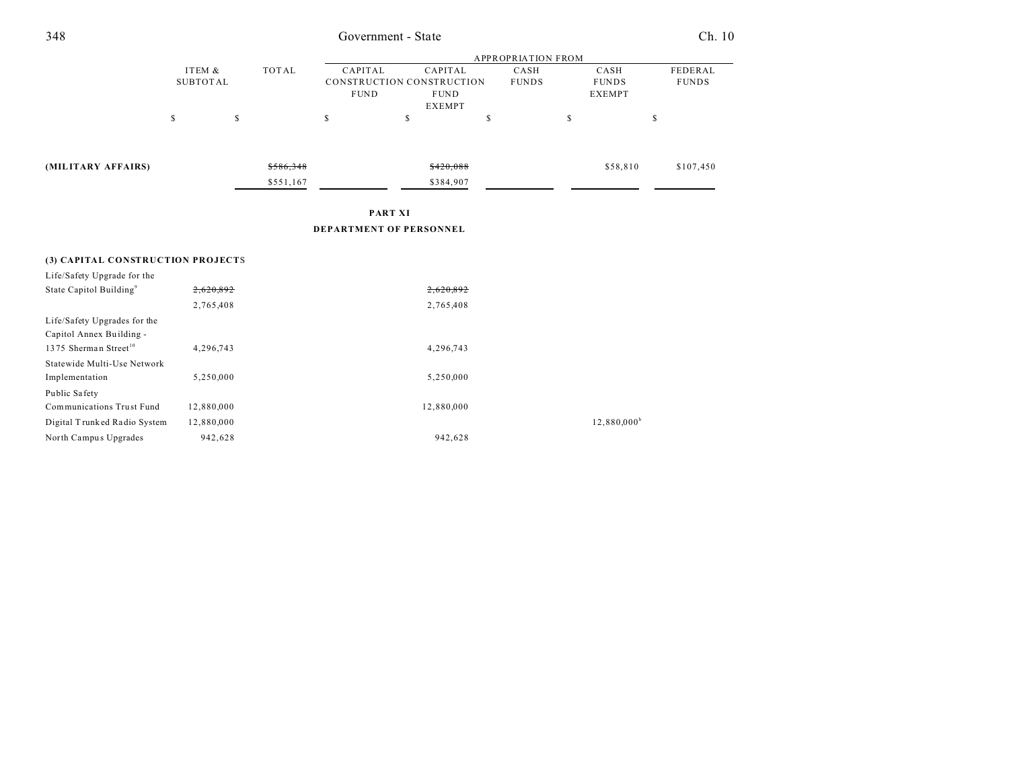| 348                                 |                           |           |                        | Government - State                                                          |                           |                                       | Ch. 10                  |
|-------------------------------------|---------------------------|-----------|------------------------|-----------------------------------------------------------------------------|---------------------------|---------------------------------------|-------------------------|
|                                     |                           |           |                        |                                                                             | <b>APPROPRIATION FROM</b> |                                       |                         |
|                                     | ITEM &<br><b>SUBTOTAL</b> | TOTAL     | CAPITAL<br><b>FUND</b> | <b>CAPITAL</b><br>CONSTRUCTION CONSTRUCTION<br><b>FUND</b><br><b>EXEMPT</b> | CASH<br><b>FUNDS</b>      | CASH<br><b>FUNDS</b><br><b>EXEMPT</b> | FEDERAL<br><b>FUNDS</b> |
|                                     | \$<br>$\mathbb{S}$        |           | \$                     | \$                                                                          | \$                        | \$                                    | \$                      |
|                                     |                           |           |                        |                                                                             |                           |                                       |                         |
| (MILITARY AFFAIRS)                  |                           | \$586,348 |                        | \$420,088                                                                   |                           | \$58,810                              | \$107,450               |
|                                     |                           | \$551,167 |                        | \$384,907                                                                   |                           |                                       |                         |
|                                     |                           |           | <b>PART XI</b>         |                                                                             |                           |                                       |                         |
|                                     |                           |           |                        | DEPARTMENT OF PERSONNEL                                                     |                           |                                       |                         |
|                                     |                           |           |                        |                                                                             |                           |                                       |                         |
| (3) CAPITAL CONSTRUCTION PROJECTS   |                           |           |                        |                                                                             |                           |                                       |                         |
| Life/Safety Upgrade for the         |                           |           |                        |                                                                             |                           |                                       |                         |
| State Capitol Building <sup>9</sup> | 2,620,892                 |           |                        | 2,620,892                                                                   |                           |                                       |                         |
|                                     | 2,765,408                 |           |                        | 2,765,408                                                                   |                           |                                       |                         |
| Life/Safety Upgrades for the        |                           |           |                        |                                                                             |                           |                                       |                         |
| Capitol Annex Building -            |                           |           |                        |                                                                             |                           |                                       |                         |
| 1375 Sherman Street <sup>10</sup>   | 4,296,743                 |           |                        | 4,296,743                                                                   |                           |                                       |                         |
| Statewide Multi-Use Network         |                           |           |                        |                                                                             |                           |                                       |                         |
| Implementation                      | 5,250,000                 |           |                        | 5,250,000                                                                   |                           |                                       |                         |
| Public Safety                       |                           |           |                        |                                                                             |                           |                                       |                         |
| Communications Trust Fund           | 12,880,000                |           |                        | 12,880,000                                                                  |                           |                                       |                         |
| Digital Trunked Radio System        | 12,880,000                |           |                        |                                                                             |                           | $12,880,000^{\rm b}$                  |                         |
| North Campus Upgrades               | 942,628                   |           |                        | 942,628                                                                     |                           |                                       |                         |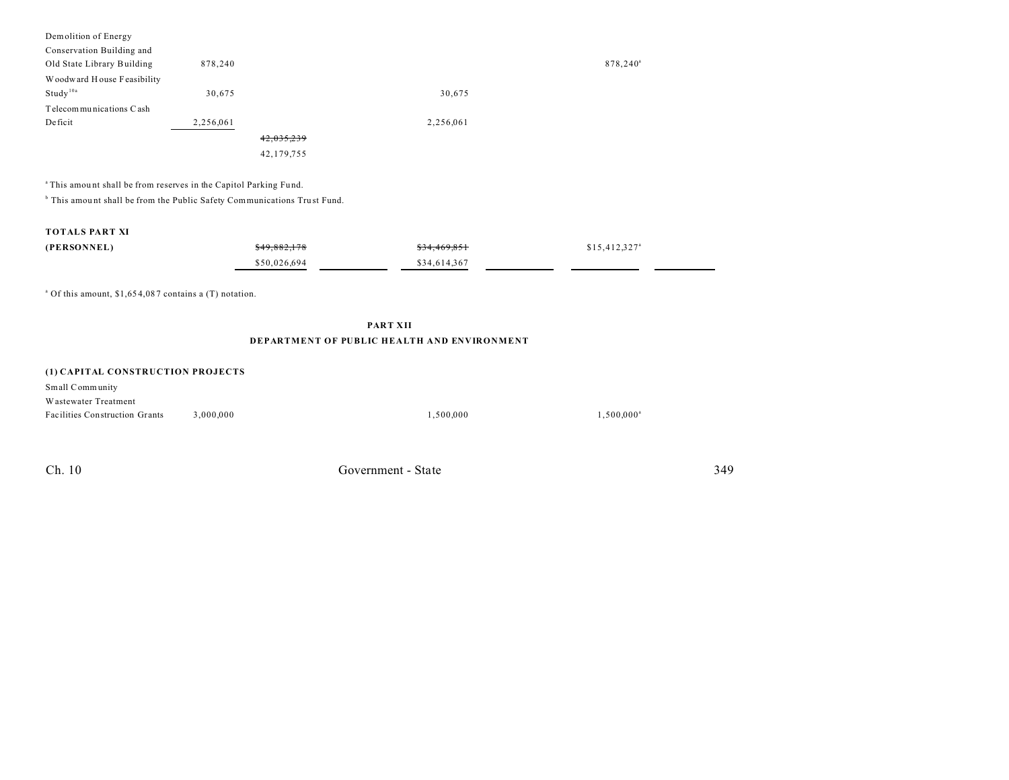| Demolition of Energy       |           |            |                      |
|----------------------------|-----------|------------|----------------------|
| Conservation Building and  |           |            |                      |
| Old State Library Building | 878,240   |            | 878,240 <sup>a</sup> |
| Woodward House Feasibility |           |            |                      |
| Study <sup>10a</sup>       | 30,675    | 30,675     |                      |
| Telecom munications Cash   |           |            |                      |
| Deficit                    | 2,256,061 | 2,256,061  |                      |
|                            |           | 42,035,239 |                      |
|                            |           | 42,179,755 |                      |
|                            |           |            |                      |

<sup>a</sup>This amount shall be from reserves in the Capitol Parking Fund.

<sup>b</sup> This amount shall be from the Public Safety Communications Trust Fund.

### **TOTALS PART XI**

| (PERSONNEL) | \$49,882,178 | \$34,469,851 | $$15,412,327$ <sup>a</sup> |  |
|-------------|--------------|--------------|----------------------------|--|
|             | \$50,026,694 | \$34,614,367 |                            |  |

<sup>a</sup> Of this amount, \$1,654,087 contains a (T) notation.

### **PART XII DEPARTMENT OF PUBLIC HEALTH AND ENVIRONMENT**

#### **(1) CAPITAL CONSTRUCTION PROJECTS**

| Small Community                       |           |           |               |
|---------------------------------------|-----------|-----------|---------------|
| Wastewater Treatment                  |           |           |               |
| <b>Facilities Construction Grants</b> | 3.000.000 | 1.500.000 | $1.500.000^8$ |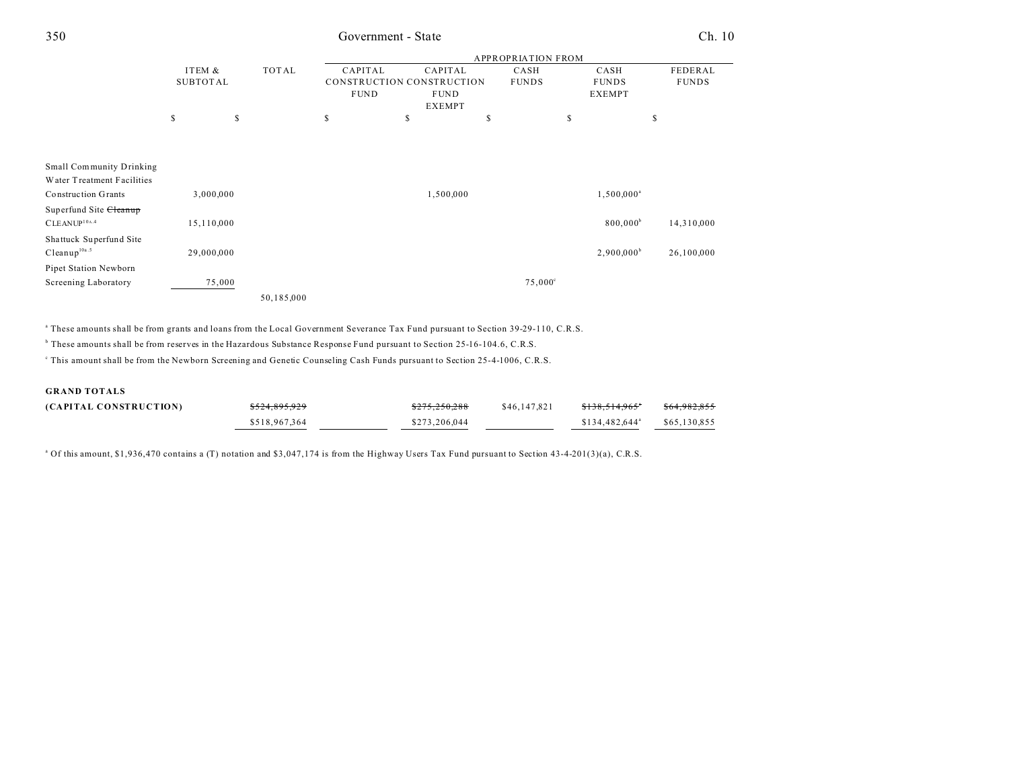## 350 Government - State Ch. 10

|                                   |                           |            |             |                                      | <b>APPROPRIATION FROM</b> |                      |                         |
|-----------------------------------|---------------------------|------------|-------------|--------------------------------------|---------------------------|----------------------|-------------------------|
|                                   | ITEM &<br><b>SUBTOTAL</b> | TOTAL      | CAPITAL     | CAPITAL<br>CONSTRUCTION CONSTRUCTION | CASH<br><b>FUNDS</b>      | CASH<br><b>FUNDS</b> | FEDERAL<br><b>FUNDS</b> |
|                                   |                           |            | <b>FUND</b> | <b>FUND</b><br><b>EXEMPT</b>         |                           | <b>EXEMPT</b>        |                         |
|                                   | \$                        | \$         | \$          | S                                    | \$<br>\$                  |                      | \$                      |
|                                   |                           |            |             |                                      |                           |                      |                         |
| Small Community Drinking          |                           |            |             |                                      |                           |                      |                         |
| Water Treatment Facilities        |                           |            |             |                                      |                           |                      |                         |
| <b>Construction Grants</b>        | 3,000,000                 |            |             | 1,500,000                            |                           | $1,500,000^a$        |                         |
| Superfund Site <del>Cleanup</del> |                           |            |             |                                      |                           |                      |                         |
| CLEANUP <sup>10A.4</sup>          | 15,110,000                |            |             |                                      |                           | 800,000 <sup>b</sup> | 14,310,000              |
| Shattuck Superfund Site           |                           |            |             |                                      |                           |                      |                         |
| $C$ leanup $10a.5$                | 29,000,000                |            |             |                                      |                           | $2,900,000^{\rm b}$  | 26,100,000              |
| Pipet Station Newborn             |                           |            |             |                                      |                           |                      |                         |
| Screening Laboratory              | 75,000                    |            |             |                                      | $75,000^{\circ}$          |                      |                         |
|                                   |                           | 50,185,000 |             |                                      |                           |                      |                         |

a These amounts shall be from grants and loans from the Local Government Severance Tax Fund pursuant to Section 39-29-110, C.R.S.

b These amounts shall be from reserves in the Hazardous Substance Response Fund pursuant to Section 25-16-104.6, C.R.S.

This amount shall be from the Newborn Screening and Genetic Counseling Cash Funds pursuant to Section 25-4-1006, C.R.S.

### **GRAND TOTALS**

| (CAPITAL CONSTRUCTION) | \$524,895,929 | \$275,250,288 | \$46,147,821 | <del>\$138,514,965</del> *  | \$64,982,855 |
|------------------------|---------------|---------------|--------------|-----------------------------|--------------|
|                        | \$518,967,364 | \$273,206,044 |              | $$134.482.644$ <sup>a</sup> | \$65,130,855 |

<sup>a</sup> Of this amount, \$1,936,470 contains a (T) notation and \$3,047,174 is from the Highway Users Tax Fund pursuant to Section 43-4-201(3)(a), C.R.S.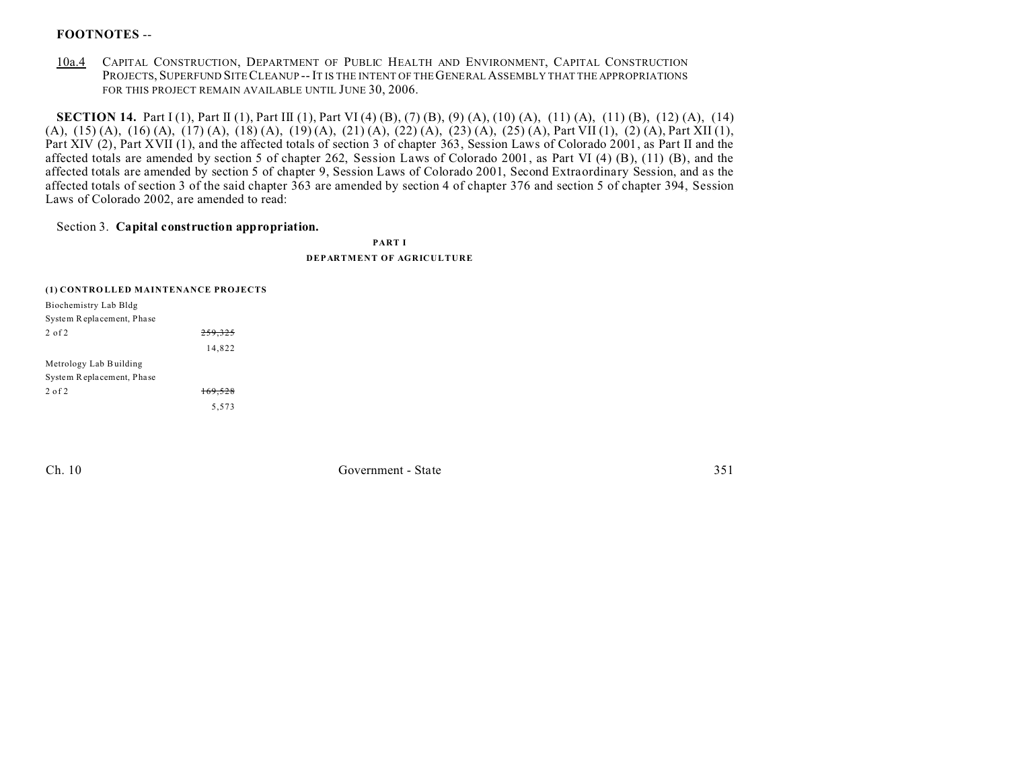## **FOOTNOTES** --

10a.4 CAPITAL CONSTRUCTION, DEPARTMENT OF PUBLIC HEALTH AND ENVIRONMENT, CAPITAL CONSTRUCTION PROJECTS, SUPERFUND SITE CLEANUP -- IT IS THE INTENT OF THE GENERAL ASSEMBLY THAT THE APPROPRIATIONS FOR THIS PROJECT REMAIN AVAILABLE UNTIL JUNE 30, 2006.

**SECTION 14.** Part I (1), Part II (1), Part III (1), Part VI (4) (B), (7) (B), (9) (A), (10) (A), (11) (A), (11) (B), (12) (A), (14) (A), (15) (A), (16) (A), (17) (A), (18) (A), (19) (A), (21) (A), (22) (A), (23) (A), (25) (A), Part VII (1), (2) (A), Part XII (1), Part XIV (2), Part XVII (1), and the affected totals of section 3 of chapter 363, Session Laws of Colorado 2001, as Part II and the affected totals are amended by section 5 of chapter 262, Session Laws of Colorado 2001, as Part VI (4) (B), (11) (B), and the affected totals are amended by section 5 of chapter 9, Session Laws of Colorado 2001, Second Extraordinary Session, and as the affected totals of section 3 of the said chapter 363 are amended by section 4 of chapter 376 and section 5 of chapter 394, Session Laws of Colorado 2002, are amended to read:

### Section 3. **Capital construction appropriation.**

**PART I DEPARTMENT OF AGRICULTURE**

| (1) CONTROLLED MAINTENANCE PROJECTS |         |  |
|-------------------------------------|---------|--|
| Biochemistry Lab Bldg               |         |  |
| System Replacement, Phase           |         |  |
| $2$ of $2$                          | 259.325 |  |
|                                     | 14,822  |  |
| Metrology Lab Building              |         |  |
| System Replacement, Phase           |         |  |
| $2$ of $2$                          | 169,528 |  |
|                                     | 5.573   |  |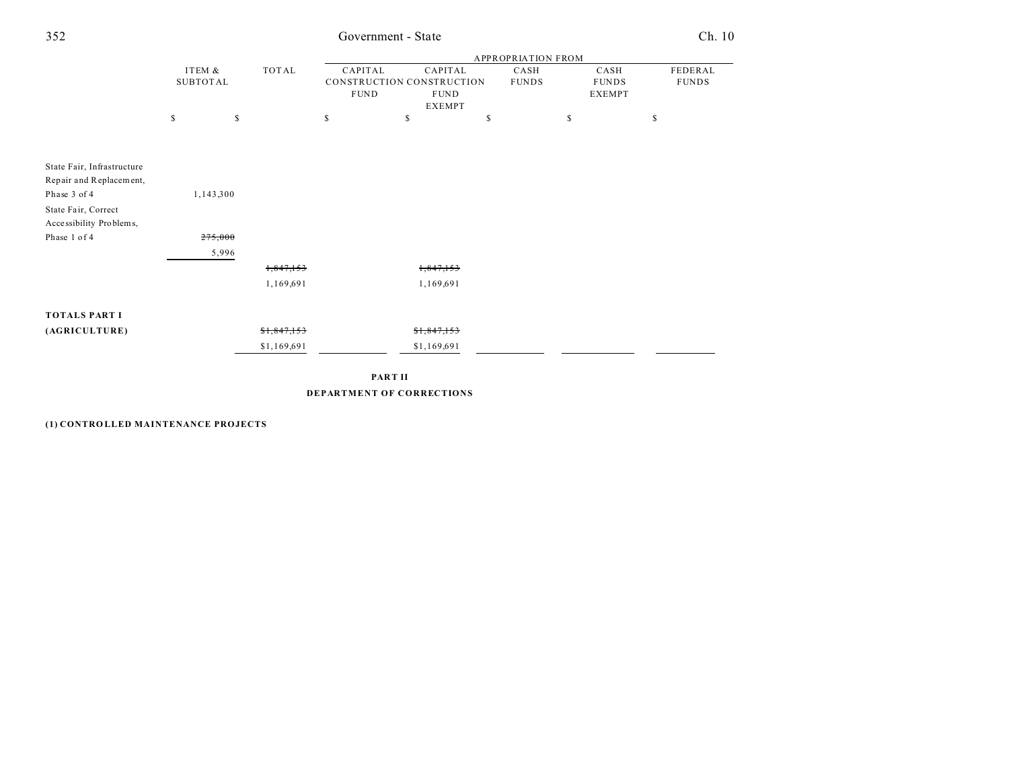| 352 | Government - State | Ch. 10 |
|-----|--------------------|--------|
|     |                    |        |

|                            |                           |           |             |                        |                                                                      | <b>APPROPRIATION FROM</b> |                                       |              |                         |
|----------------------------|---------------------------|-----------|-------------|------------------------|----------------------------------------------------------------------|---------------------------|---------------------------------------|--------------|-------------------------|
|                            | ITEM &<br><b>SUBTOTAL</b> |           | TOTAL       | CAPITAL<br><b>FUND</b> | CAPITAL<br>CONSTRUCTION CONSTRUCTION<br><b>FUND</b><br><b>EXEMPT</b> | CASH<br><b>FUNDS</b>      | CASH<br><b>FUNDS</b><br><b>EXEMPT</b> |              | FEDERAL<br><b>FUNDS</b> |
|                            | \$                        | \$        |             | \$                     | \$                                                                   | \$                        | \$                                    | $\mathbb{S}$ |                         |
| State Fair, Infrastructure |                           |           |             |                        |                                                                      |                           |                                       |              |                         |
| Repair and Replacement,    |                           |           |             |                        |                                                                      |                           |                                       |              |                         |
| Phase 3 of 4               |                           | 1,143,300 |             |                        |                                                                      |                           |                                       |              |                         |
| State Fair, Correct        |                           |           |             |                        |                                                                      |                           |                                       |              |                         |
| Accessibility Problems,    |                           |           |             |                        |                                                                      |                           |                                       |              |                         |
| Phase 1 of 4               |                           | 275,000   |             |                        |                                                                      |                           |                                       |              |                         |
|                            |                           | 5,996     |             |                        |                                                                      |                           |                                       |              |                         |
|                            |                           |           | 1,847,153   |                        | 1,847,153                                                            |                           |                                       |              |                         |
|                            |                           |           | 1,169,691   |                        | 1,169,691                                                            |                           |                                       |              |                         |
| <b>TOTALS PART I</b>       |                           |           |             |                        |                                                                      |                           |                                       |              |                         |
| (AGRICULTURE)              |                           |           | \$1,847,153 |                        | \$1,847,153                                                          |                           |                                       |              |                         |
|                            |                           |           | \$1,169,691 |                        | \$1,169,691                                                          |                           |                                       |              |                         |
|                            |                           |           |             |                        |                                                                      |                           |                                       |              |                         |

**PART II DEPARTMENT OF CORRECTIONS**

**(1) CONTRO LLED MAINTENANCE PROJECTS**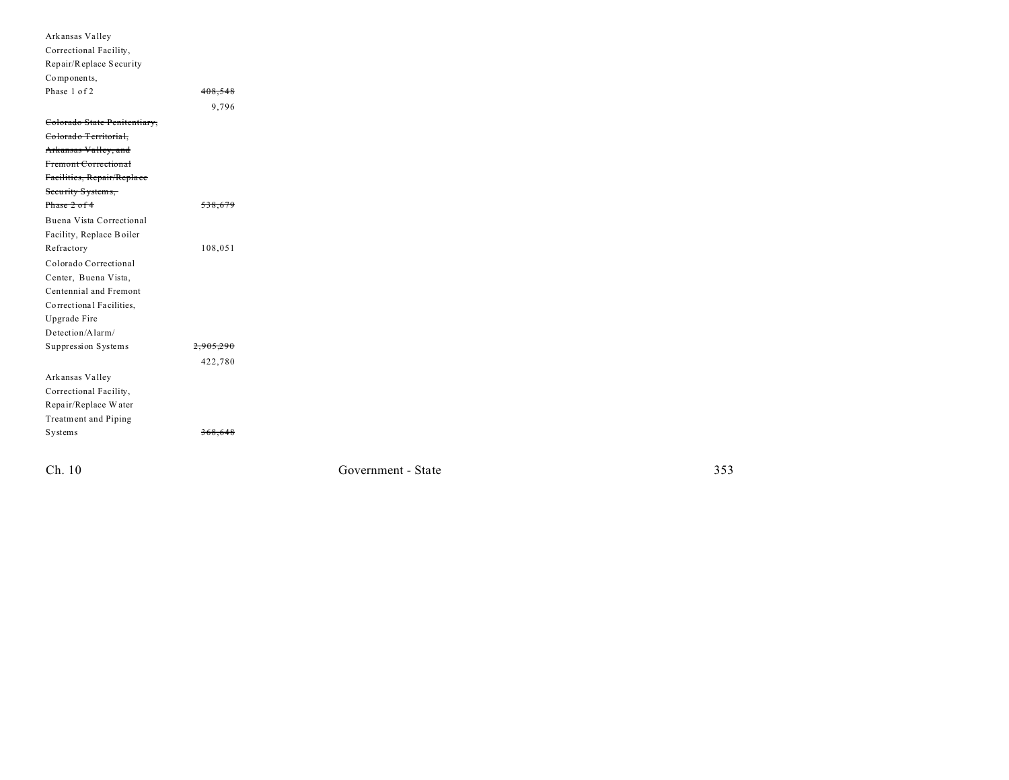| Arkansas Valley              |                      |
|------------------------------|----------------------|
| Correctional Facility,       |                      |
| Repair/Replace Security      |                      |
| Components,                  |                      |
| Phase 1 of 2                 | 408.548              |
|                              | 9,796                |
|                              |                      |
| Colorado State Penitentiary, |                      |
| Colorado Territorial,        |                      |
| Arkansas Valley, and         |                      |
| Fremont Correctional         |                      |
| Facilities, Repair/Replace   |                      |
| Security Systems,            |                      |
| Phase 2 of 4                 | 538.679              |
| Buena Vista Correctional     |                      |
| Facility, Replace Boiler     |                      |
| Refractory                   | 108,051              |
| Colorado Correctional        |                      |
| Center, Buena Vista,         |                      |
| Centennial and Fremont       |                      |
| Correctional Facilities,     |                      |
| Upgrade Fire                 |                      |
| Detection/Alarm/             |                      |
| Suppression Systems          | <del>2,905,290</del> |
|                              | 422,780              |
| Arkansas Valley              |                      |
| Correctional Facility,       |                      |
| Repair/Replace Water         |                      |
| Treatment and Piping         |                      |
| Systems                      | 368,648              |
|                              |                      |
|                              |                      |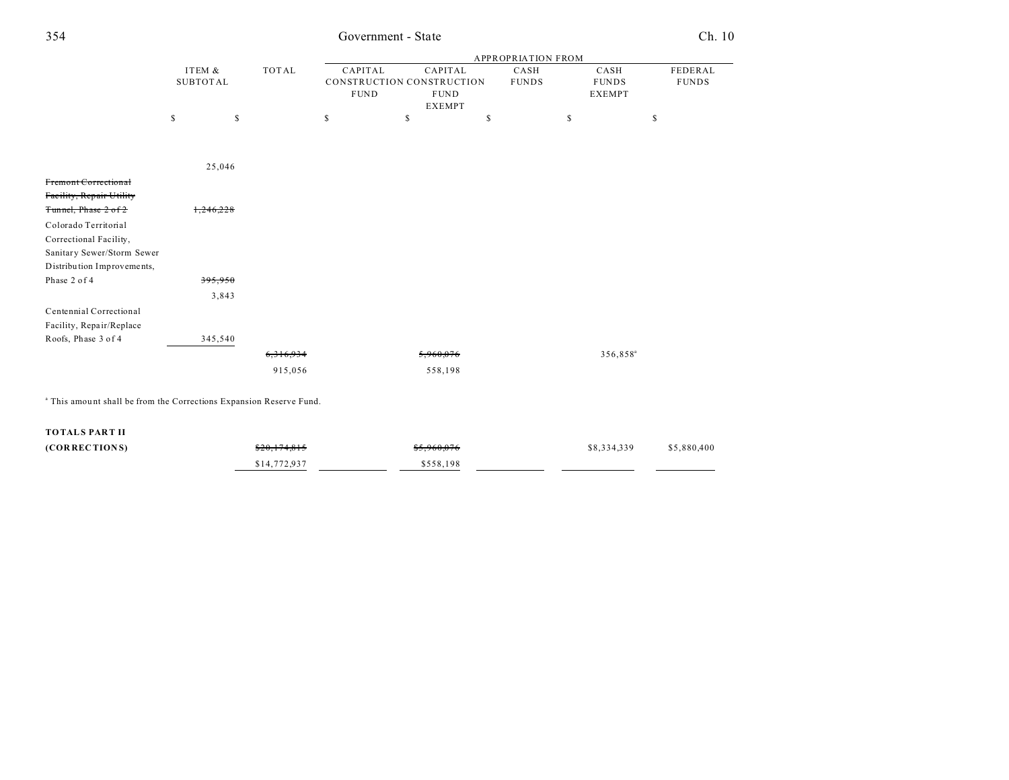| 4 |  |  |  |
|---|--|--|--|
|   |  |  |  |
|   |  |  |  |
|   |  |  |  |

## 354 Government - State Ch. 10

|                                                                                |                 |              |             |                           | <b>APPROPRIATION FROM</b> |                      |              |
|--------------------------------------------------------------------------------|-----------------|--------------|-------------|---------------------------|---------------------------|----------------------|--------------|
|                                                                                | ITEM &          | <b>TOTAL</b> | CAPITAL     | CAPITAL                   | CASH                      | CASH                 | FEDERAL      |
|                                                                                | <b>SUBTOTAL</b> |              |             | CONSTRUCTION CONSTRUCTION | <b>FUNDS</b>              | <b>FUNDS</b>         | <b>FUNDS</b> |
|                                                                                |                 |              | <b>FUND</b> | <b>FUND</b>               |                           | <b>EXEMPT</b>        |              |
|                                                                                |                 |              |             | <b>EXEMPT</b>             |                           |                      |              |
|                                                                                | \$<br>\$        |              | \$          | \$                        | \$                        | \$                   | \$           |
|                                                                                |                 |              |             |                           |                           |                      |              |
|                                                                                |                 |              |             |                           |                           |                      |              |
|                                                                                | 25,046          |              |             |                           |                           |                      |              |
| Fremont Correctional                                                           |                 |              |             |                           |                           |                      |              |
| Facility, Repair Utility                                                       |                 |              |             |                           |                           |                      |              |
| Tunnel, Phase 2 of 2                                                           | 1.246.228       |              |             |                           |                           |                      |              |
| Colorado Territorial                                                           |                 |              |             |                           |                           |                      |              |
| Correctional Facility,                                                         |                 |              |             |                           |                           |                      |              |
| Sanitary Sewer/Storm Sewer                                                     |                 |              |             |                           |                           |                      |              |
| Distribution Improvements,                                                     |                 |              |             |                           |                           |                      |              |
| Phase 2 of 4                                                                   | 395,950         |              |             |                           |                           |                      |              |
|                                                                                | 3,843           |              |             |                           |                           |                      |              |
| Centennial Correctional                                                        |                 |              |             |                           |                           |                      |              |
| Facility, Repair/Replace                                                       |                 |              |             |                           |                           |                      |              |
| Roofs, Phase 3 of 4                                                            | 345,540         |              |             |                           |                           |                      |              |
|                                                                                |                 | 6,316,934    |             | 5,960,076                 |                           | 356,858 <sup>a</sup> |              |
|                                                                                |                 | 915,056      |             | 558,198                   |                           |                      |              |
|                                                                                |                 |              |             |                           |                           |                      |              |
| <sup>a</sup> This amount shall be from the Corrections Expansion Reserve Fund. |                 |              |             |                           |                           |                      |              |
| <b>TOTALS PART II</b>                                                          |                 |              |             |                           |                           |                      |              |
| (CORRECTIONS)                                                                  |                 | \$20,174,815 |             | \$5,960,076               |                           | \$8,334,339          | \$5,880,400  |
|                                                                                |                 | \$14,772,937 |             | \$558,198                 |                           |                      |              |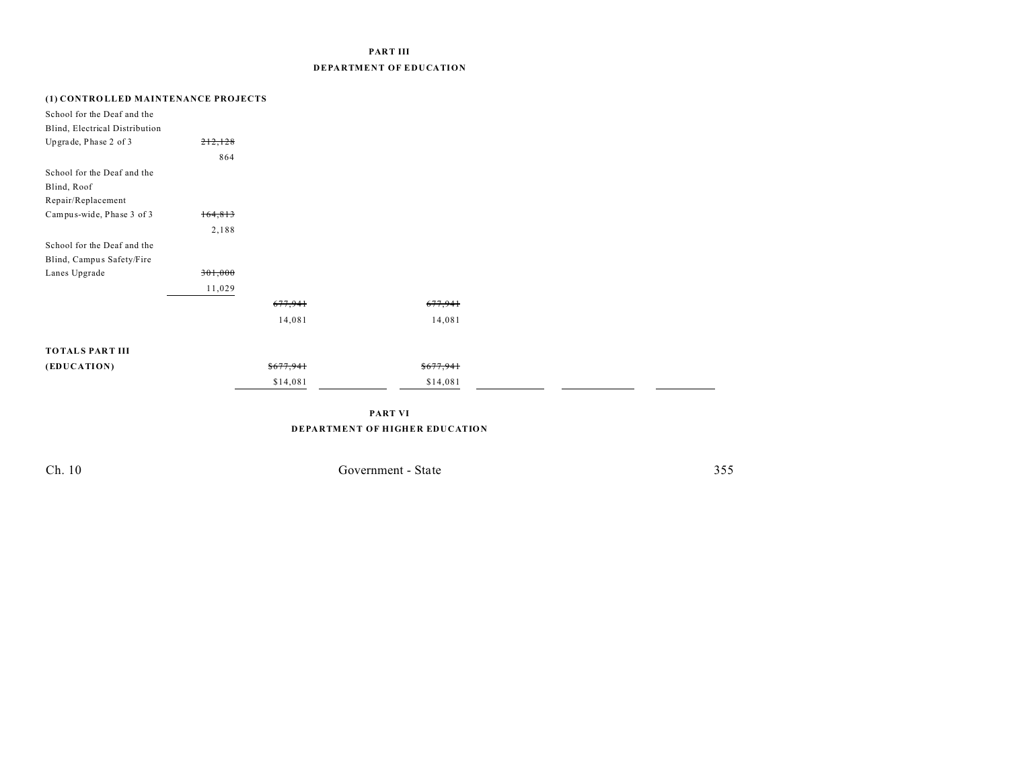### **PART III DEPARTMENT OF EDUCATION**

### **(1) CONTRO LLED MAINTENANCE PROJECTS**

| School for the Deaf and the<br>Blind, Electrical Distribution |         |           |           |  |
|---------------------------------------------------------------|---------|-----------|-----------|--|
| Upgrade, Phase 2 of 3                                         | 212,128 |           |           |  |
|                                                               | 864     |           |           |  |
| School for the Deaf and the                                   |         |           |           |  |
| Blind, Roof                                                   |         |           |           |  |
| Repair/Replacement                                            |         |           |           |  |
| Campus-wide, Phase 3 of 3                                     | 164,813 |           |           |  |
|                                                               | 2,188   |           |           |  |
| School for the Deaf and the                                   |         |           |           |  |
| Blind, Campus Safety/Fire                                     |         |           |           |  |
| Lanes Upgrade                                                 | 301,000 |           |           |  |
|                                                               | 11,029  |           |           |  |
|                                                               |         | 677,941   | 677,941   |  |
|                                                               |         | 14,081    | 14,081    |  |
| <b>TOTALS PART III</b>                                        |         |           |           |  |
|                                                               |         |           |           |  |
| (EDUCATION)                                                   |         | \$677,941 | \$677,941 |  |
|                                                               |         | \$14,081  | \$14,081  |  |

**PART VI DEPARTMENT OF HIGHER EDUCATION**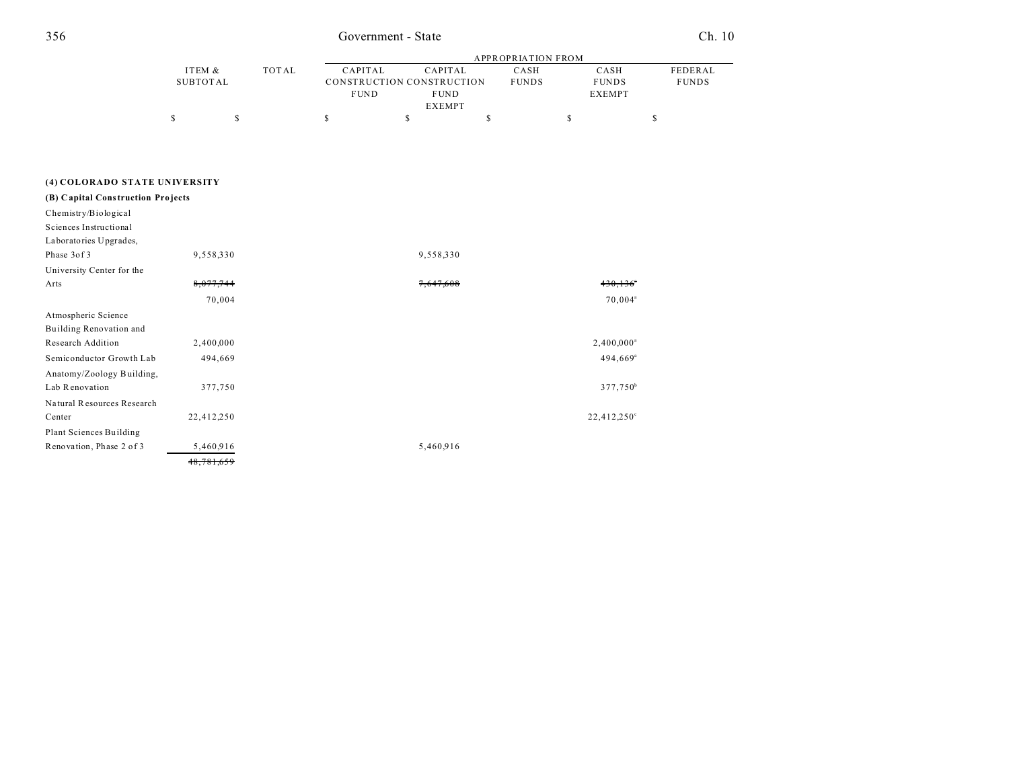## Government - State

Ch. 10

|               |  |       | APPROPRIATION FROM        |                |              |               |              |  |
|---------------|--|-------|---------------------------|----------------|--------------|---------------|--------------|--|
| ITEM &        |  | TOTAL | CAPITAL                   | <b>CAPITAL</b> | CASH         | CASH          | FEDERAL      |  |
| SUBTOTAL      |  |       | CONSTRUCTION CONSTRUCTION |                | <b>FUNDS</b> | <b>FUNDS</b>  | <b>FUNDS</b> |  |
|               |  |       | <b>FUND</b>               | <b>FUND</b>    |              | <b>EXEMPT</b> |              |  |
| <b>EXEMPT</b> |  |       |                           |                |              |               |              |  |
|               |  |       |                           |                |              |               |              |  |

### (4) COLORADO STATE UNIVERSITY

| $430, 136$ <sup>*</sup> |
|-------------------------|
|                         |
|                         |
|                         |
|                         |
|                         |
|                         |
|                         |
| $70,004^{\circ}$        |
|                         |
|                         |
| $2,400,000^a$           |
| $494,669$ <sup>a</sup>  |
|                         |
| $377,750^b$             |
|                         |
| $22,412,250^{\circ}$    |
|                         |
|                         |
|                         |
|                         |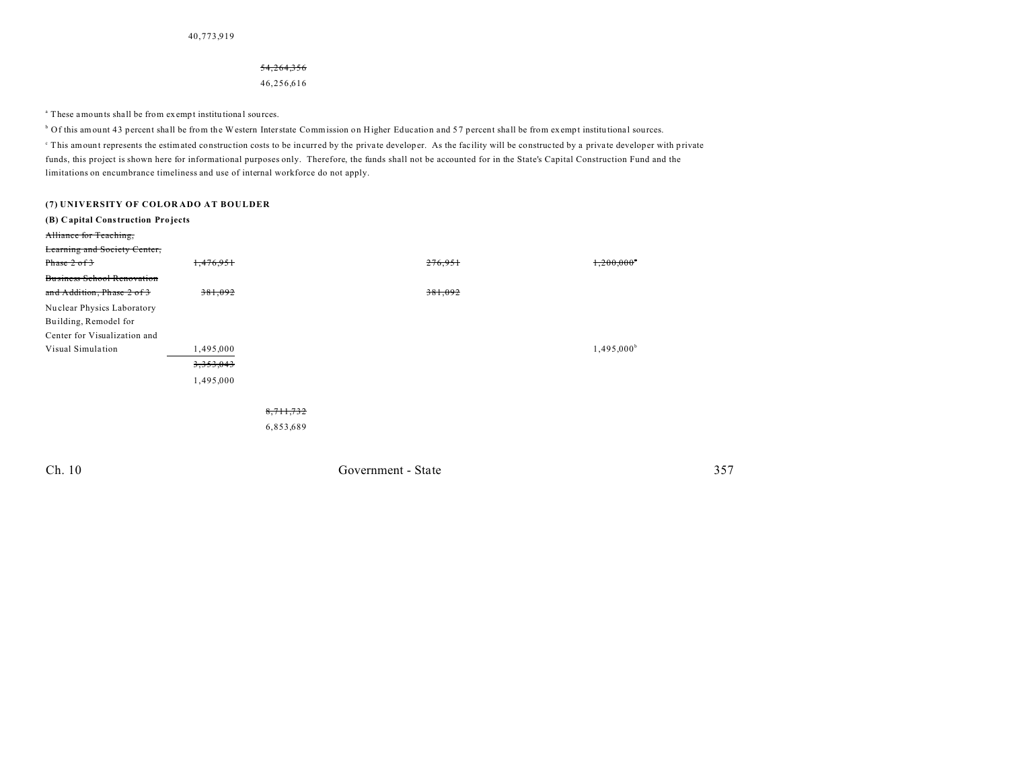#### 54,264,356

46,256,616

<sup>a</sup> These amounts shall be from exempt institutional sources.

<sup>b</sup> Of this amount 43 percent shall be from the Western Interstate Commission on Higher Education and 57 percent shall be from exempt institutional sources.

This amount represents the estimated construction costs to be incurred by the private developer. As the facility will be constructed by a private developer with private funds, this project is shown here for informational purposes only. Therefore, the funds shall not be accounted for in the State's Capital Construction Fund and the limitations on encumbrance timeliness and use of internal workforce do not apply.

| (7) UNIVERSITY OF COLORADO AT BOULDER |           |           |                    |         |                          |
|---------------------------------------|-----------|-----------|--------------------|---------|--------------------------|
| (B) Capital Construction Projects     |           |           |                    |         |                          |
| Alliance for Teaching,                |           |           |                    |         |                          |
| Learning and Society Center,          |           |           |                    |         |                          |
| Phase $2 of 3$                        | 1,476,951 |           |                    | 276,951 | $1,200,000$ <sup>*</sup> |
| <b>Business School Renovation</b>     |           |           |                    |         |                          |
| and Addition, Phase 2 of 3            | 381,092   |           |                    | 381,092 |                          |
| Nuclear Physics Laboratory            |           |           |                    |         |                          |
| Building, Remodel for                 |           |           |                    |         |                          |
| Center for Visualization and          |           |           |                    |         |                          |
| Visual Simulation                     | 1,495,000 |           |                    |         | $1,495,000^{\circ}$      |
|                                       | 3,353,043 |           |                    |         |                          |
|                                       | 1,495,000 |           |                    |         |                          |
|                                       |           |           |                    |         |                          |
|                                       |           | 8,711,732 |                    |         |                          |
|                                       |           | 6,853,689 |                    |         |                          |
|                                       |           |           |                    |         |                          |
| Ch. 10                                |           |           | Government - State |         | 357                      |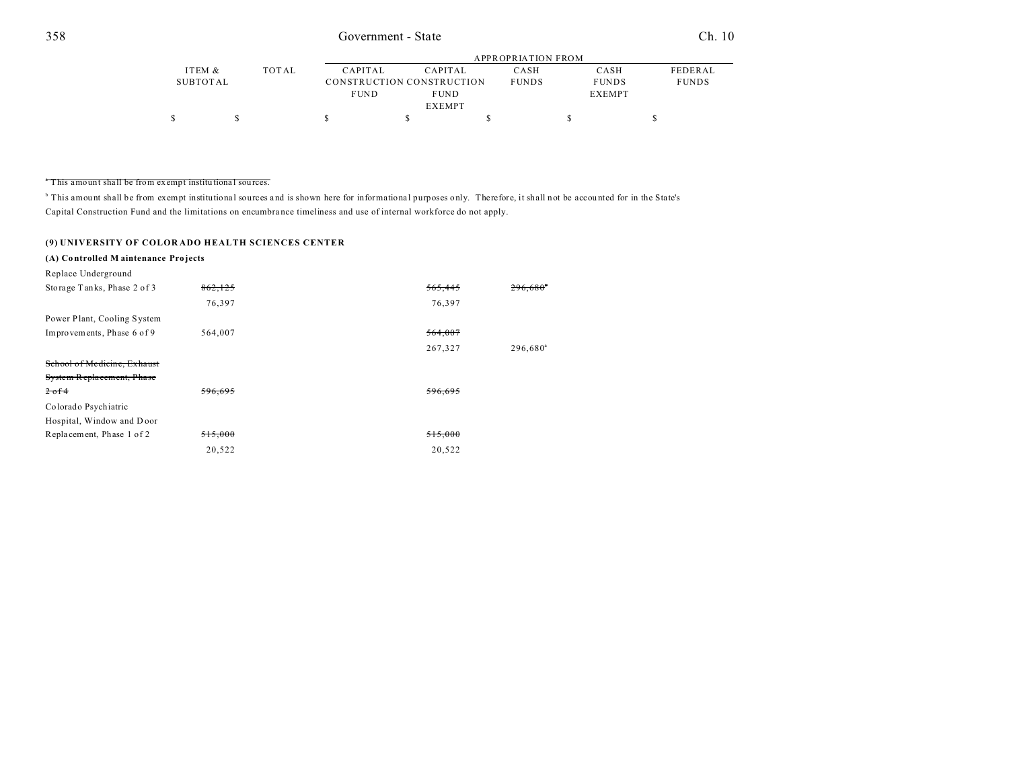|          |       |             | APPROPRIATION FROM        |              |               |                |  |  |  |
|----------|-------|-------------|---------------------------|--------------|---------------|----------------|--|--|--|
| ITEM &   | TOTAL | CAPITAL     | CAPITAL                   | CASH         | CASH          | <b>FEDERAL</b> |  |  |  |
| SUBTOTAL |       |             | CONSTRUCTION CONSTRUCTION | <b>FUNDS</b> | <b>FUNDS</b>  | <b>FUNDS</b>   |  |  |  |
|          |       | <b>FUND</b> | <b>FUND</b>               |              | <b>EXEMPT</b> |                |  |  |  |
|          |       |             | <b>EXEMPT</b>             |              |               |                |  |  |  |
|          |       |             |                           |              |               |                |  |  |  |

#### <sup>a</sup> This amount shall be from exempt institutional sources.

<sup>b</sup> This amount shall be from exempt institutional sources and is shown here for informational purposes only. Therefore, it shall not be accounted for in the State's Capital Construction Fund and the limitations on encumbra nce timeliness and use of internal workforce do not apply.

### **(9) UNIVERSITY OF COLOR ADO HEALTH SCIENCES CENTER**

### **(A) Co ntrolled M aintenance Pro jects**

| Replace Underground         |         |         |                      |
|-----------------------------|---------|---------|----------------------|
| Storage Tanks, Phase 2 of 3 | 862,125 | 565,445 | 296,680 <sup>°</sup> |
|                             | 76,397  | 76,397  |                      |
| Power Plant, Cooling System |         |         |                      |
| Improvements, Phase 6 of 9  | 564,007 | 564,007 |                      |
|                             |         | 267,327 | 296,680 <sup>a</sup> |
| School of Medicine, Exhaust |         |         |                      |
| System Replacement, Phase   |         |         |                      |
| $2-0.14$                    | 596,695 | 596,695 |                      |
| Colorado Psychiatric        |         |         |                      |
| Hospital, Window and Door   |         |         |                      |
| Replacement, Phase 1 of 2   | 515,000 | 515,000 |                      |
|                             | 20,522  | 20,522  |                      |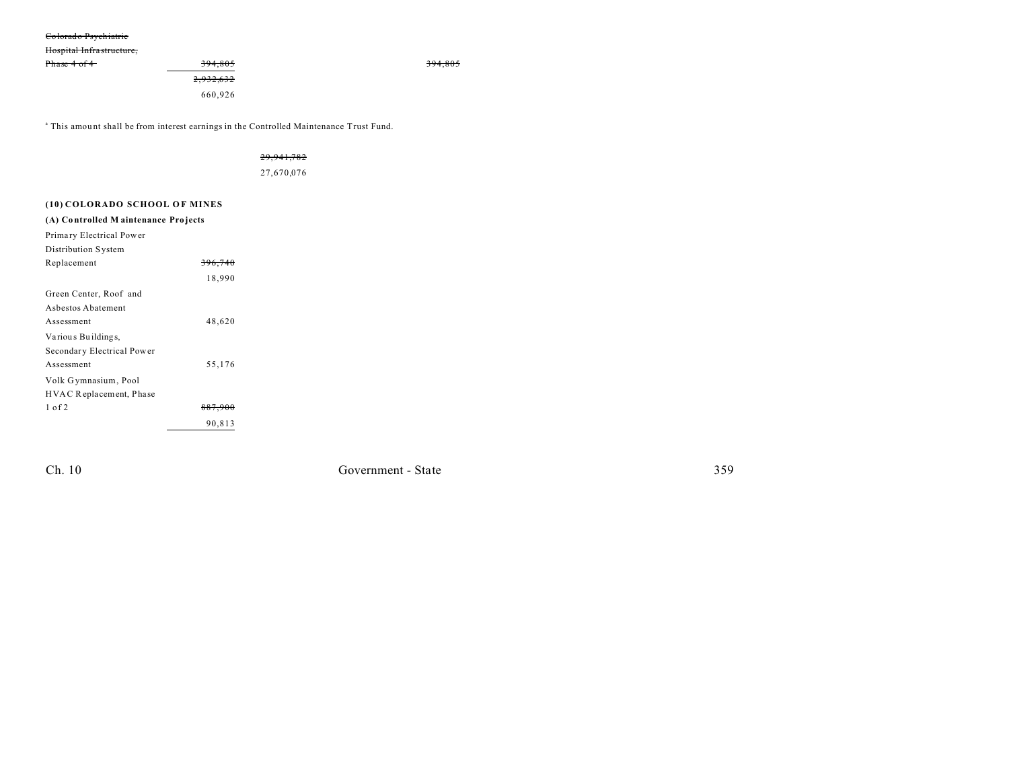#### Colorado Psychiatric

Hospital Infrastructure,

| Phase 4 of 4 | 394,805   |  |
|--------------|-----------|--|
|              | 2,932,632 |  |
|              | 660,926   |  |

<sup>a</sup> This amount shall be from interest earnings in the Controlled Maintenance Trust Fund.

### 29,941,782

27,670,076

| (10) COLORADO SCHOOL OF MINES       |                    |
|-------------------------------------|--------------------|
| (A) Controlled Maintenance Projects |                    |
| Primary Electrical Power            |                    |
| Distribution System                 |                    |
| Replacement                         | 396,740            |
|                                     | 18,990             |
| Green Center, Roof and              |                    |
| Ashestos Abatement                  |                    |
| Assessment                          | 48,620             |
| Various Buildings,                  |                    |
| Secondary Electrical Power          |                    |
| Assessment                          | 55,176             |
| Volk Gymnasium, Pool                |                    |
| HVAC Replacement, Phase             |                    |
| $1$ of $2$                          | <del>887.900</del> |
|                                     | 90,813             |

Ch. 10

Government - State

394,805

359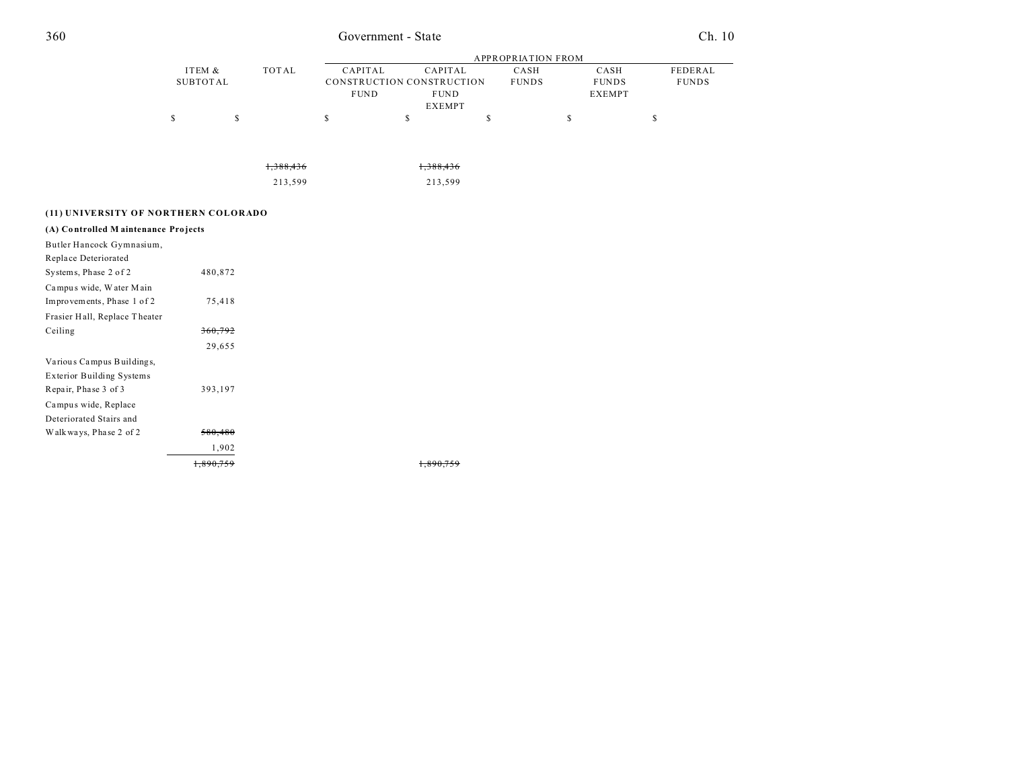## Government - State

Ch. 10

|          |       | APPROPRIATION FROM |                           |              |               |              |  |
|----------|-------|--------------------|---------------------------|--------------|---------------|--------------|--|
| ITEM &   | TOTAL | CAPITAL            | CAPITAL                   | CASH         | CASH          | FEDERAL      |  |
| SUBTOTAL |       |                    | CONSTRUCTION CONSTRUCTION | <b>FUNDS</b> | <b>FUNDS</b>  | <b>FUNDS</b> |  |
|          |       | <b>FUND</b>        | <b>FUND</b>               |              | <b>EXEMPT</b> |              |  |
|          |       |                    | <b>EXEMPT</b>             |              |               |              |  |
|          |       |                    |                           |              |               |              |  |

| <del>1,388,436</del> | 1,388,436 |
|----------------------|-----------|
| 213,599              | 213,599   |

### (11) UNIVERSITY OF NORTHERN COLORADO

| (A) Controlled Maintenance Projects |         |      |
|-------------------------------------|---------|------|
| Butler Hancock Gymnasium,           |         |      |
| Replace Deteriorated                |         |      |
| Systems, Phase 2 of 2               | 480,872 |      |
| Campus wide, Water Main             |         |      |
| Improvements, Phase 1 of 2          | 75,418  |      |
| Frasier Hall, Replace Theater       |         |      |
| Ceiling                             | 360,792 |      |
|                                     | 29,655  |      |
| Various Campus Buildings,           |         |      |
| <b>Exterior Building Systems</b>    |         |      |
| Repair, Phase 3 of 3                | 393,197 |      |
| Campus wide, Replace                |         |      |
| Deteriorated Stairs and             |         |      |
| Walk ways, Phase 2 of 2             | 580,480 |      |
|                                     | 1,902   |      |
|                                     |         | 1.89 |

90,759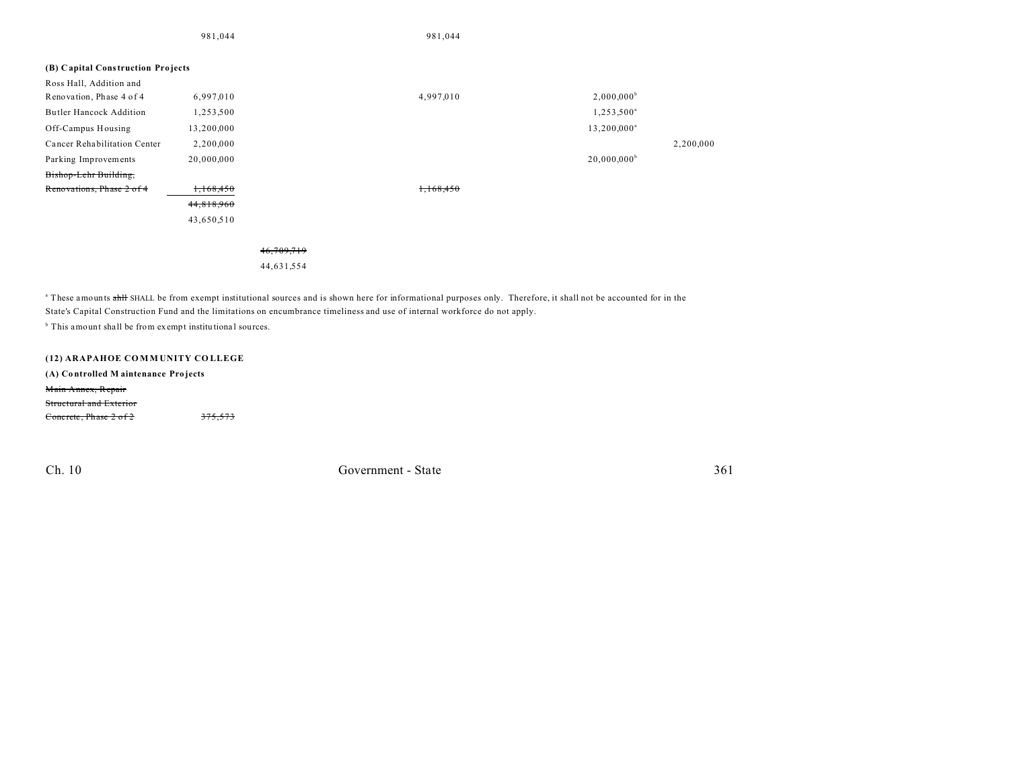|                                   | 981,044    |            | 981,044   |                        |           |
|-----------------------------------|------------|------------|-----------|------------------------|-----------|
|                                   |            |            |           |                        |           |
| (B) Capital Construction Projects |            |            |           |                        |           |
| Ross Hall, Addition and           |            |            |           |                        |           |
| Renovation, Phase 4 of 4          | 6,997,010  |            | 4,997,010 | $2,000,000^{\rm b}$    |           |
| <b>Butler Hancock Addition</b>    | 1,253,500  |            |           | 1,253,500 <sup>a</sup> |           |
| Off-Campus Housing                | 13,200,000 |            |           | $13,200,000^a$         |           |
| Cancer Rehabilitation Center      | 2,200,000  |            |           |                        | 2,200,000 |
| Parking Improvements              | 20,000,000 |            |           | $20,000,000^b$         |           |
| Bishop-Lehr Building,             |            |            |           |                        |           |
| Renovations, Phase 2 of 4         | 1,168,450  |            | 1,168,450 |                        |           |
|                                   | 44,818,960 |            |           |                        |           |
|                                   | 43,650,510 |            |           |                        |           |
|                                   |            |            |           |                        |           |
|                                   |            | 46,709,719 |           |                        |           |
|                                   |            | 44,631,554 |           |                        |           |
|                                   |            |            |           |                        |           |

<sup>a</sup> These amounts ahll SHALL be from exempt institutional sources and is shown here for informational purposes only. Therefore, it shall not be accounted for in the State's Capital Construction Fund and the limitations on encumbrance timeliness and use of internal workforce do not apply.

<sup>b</sup> This amount shall be from exempt institutional sources.

### **(12) ARAPAHOE CO M M UNITY CO LLEGE**

### **(A) Co ntrolled M aintenance Pro jects** Main Annex, Repair Structural and Exterior

Concrete, Phase 2 of 2 375,573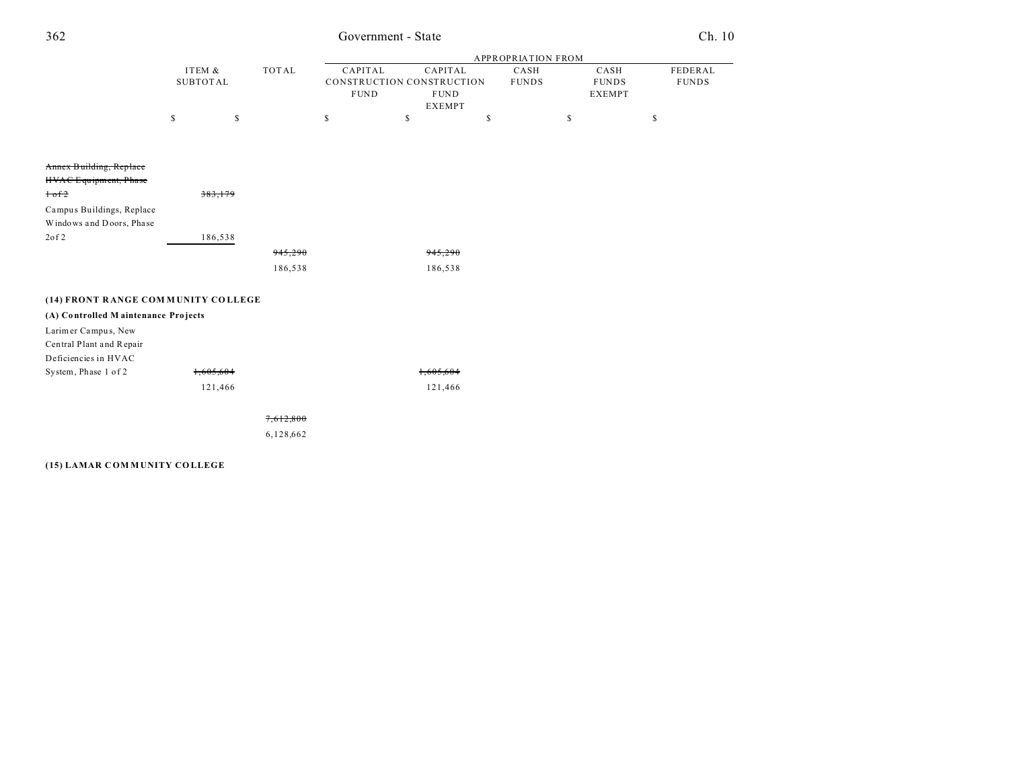## Government - State

|                                     |                 |           |             |                           | <b>APPROPRIATION FROM</b> |               |              |
|-------------------------------------|-----------------|-----------|-------------|---------------------------|---------------------------|---------------|--------------|
|                                     | ITEM &          | TOTAL     | CAPITAL     | CAPITAL                   | CASH                      | CASH          | FEDERAL      |
|                                     | <b>SUBTOTAL</b> |           |             | CONSTRUCTION CONSTRUCTION | <b>FUNDS</b>              | <b>FUNDS</b>  | <b>FUNDS</b> |
|                                     |                 |           | <b>FUND</b> | <b>FUND</b>               |                           | <b>EXEMPT</b> |              |
|                                     |                 |           |             | <b>EXEMPT</b>             |                           |               |              |
|                                     | $\mathbb{S}$    | \$        | \$          | $\mathsf S$               | \$                        | \$            | $\mathbb S$  |
|                                     |                 |           |             |                           |                           |               |              |
|                                     |                 |           |             |                           |                           |               |              |
| Annex Building, Replace             |                 |           |             |                           |                           |               |              |
| HVAC Equipment, Phase               |                 |           |             |                           |                           |               |              |
| $\frac{1}{\text{of }2}$             | 383,179         |           |             |                           |                           |               |              |
| Campus Buildings, Replace           |                 |           |             |                           |                           |               |              |
| Windows and Doors, Phase            |                 |           |             |                           |                           |               |              |
| 20f2                                | 186,538         |           |             |                           |                           |               |              |
|                                     |                 | 945,290   |             | 945,290                   |                           |               |              |
|                                     |                 | 186,538   |             | 186,538                   |                           |               |              |
| (14) FRONT RANGE COMMUNITY COLLEGE  |                 |           |             |                           |                           |               |              |
| (A) Controlled Maintenance Projects |                 |           |             |                           |                           |               |              |
| Larimer Campus, New                 |                 |           |             |                           |                           |               |              |
| Central Plant and Repair            |                 |           |             |                           |                           |               |              |
| Deficiencies in HVAC                |                 |           |             |                           |                           |               |              |
| System, Phase 1 of 2                | 1,605,604       |           |             | 1,605,604                 |                           |               |              |
|                                     | 121,466         |           |             | 121,466                   |                           |               |              |
|                                     |                 |           |             |                           |                           |               |              |
|                                     |                 | 7,612,800 |             |                           |                           |               |              |
|                                     |                 | 6,128,662 |             |                           |                           |               |              |

#### (15) LAMAR COMMUNITY COLLEGE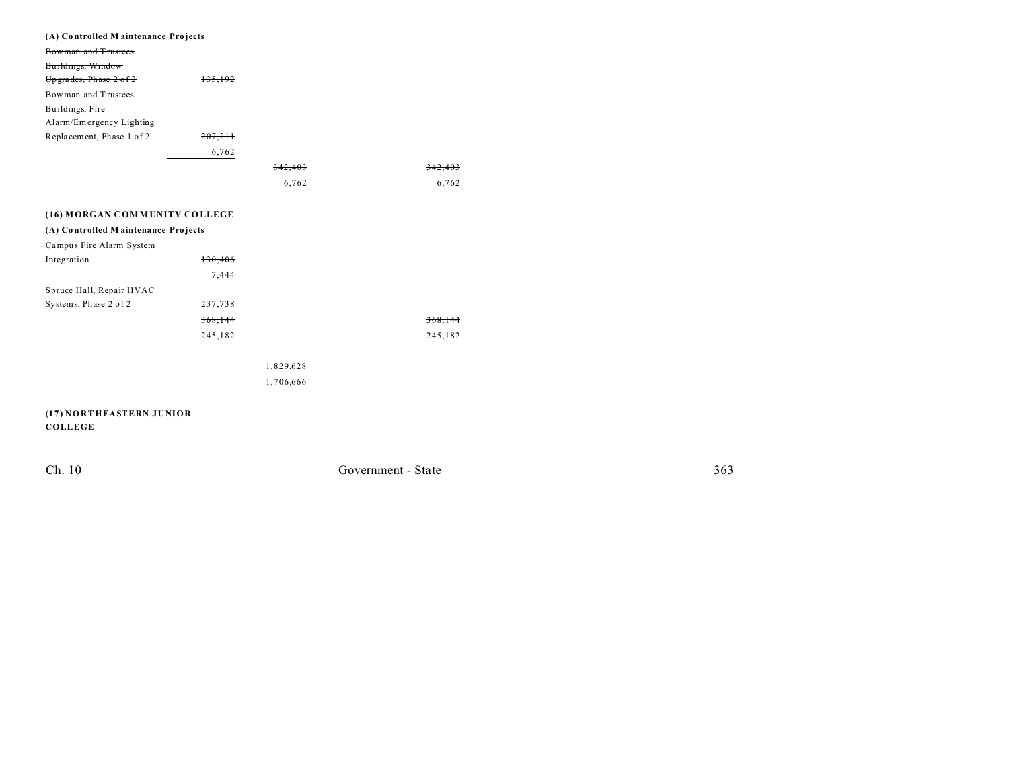| (A) Controlled Maintenance Projects |         |         |         |
|-------------------------------------|---------|---------|---------|
| Bowman and Trustees                 |         |         |         |
| Buildings, Window                   |         |         |         |
| Upgrades, Phase 2 of 2              | 135,192 |         |         |
| Bowman and Trustees                 |         |         |         |
| Buildings, Fire                     |         |         |         |
| Alarm/Emergency Lighting            |         |         |         |
| Replacement, Phase 1 of 2           | 207.211 |         |         |
|                                     | 6,762   |         |         |
|                                     |         | 342,403 | 342,403 |
|                                     |         | 6,762   | 6,762   |
|                                     |         |         |         |
| (16) MORGAN COMMUNITY COLLEGE       |         |         |         |
| (A) Controlled Maintenance Projects |         |         |         |
|                                     |         |         |         |
| Campus Fire Alarm System            |         |         |         |
| Integration                         | 130,406 |         |         |
|                                     | 7,444   |         |         |
| Spruce Hall, Repair HVAC            |         |         |         |
| Systems, Phase 2 of 2               | 237,738 |         |         |
|                                     | 368,144 |         | 368,144 |
|                                     | 245,182 |         | 245,182 |

#### 1,829,628

1,706,666

**(17) NORTHEASTERN JUNIOR COLLEGE**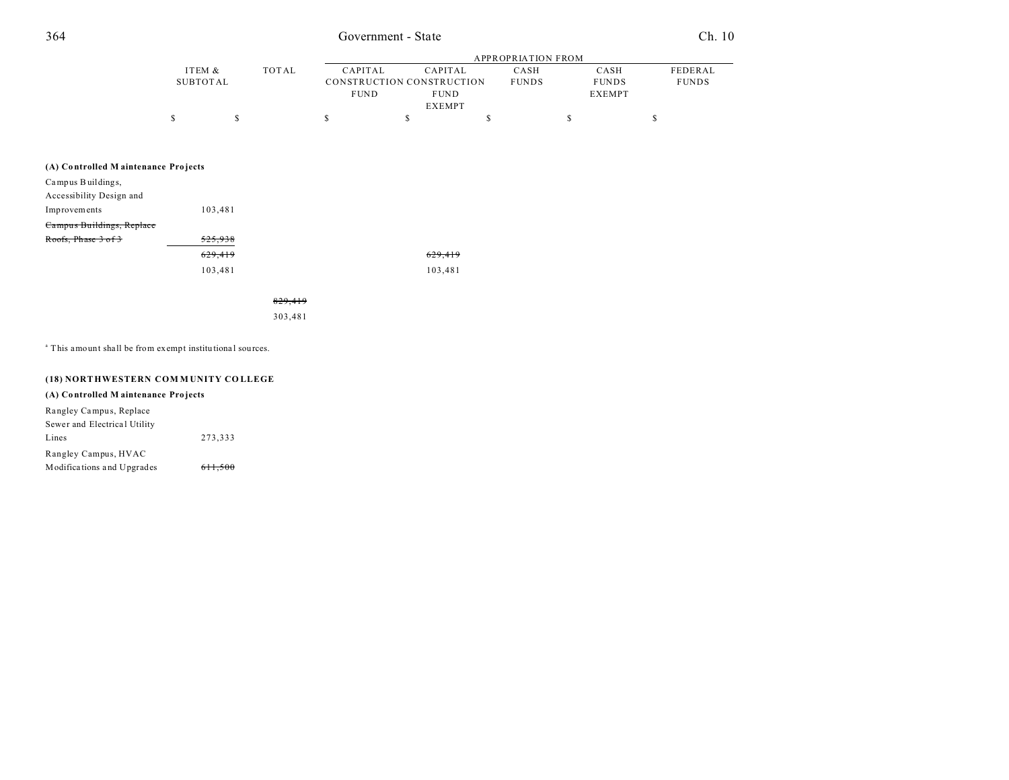## 364 Government - State Ch. 10

|          |       | APPROPRIATION FROM |                           |              |               |              |  |
|----------|-------|--------------------|---------------------------|--------------|---------------|--------------|--|
| ITEM &   | TOTAL | CAPITAL            | CAPITAL                   | CASH         | CASH          | FEDERAL      |  |
| SUBTOTAL |       |                    | CONSTRUCTION CONSTRUCTION | <b>FUNDS</b> | <b>FUNDS</b>  | <b>FUNDS</b> |  |
|          |       | <b>FUND</b>        | <b>FUND</b>               |              | <b>EXEMPT</b> |              |  |
|          |       |                    | <b>EXEMPT</b>             |              |               |              |  |
|          |       |                    |                           |              |               |              |  |

#### **(A) Co ntrolled M aintenance Pro jects**

| Campus Buildings,         |         |         |
|---------------------------|---------|---------|
| Accessibility Design and  |         |         |
| Improvements              | 103.481 |         |
| Campus Buildings, Replace |         |         |
| Roofs, Phase 3 of 3       | 525.938 |         |
|                           | 629,419 | 629,419 |
|                           | 103,481 | 103.481 |

829,419

303,481

<sup>a</sup> This amount shall be from exempt institutional sources.

### **(18) NORT HWESTERN COM M UNITY CO LLEGE**

### **(A) Co ntrolled M aintenance Pro jects**

| Rangley Campus, Replace      |         |
|------------------------------|---------|
| Sewer and Electrical Utility |         |
| Lines                        | 273.333 |
| Rangley Campus, HVAC         |         |
| Modifications and Upgrades   | 611.500 |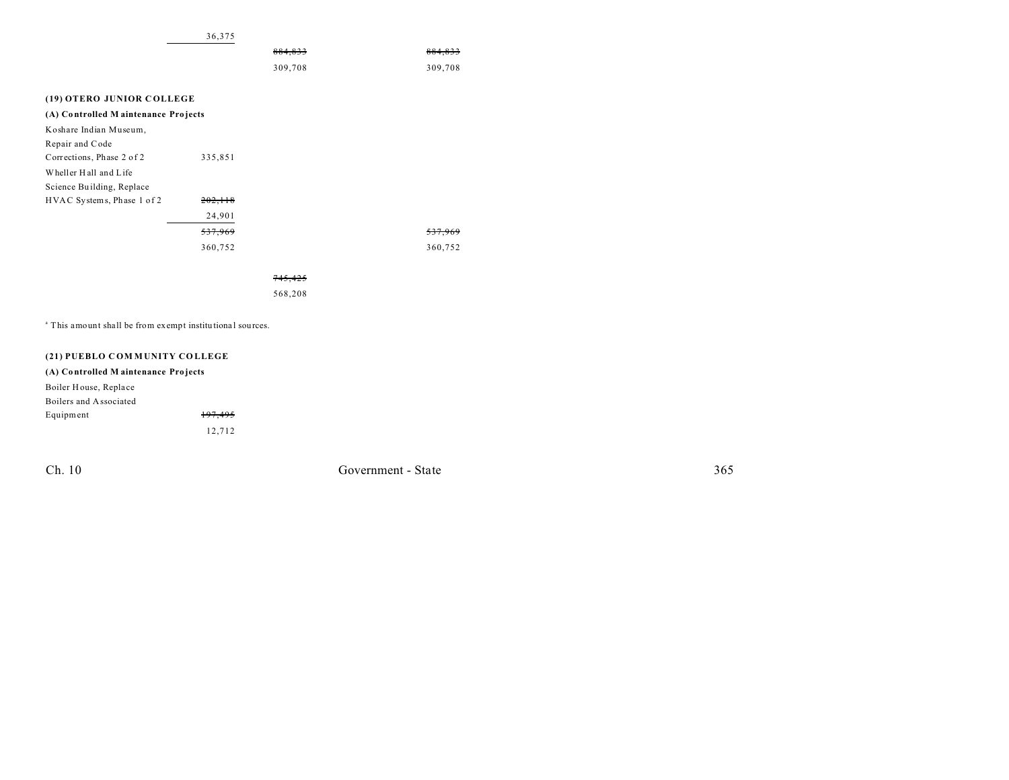|                                                                      | 36,375  |                    |         |
|----------------------------------------------------------------------|---------|--------------------|---------|
|                                                                      |         | 884.833            | 884.833 |
|                                                                      |         | 309,708            | 309,708 |
|                                                                      |         |                    |         |
| (19) OTERO JUNIOR COLLEGE                                            |         |                    |         |
| (A) Controlled Maintenance Projects                                  |         |                    |         |
| Koshare Indian Museum,                                               |         |                    |         |
| Repair and Code                                                      |         |                    |         |
| Corrections, Phase 2 of 2                                            | 335,851 |                    |         |
| Wheller Hall and Life                                                |         |                    |         |
| Science Building, Replace                                            |         |                    |         |
| HVAC Systems, Phase 1 of 2                                           | 202,118 |                    |         |
|                                                                      | 24,901  |                    |         |
|                                                                      | 537,969 |                    | 537,965 |
|                                                                      | 360,752 |                    | 360,752 |
|                                                                      |         |                    |         |
|                                                                      |         | <del>745.425</del> |         |
|                                                                      |         | 568,208            |         |
|                                                                      |         |                    |         |
| <sup>a</sup> This amount shall be from exempt institutional sources. |         |                    |         |

**(21) PUEBLO C OM M UNITY CO LLEGE**

### **(A) Co ntrolled M aintenance Pro jects** Boiler House, Repla ce Boilers and Associated Equipment 197,495 12,712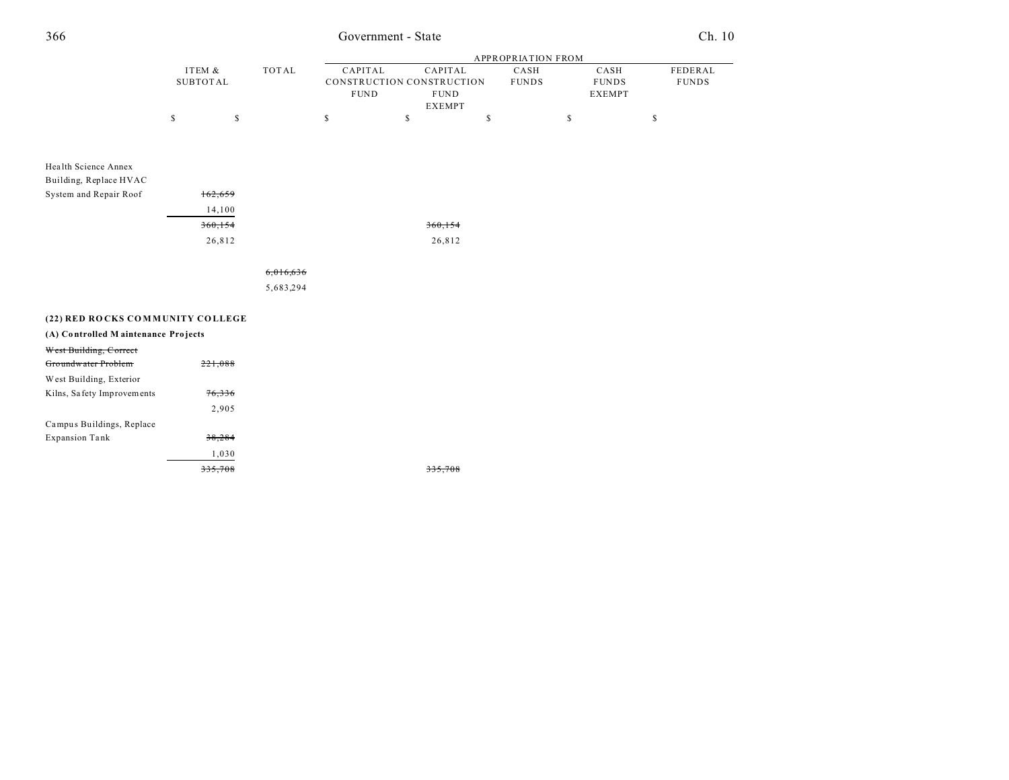## Government - State

|                                     |                           |         |              | APPROPRIATION FROM |                         |                                                                      |    |                      |    |                                       |                         |
|-------------------------------------|---------------------------|---------|--------------|--------------------|-------------------------|----------------------------------------------------------------------|----|----------------------|----|---------------------------------------|-------------------------|
|                                     | ITEM &<br><b>SUBTOTAL</b> |         | <b>TOTAL</b> |                    | CAPITAL<br>${\rm FUND}$ | CAPITAL<br>CONSTRUCTION CONSTRUCTION<br><b>FUND</b><br><b>EXEMPT</b> |    | CASH<br><b>FUNDS</b> |    | CASH<br><b>FUNDS</b><br><b>EXEMPT</b> | FEDERAL<br><b>FUNDS</b> |
|                                     | $\mathsf S$               | \$      |              | \$                 | $\mathbb{S}$            |                                                                      | \$ |                      | \$ |                                       | \$                      |
|                                     |                           |         |              |                    |                         |                                                                      |    |                      |    |                                       |                         |
| Health Science Annex                |                           |         |              |                    |                         |                                                                      |    |                      |    |                                       |                         |
| Building, Replace HVAC              |                           |         |              |                    |                         |                                                                      |    |                      |    |                                       |                         |
| System and Repair Roof              |                           | 162,659 |              |                    |                         |                                                                      |    |                      |    |                                       |                         |
|                                     |                           | 14,100  |              |                    |                         |                                                                      |    |                      |    |                                       |                         |
|                                     |                           | 360,154 |              |                    |                         | 360, 154                                                             |    |                      |    |                                       |                         |
|                                     |                           | 26,812  |              |                    |                         | 26,812                                                               |    |                      |    |                                       |                         |
|                                     |                           |         | 6,016,636    |                    |                         |                                                                      |    |                      |    |                                       |                         |
|                                     |                           |         | 5,683,294    |                    |                         |                                                                      |    |                      |    |                                       |                         |
| (22) RED ROCKS COMMUNITY COLLEGE    |                           |         |              |                    |                         |                                                                      |    |                      |    |                                       |                         |
| (A) Controlled Maintenance Projects |                           |         |              |                    |                         |                                                                      |    |                      |    |                                       |                         |
| West Building, Correct              |                           |         |              |                    |                         |                                                                      |    |                      |    |                                       |                         |
| Groundwater Problem                 |                           | 221,088 |              |                    |                         |                                                                      |    |                      |    |                                       |                         |
| West Building, Exterior             |                           |         |              |                    |                         |                                                                      |    |                      |    |                                       |                         |
| Kilns, Safety Improvements          |                           | 76,336  |              |                    |                         |                                                                      |    |                      |    |                                       |                         |
|                                     |                           | 2,905   |              |                    |                         |                                                                      |    |                      |    |                                       |                         |
| Campus Buildings, Replace           |                           |         |              |                    |                         |                                                                      |    |                      |    |                                       |                         |

38,284 1,030  $335,708$ 

335,708

**Expansion Tank**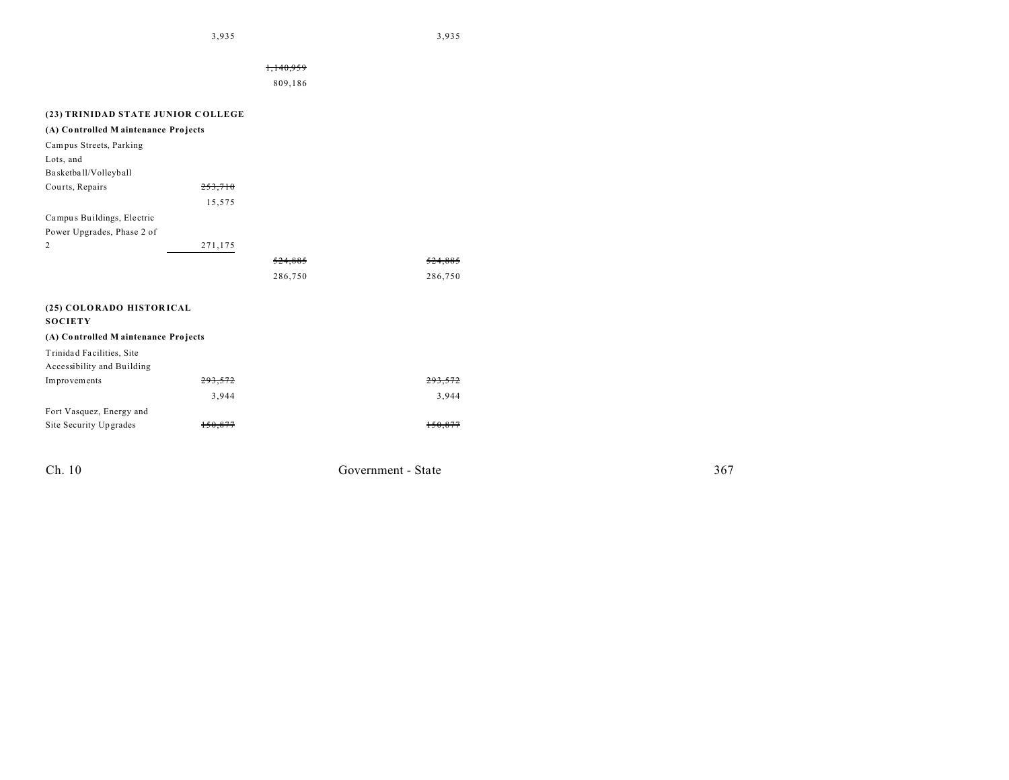3,935 3,935

|                                     |         | 809,186 |                    |
|-------------------------------------|---------|---------|--------------------|
|                                     |         |         |                    |
| (23) TRINIDAD STATE JUNIOR COLLEGE  |         |         |                    |
| (A) Controlled Maintenance Projects |         |         |                    |
| Campus Streets, Parking             |         |         |                    |
| Lots, and                           |         |         |                    |
| Basketball/Volleyball               |         |         |                    |
| Courts, Repairs                     | 253,710 |         |                    |
|                                     | 15,575  |         |                    |
| Campus Buildings, Electric          |         |         |                    |
| Power Upgrades, Phase 2 of          |         |         |                    |
| $\mathbf{2}$                        | 271,175 |         |                    |
|                                     |         | 524,885 | <del>524,885</del> |
|                                     |         | 286,750 | 286,750            |
| (25) COLORADO HISTORICAL            |         |         |                    |
| <b>SOCIETY</b>                      |         |         |                    |
| (A) Controlled Maintenance Projects |         |         |                    |
| Trinidad Facilities, Site           |         |         |                    |
| Accessibility and Building          |         |         |                    |
| Improvements                        | 293,572 |         | 293.572            |
|                                     | 3,944   |         | 3,944              |
|                                     |         |         |                    |
| Fort Vasquez, Energy and            |         |         |                    |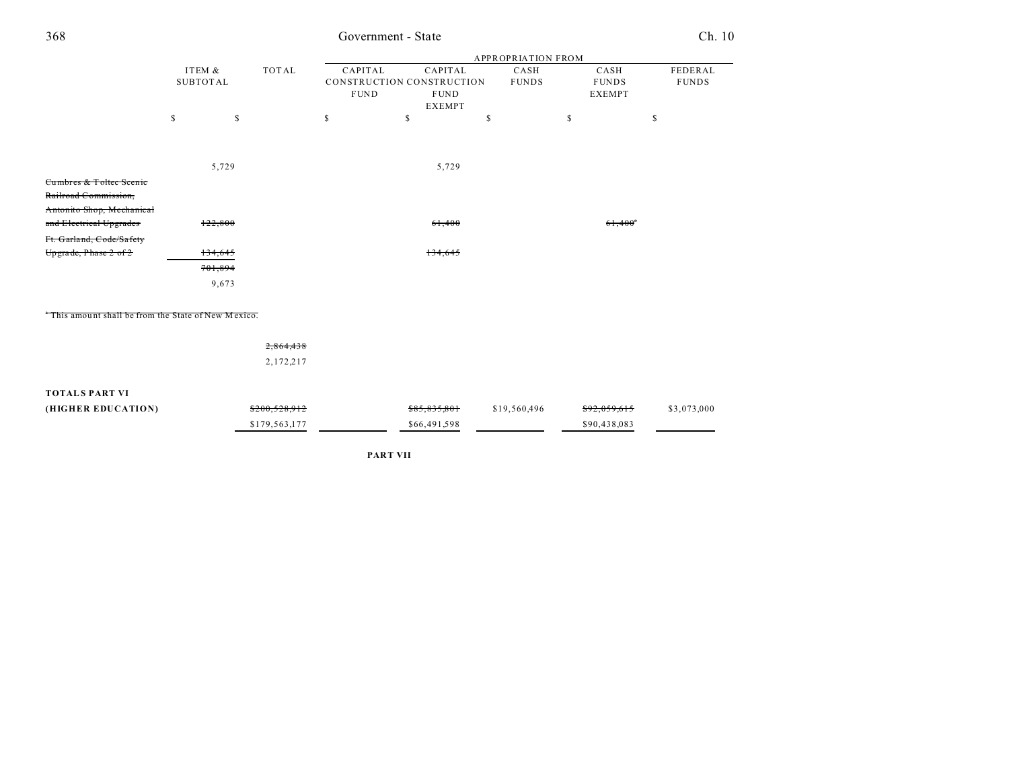| 368                                                 | Government - State        |           |                        |                                          |                          |  |                                       |                       | Ch. 10                  |
|-----------------------------------------------------|---------------------------|-----------|------------------------|------------------------------------------|--------------------------|--|---------------------------------------|-----------------------|-------------------------|
|                                                     |                           |           |                        | APPROPRIATION FROM                       |                          |  |                                       |                       |                         |
|                                                     | ITEM &<br><b>SUBTOTAL</b> | TOTAL     | CAPITAL<br><b>FUND</b> | CONSTRUCTION CONSTRUCTION<br><b>FUND</b> | CAPITAL<br><b>EXEMPT</b> |  | CASH<br><b>FUNDS</b><br><b>EXEMPT</b> |                       | FEDERAL<br><b>FUNDS</b> |
|                                                     | \$                        | \$        | \$                     | \$                                       | \$                       |  | <sup>\$</sup>                         | \$                    |                         |
|                                                     |                           |           |                        |                                          |                          |  |                                       |                       |                         |
|                                                     | 5,729                     |           |                        | 5,729                                    |                          |  |                                       |                       |                         |
| Cumbres & Toltec Scenic                             |                           |           |                        |                                          |                          |  |                                       |                       |                         |
| Railroad Commission,                                |                           |           |                        |                                          |                          |  |                                       |                       |                         |
| Antonito Shop, Mechanical                           |                           |           |                        |                                          |                          |  |                                       |                       |                         |
| and Electrical Upgrades                             | 122,800                   |           |                        | 61,400                                   |                          |  |                                       | $61,400$ <sup>*</sup> |                         |
| Ft. Garland, Code/Safety                            |                           |           |                        |                                          |                          |  |                                       |                       |                         |
| Upgrade, Phase 2 of 2                               | 134,645                   |           |                        | 134,645                                  |                          |  |                                       |                       |                         |
|                                                     | 701,894                   |           |                        |                                          |                          |  |                                       |                       |                         |
|                                                     | 9,673                     |           |                        |                                          |                          |  |                                       |                       |                         |
| "This amount shall be from the State of New Mexico. |                           |           |                        |                                          |                          |  |                                       |                       |                         |
|                                                     |                           | 2,864,438 |                        |                                          |                          |  |                                       |                       |                         |
|                                                     |                           | 2,172,217 |                        |                                          |                          |  |                                       |                       |                         |
| <b>TOTALS PART VI</b>                               |                           |           |                        |                                          |                          |  |                                       |                       |                         |

| (HIGHER EDUCATION) | \$200,528,912 | \$85,835,801 | \$19.560.496 | \$92.059.615 | \$3,073,000 |
|--------------------|---------------|--------------|--------------|--------------|-------------|
|                    | \$179.563.177 | \$66,491,598 |              | \$90.438.083 |             |

PART VII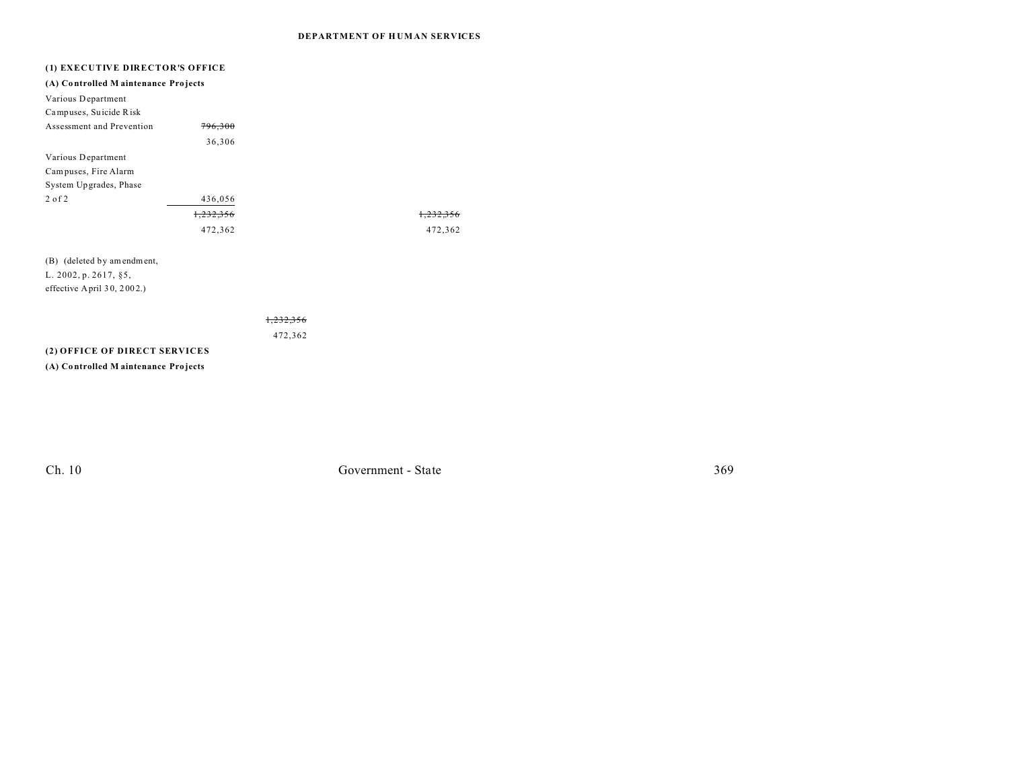### **DEPARTMENT OF H UM AN SERVICES**

| (1) EXECUTIVE DIRECTOR'S OFFICE     |           |         |
|-------------------------------------|-----------|---------|
| (A) Controlled Maintenance Projects |           |         |
| Various Department                  |           |         |
| Campuses, Suicide Risk              |           |         |
| Assessment and Prevention           | 796,300   |         |
|                                     | 36,306    |         |
| Various Department                  |           |         |
| Campuses, Fire Alarm                |           |         |
| System Upgrades, Phase              |           |         |
| $2$ of $2$                          | 436,056   |         |
|                                     | 1,232,356 |         |
|                                     | 472,362   | 472,362 |
| (B) (deleted by amendment,          |           |         |
| L. 2002, p. 2617, §5,               |           |         |
| effective April $30, 2002$ .)       |           |         |
|                                     |           |         |
|                                     |           |         |

472,362

### **(2) OFFICE OF DIRECT SERVICES**

**(A) Co ntrolled M aintenance Pro jects**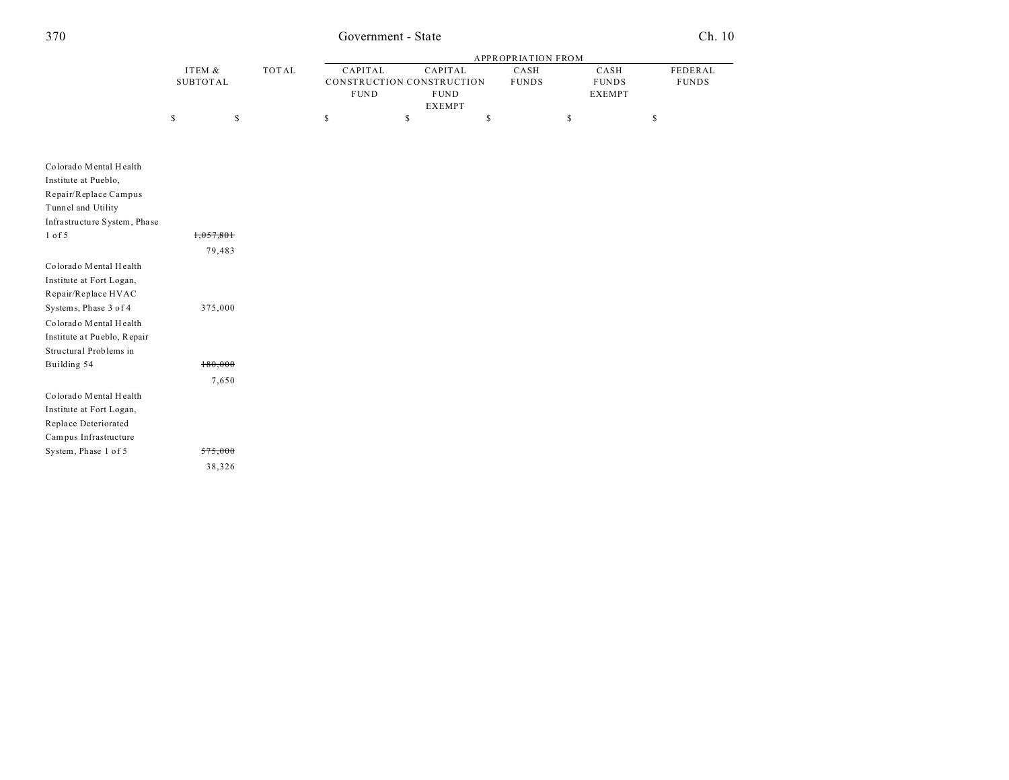## Government - State

 $Ch. 10$ 

|                              |                 |       |              | <b>APPROPRIATION FROM</b>                |    |               |              |                               |              |  |  |
|------------------------------|-----------------|-------|--------------|------------------------------------------|----|---------------|--------------|-------------------------------|--------------|--|--|
|                              | ITEM &          |       | <b>TOTAL</b> | CAPITAL                                  |    | CAPITAL       | CASH         | CASH                          | FEDERAL      |  |  |
|                              | <b>SUBTOTAL</b> |       |              | CONSTRUCTION CONSTRUCTION<br><b>FUND</b> |    | <b>FUND</b>   | <b>FUNDS</b> | <b>FUNDS</b><br><b>EXEMPT</b> | <b>FUNDS</b> |  |  |
|                              |                 |       |              |                                          |    | <b>EXEMPT</b> |              |                               |              |  |  |
|                              | \$              | \$    |              | \$                                       | \$ |               | \$           | \$                            | $\mathbb{S}$ |  |  |
|                              |                 |       |              |                                          |    |               |              |                               |              |  |  |
|                              |                 |       |              |                                          |    |               |              |                               |              |  |  |
| Colorado Mental Health       |                 |       |              |                                          |    |               |              |                               |              |  |  |
| Institute at Pueblo,         |                 |       |              |                                          |    |               |              |                               |              |  |  |
| Repair/Replace Campus        |                 |       |              |                                          |    |               |              |                               |              |  |  |
| Tunnel and Utility           |                 |       |              |                                          |    |               |              |                               |              |  |  |
| Infrastructure System, Phase |                 |       |              |                                          |    |               |              |                               |              |  |  |
| $1$ of $5$                   | 1,057,801       |       |              |                                          |    |               |              |                               |              |  |  |
|                              | 79,483          |       |              |                                          |    |               |              |                               |              |  |  |
| Colorado Mental Health       |                 |       |              |                                          |    |               |              |                               |              |  |  |
| Institute at Fort Logan,     |                 |       |              |                                          |    |               |              |                               |              |  |  |
| Repair/Replace HVAC          |                 |       |              |                                          |    |               |              |                               |              |  |  |
| Systems, Phase 3 of 4        | 375,000         |       |              |                                          |    |               |              |                               |              |  |  |
| Colorado Mental Health       |                 |       |              |                                          |    |               |              |                               |              |  |  |
| Institute at Pueblo, Repair  |                 |       |              |                                          |    |               |              |                               |              |  |  |
| Structural Problems in       |                 |       |              |                                          |    |               |              |                               |              |  |  |
| Building 54                  | 180,000         |       |              |                                          |    |               |              |                               |              |  |  |
|                              |                 | 7,650 |              |                                          |    |               |              |                               |              |  |  |
| Colorado Mental Health       |                 |       |              |                                          |    |               |              |                               |              |  |  |
| Institute at Fort Logan,     |                 |       |              |                                          |    |               |              |                               |              |  |  |
| Replace Deteriorated         |                 |       |              |                                          |    |               |              |                               |              |  |  |
| Campus Infrastructure        |                 |       |              |                                          |    |               |              |                               |              |  |  |
| System, Phase 1 of 5         | 575,000         |       |              |                                          |    |               |              |                               |              |  |  |
|                              | 38,326          |       |              |                                          |    |               |              |                               |              |  |  |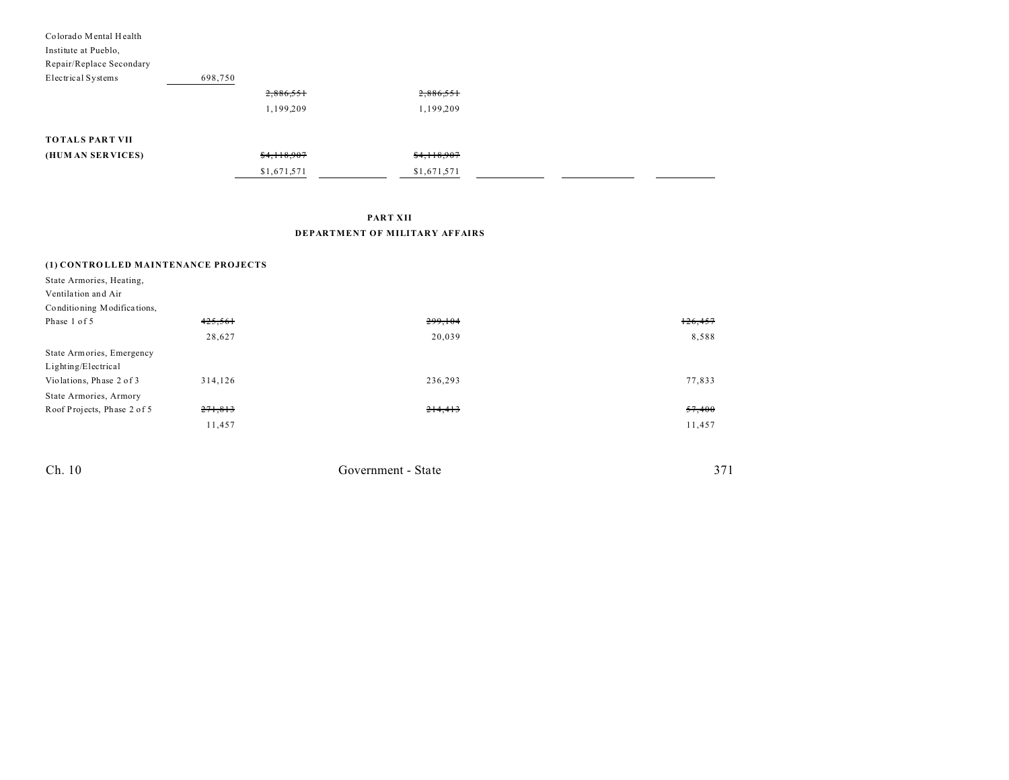| Colorado Mental Health<br>Institute at Pueblo,<br>Repair/Replace Secondary |             |             |  |  |
|----------------------------------------------------------------------------|-------------|-------------|--|--|
| Electrical Systems                                                         | 698,750     |             |  |  |
|                                                                            | 2,886,551   | 2,886,551   |  |  |
|                                                                            | 1,199,209   | 1,199,209   |  |  |
| <b>TOTALS PART VII</b>                                                     |             |             |  |  |
| (HUM AN SERVICES)                                                          | \$4,118,907 | \$4,118,907 |  |  |
|                                                                            | \$1,671,571 | \$1,671,571 |  |  |

**PART XII**

### **DEPARTMENT OF MILITARY AFFAIRS**

| (1) CONTROLLED MAINTENANCE PROJECTS |         |         |         |
|-------------------------------------|---------|---------|---------|
| State Armories, Heating,            |         |         |         |
| Ventilation and Air                 |         |         |         |
| Conditioning Modifications,         |         |         |         |
| Phase 1 of 5                        | 425,561 | 299,104 | 126,457 |
|                                     | 28,627  | 20,039  | 8,588   |
| State Armories, Emergency           |         |         |         |
| Lighting/Electrical                 |         |         |         |
| Violations, Phase 2 of 3            | 314,126 | 236,293 | 77,833  |
| State Armories, Armory              |         |         |         |
| Roof Projects, Phase 2 of 5         | 271,813 | 214,413 | 57,400  |
|                                     | 11,457  |         | 11,457  |
|                                     |         |         |         |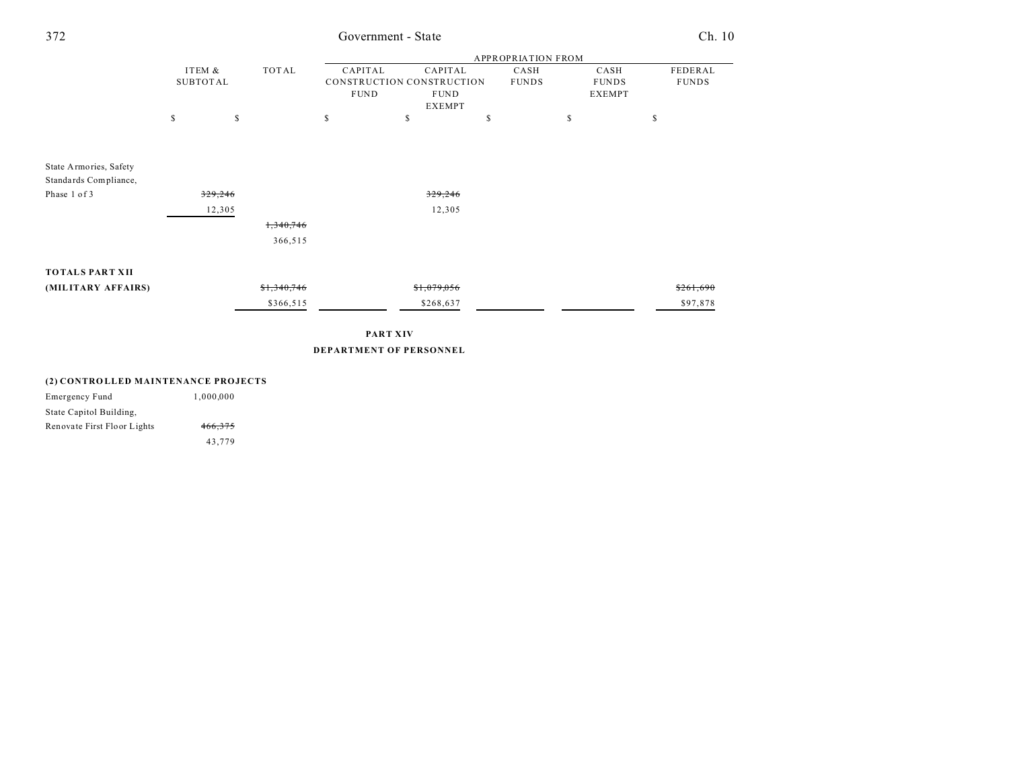| 372                    | Government - State        |             |    |                 |                           |    |              |    | Ch. 10        |              |
|------------------------|---------------------------|-------------|----|-----------------|---------------------------|----|--------------|----|---------------|--------------|
|                        | <b>APPROPRIATION FROM</b> |             |    |                 |                           |    |              |    |               |              |
|                        | ITEM &                    | TOTAL       |    | CAPITAL         | CAPITAL                   |    | CASH         |    | CASH          | FEDERAL      |
|                        | <b>SUBTOTAL</b>           |             |    |                 | CONSTRUCTION CONSTRUCTION |    | <b>FUNDS</b> |    | <b>FUNDS</b>  | <b>FUNDS</b> |
|                        |                           |             |    | <b>FUND</b>     | <b>FUND</b>               |    |              |    | <b>EXEMPT</b> |              |
|                        |                           |             |    |                 | <b>EXEMPT</b>             |    |              |    |               |              |
|                        | $\mathbb S$               | \$          | \$ |                 | \$                        | \$ |              | \$ |               | \$           |
|                        |                           |             |    |                 |                           |    |              |    |               |              |
|                        |                           |             |    |                 |                           |    |              |    |               |              |
| State Armories, Safety |                           |             |    |                 |                           |    |              |    |               |              |
| Standards Compliance,  |                           |             |    |                 |                           |    |              |    |               |              |
| Phase 1 of 3           | 329,246                   |             |    |                 | 329,246                   |    |              |    |               |              |
|                        |                           | 12,305      |    |                 | 12,305                    |    |              |    |               |              |
|                        |                           | 1,340,746   |    |                 |                           |    |              |    |               |              |
|                        |                           | 366,515     |    |                 |                           |    |              |    |               |              |
|                        |                           |             |    |                 |                           |    |              |    |               |              |
| <b>TOTALS PART XII</b> |                           |             |    |                 |                           |    |              |    |               |              |
|                        |                           |             |    |                 |                           |    |              |    |               |              |
| (MILITARY AFFAIRS)     |                           | \$1,340,746 |    |                 | \$1,079,056               |    |              |    |               | \$261,690    |
|                        |                           | \$366,515   |    |                 | \$268,637                 |    |              |    |               | \$97,878     |
|                        |                           |             |    |                 |                           |    |              |    |               |              |
|                        |                           |             |    | <b>PART XIV</b> |                           |    |              |    |               |              |
|                        |                           |             |    |                 | DEPARTMENT OF PERSONNEL   |    |              |    |               |              |
|                        |                           |             |    |                 |                           |    |              |    |               |              |
|                        |                           |             |    |                 |                           |    |              |    |               |              |

### **(2) CONTRO LLED MAINTENANCE PROJECTS**

| Emergency Fund              | 1.000.000 |
|-----------------------------|-----------|
| State Capitol Building,     |           |
| Renovate First Floor Lights | 466.375   |
|                             | 43.779    |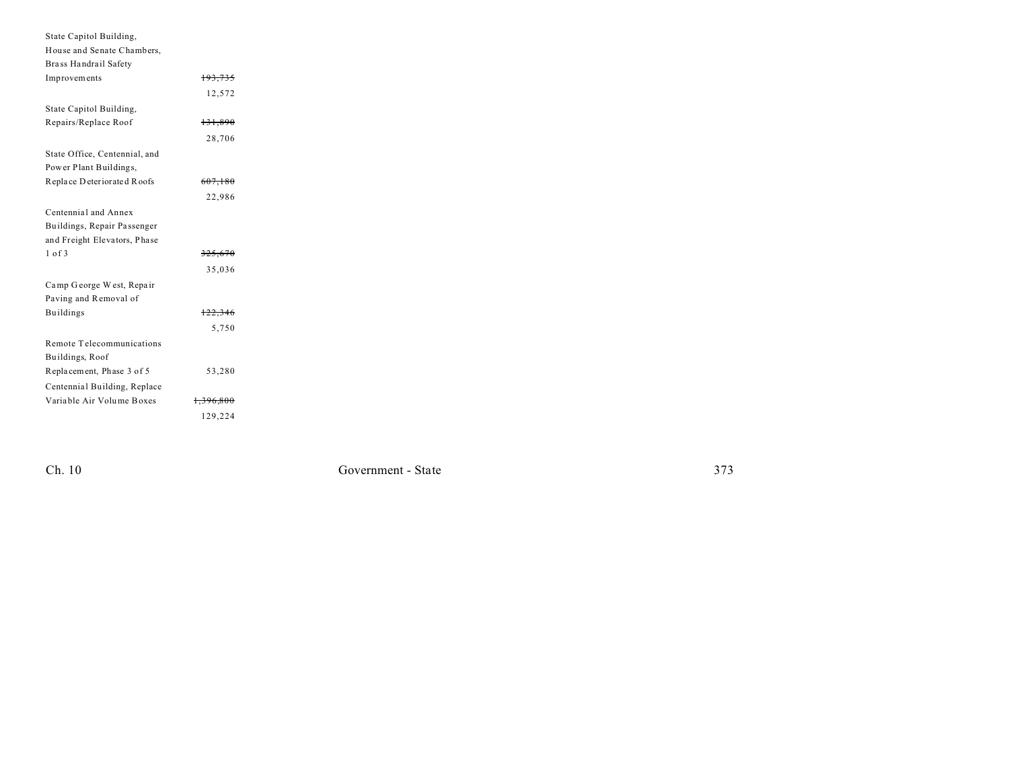| State Capitol Building,       |                      |  |
|-------------------------------|----------------------|--|
| House and Senate Chambers,    |                      |  |
| Brass Handrail Safety         |                      |  |
| Improvements                  | 193,735              |  |
|                               | 12.572               |  |
| State Capitol Building,       |                      |  |
| Repairs/Replace Roof          | 131,890              |  |
|                               | 28,706               |  |
| State Office, Centennial, and |                      |  |
| Power Plant Buildings,        |                      |  |
| Replace Deteriorated Roofs    | 607,180              |  |
|                               | 22,986               |  |
| Centennial and Annex          |                      |  |
| Buildings, Repair Passenger   |                      |  |
| and Freight Elevators, Phase  |                      |  |
| $1$ of $3$                    | 325,670              |  |
|                               | 35,036               |  |
| Camp George West, Repair      |                      |  |
| Paving and Removal of         |                      |  |
| <b>Buildings</b>              | 122,346              |  |
|                               | 5,750                |  |
| Remote Telecommunications     |                      |  |
| Buildings, Roof               |                      |  |
| Replacement, Phase 3 of 5     | 53,280               |  |
| Centennial Building, Replace  |                      |  |
| Variable Air Volume Boxes     | <del>1,396,800</del> |  |
|                               | 129,224              |  |

 $Ch. 10$ 

Government - State

373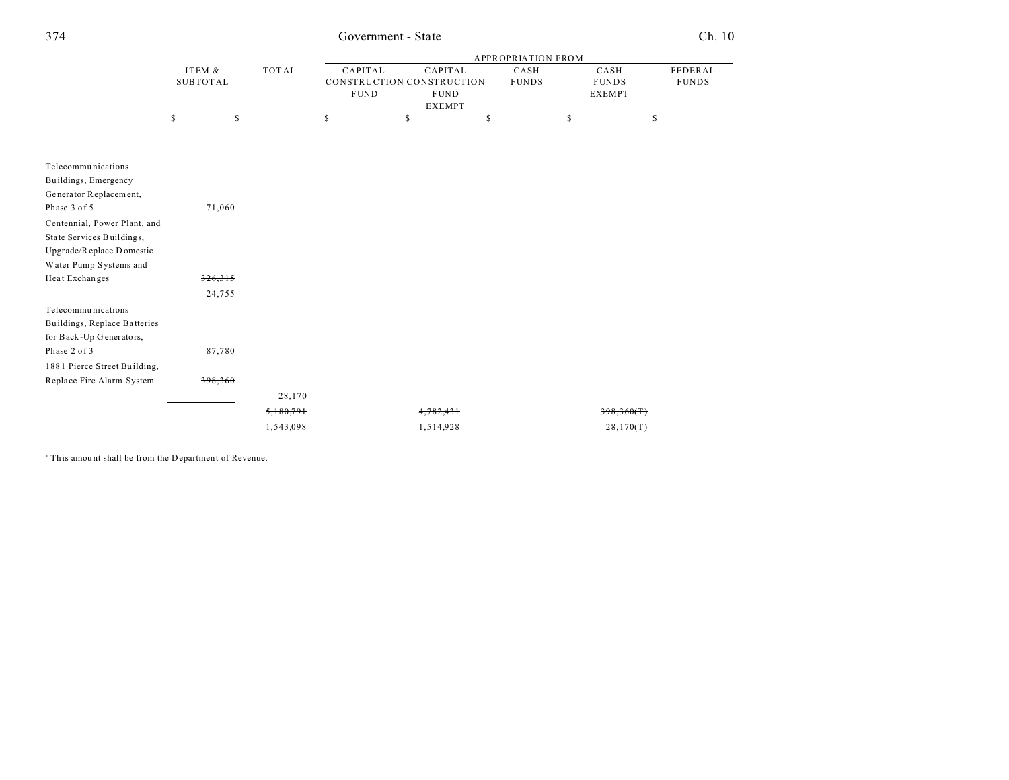## Government - State

## $Ch. 10$

|                              |                 |              | <b>APPROPRIATION FROM</b> |                           |              |                   |              |  |  |
|------------------------------|-----------------|--------------|---------------------------|---------------------------|--------------|-------------------|--------------|--|--|
|                              | ITEM &          | <b>TOTAL</b> | CAPITAL                   | CAPITAL                   | CASH         | CASH              | FEDERAL      |  |  |
|                              | <b>SUBTOTAL</b> |              |                           | CONSTRUCTION CONSTRUCTION | <b>FUNDS</b> | <b>FUNDS</b>      | <b>FUNDS</b> |  |  |
|                              |                 |              | <b>FUND</b>               | <b>FUND</b>               |              | <b>EXEMPT</b>     |              |  |  |
|                              |                 |              |                           | <b>EXEMPT</b>             |              |                   |              |  |  |
|                              | \$<br>\$        |              | \$                        | \$<br>\$                  |              | \$<br>$\mathbb S$ |              |  |  |
|                              |                 |              |                           |                           |              |                   |              |  |  |
| Telecommunications           |                 |              |                           |                           |              |                   |              |  |  |
| Buildings, Emergency         |                 |              |                           |                           |              |                   |              |  |  |
| Generator Replacement,       |                 |              |                           |                           |              |                   |              |  |  |
| Phase 3 of 5                 | 71,060          |              |                           |                           |              |                   |              |  |  |
| Centennial, Power Plant, and |                 |              |                           |                           |              |                   |              |  |  |
| State Services Buildings,    |                 |              |                           |                           |              |                   |              |  |  |
| Upgrade/Replace Domestic     |                 |              |                           |                           |              |                   |              |  |  |
| Water Pump Systems and       |                 |              |                           |                           |              |                   |              |  |  |
| Heat Exchanges               | 326,315         |              |                           |                           |              |                   |              |  |  |
|                              | 24,755          |              |                           |                           |              |                   |              |  |  |
| Telecommunications           |                 |              |                           |                           |              |                   |              |  |  |
| Buildings, Replace Batteries |                 |              |                           |                           |              |                   |              |  |  |
| for Back-Up Generators,      |                 |              |                           |                           |              |                   |              |  |  |
| Phase 2 of 3                 | 87,780          |              |                           |                           |              |                   |              |  |  |
| 1881 Pierce Street Building, |                 |              |                           |                           |              |                   |              |  |  |
| Replace Fire Alarm System    | 398,360         |              |                           |                           |              |                   |              |  |  |
|                              |                 | 28,170       |                           |                           |              |                   |              |  |  |
|                              |                 | 5,180,791    |                           | 4,782,431                 |              | 398,360(T)        |              |  |  |
|                              |                 | 1,543,098    |                           | 1,514,928                 |              | 28,170(T)         |              |  |  |

<sup>a</sup> This amount shall be from the Department of Revenue.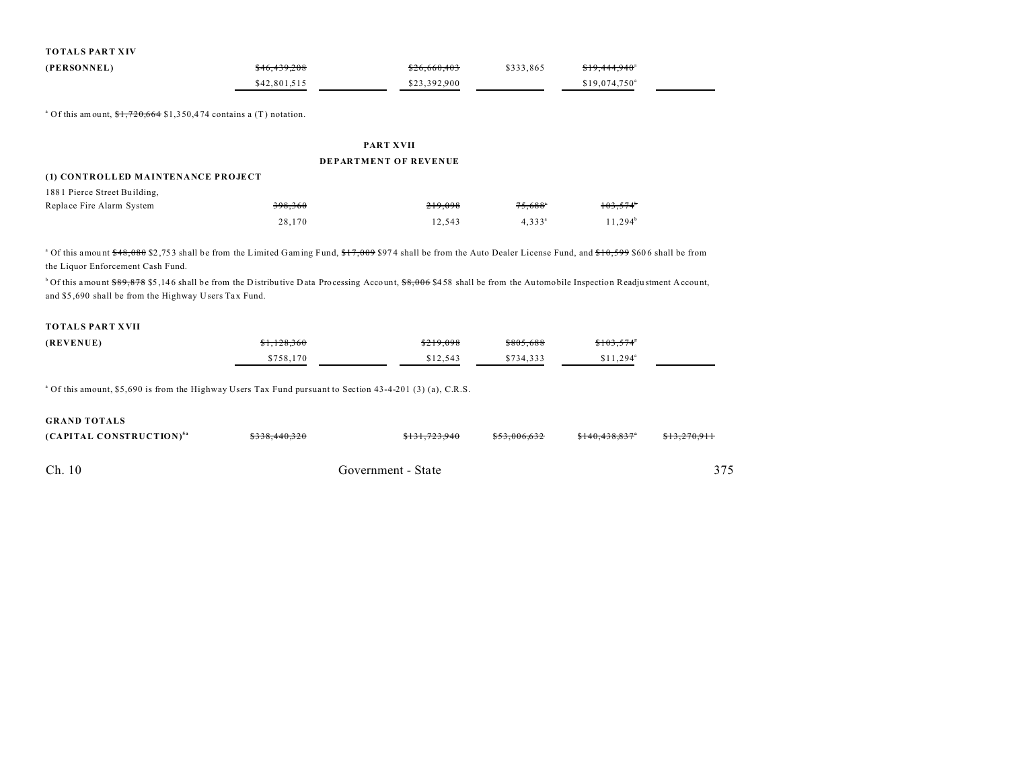| <b>TOTALS PART XIV</b> |  |
|------------------------|--|
|------------------------|--|

| (PERSONNEL) | \$46,439,208 | \$26,660,403 | \$333.865 | <del>\$19,444,940</del> <sup>a</sup> |
|-------------|--------------|--------------|-----------|--------------------------------------|
|             | \$42,801.515 | \$23,392,900 |           | $$19.074.750$ <sup>a</sup>           |

<sup>a</sup> Of this amount,  $1,720,664$  \$1,350,474 contains a (T) notation.

# PART XVII

### **DEPARTMENT OF REVENUE**

### (1) CONTROLLED MAINTENANCE PROJECT

| 1881 Pierce Street Building, |         |         |                       |                   |
|------------------------------|---------|---------|-----------------------|-------------------|
| Replace Fire Alarm System    | 398,360 | 219.098 | $75.688$ <sup>*</sup> | $103.574^{\circ}$ |
|                              | 28.170  | 12.543  | $4.333^{\circ}$       | $11.294^b$        |

<sup>a</sup> Of this amount \$48,080 \$2,753 shall be from the Limited Gaming Fund, \$17,009 \$974 shall be from the Auto Dealer License Fund, and \$10,599 \$606 shall be from the Liquor Enforcement Cash Fund.

<sup>b</sup> Of this amount \$89,878 \$5,146 shall be from the Distributive Data Processing Account, \$8,006 \$458 shall be from the Automobile Inspection Readjustment Account, and \$5,690 shall be from the Highway Users Tax Fund.

### **TOTALS PART XVII**

| (REVENUE) | <del>\$1,128,360</del> | \$219.098 | \$805,688 | \$103.574"             |  |
|-----------|------------------------|-----------|-----------|------------------------|--|
|           | \$758.170              | \$12.543  | \$734.333 | $$11.294$ <sup>a</sup> |  |

<sup>a</sup> Of this amount, \$5,690 is from the Highway Users Tax Fund pursuant to Section 43-4-201 (3) (a), C.R.S.

| <b>GRAND TOTALS</b>                  |               |                    |              |               |              |
|--------------------------------------|---------------|--------------------|--------------|---------------|--------------|
| (CAPITAL CONSTRUCTION) <sup>5a</sup> | \$338,440,320 | \$131,723,940      | \$53.006.632 | \$140,438,837 | \$13,270,911 |
| Ch. 10                               |               | Government - State |              |               | 375          |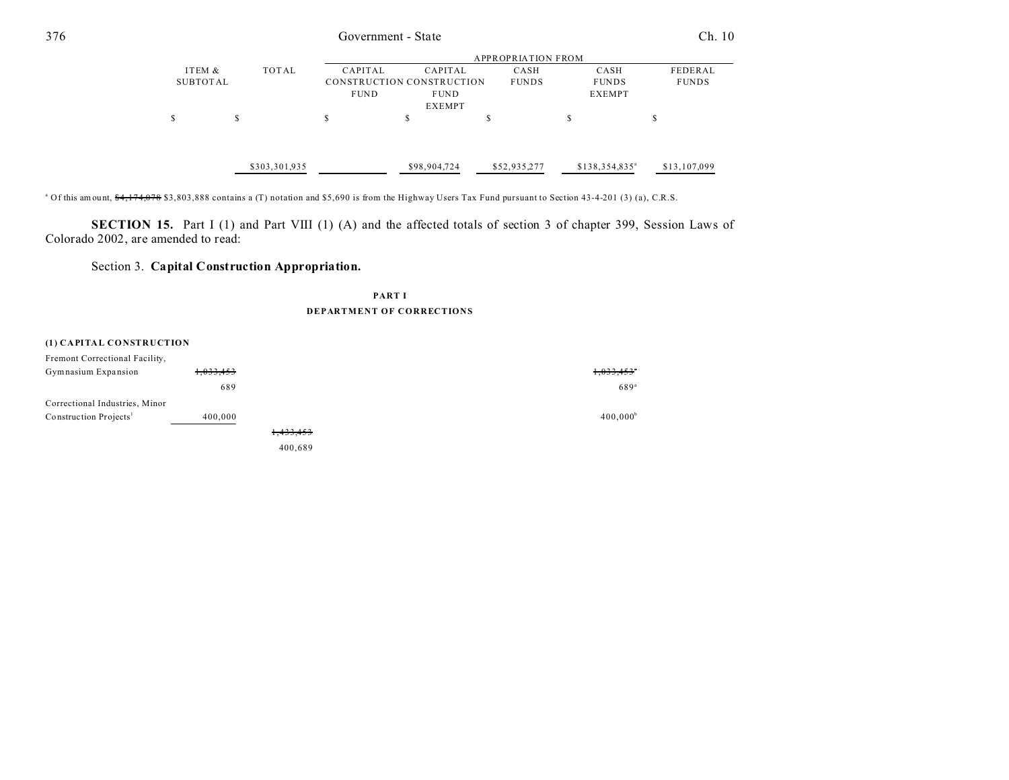| Government - State |   |          |                        |                        |                                                                                      |                           | Ch. 10 |  |
|--------------------|---|----------|------------------------|------------------------|--------------------------------------------------------------------------------------|---------------------------|--------|--|
|                    |   |          |                        |                        |                                                                                      |                           |        |  |
| ITEM &             |   |          |                        | CASH                   | CASH                                                                                 | FEDERAL                   |        |  |
|                    |   |          |                        | <b>FUNDS</b>           | <b>FUNDS</b>                                                                         | <b>FUNDS</b>              |        |  |
|                    |   |          |                        |                        | <b>EXEMPT</b>                                                                        |                           |        |  |
| S                  | S | S        | S                      | .ъ                     | S                                                                                    | J.                        |        |  |
|                    |   |          |                        | \$52,935,277           | $$138,354,835^a$                                                                     | \$13,107,099              |        |  |
|                    |   | SUBTOTAL | TOTAL<br>\$303,301,935 | CAPITAL<br><b>FUND</b> | CAPITAL<br>CONSTRUCTION CONSTRUCTION<br><b>FUND</b><br><b>EXEMPT</b><br>\$98,904,724 | <b>APPROPRIATION FROM</b> |        |  |

<sup>a</sup> Of this amount, <del>\$4,174,078</del> \$3,803,888 contains a (T) notation and \$5,690 is from the Highway Users Tax Fund pursuant to Section 43-4-201 (3) (a), C.R.S.

**SECTION 15.** Part I (1) and Part VIII (1) (A) and the affected totals of section 3 of chapter 399, Session Laws of Colorado 2002, are amended to read:

## Section 3. **Capital Construction Appropriation.**

**PART I DEPARTMENT OF CORRECTIONS**

#### **(1) CAPITAL CONSTRUCTION**

| Fremont Correctional Facility,     |           |                      |                          |
|------------------------------------|-----------|----------------------|--------------------------|
| Gymnasium Expansion                | 1,033,453 |                      | $1,033,453$ <sup>*</sup> |
|                                    | 689       |                      | 689 <sup>a</sup>         |
| Correctional Industries, Minor     |           |                      |                          |
| Construction Projects <sup>1</sup> | 400,000   |                      | 400,000 <sup>b</sup>     |
|                                    |           | <del>1,433,453</del> |                          |
|                                    |           | 400.689              |                          |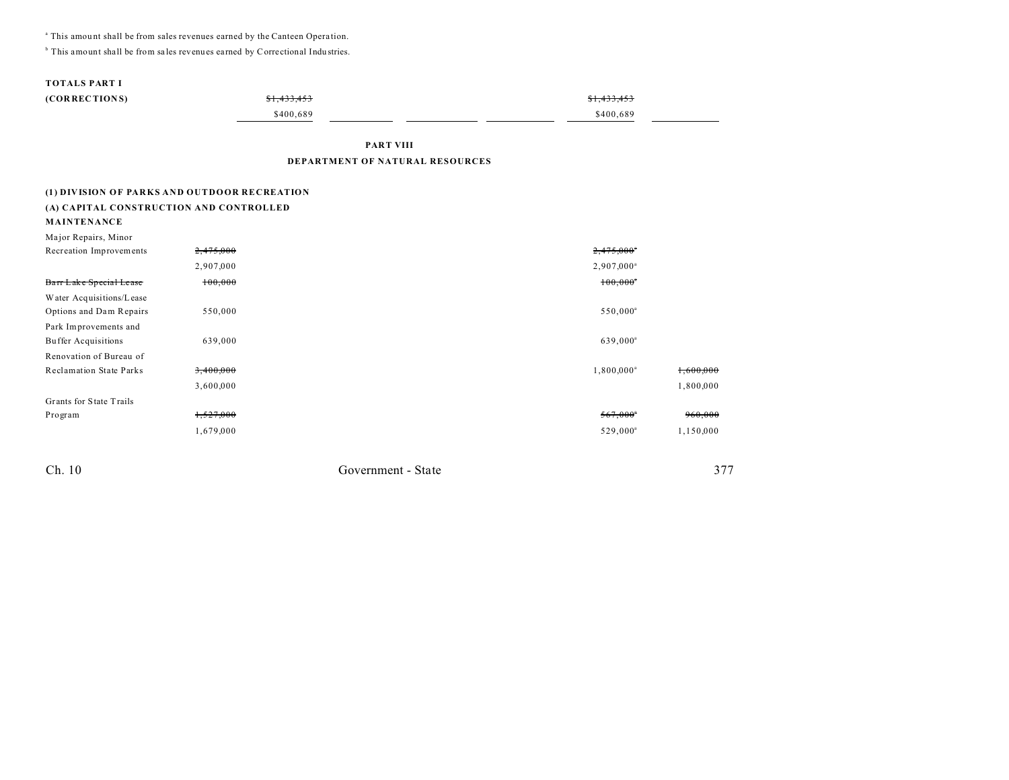<sup>a</sup> This amount shall be from sales revenues earned by the Canteen Operation.

<sup>b</sup> This amount shall be from sales revenues earned by Correctional Industries.

### **TOTALS PART I**

| (CORRECTIONS) | \$1,433,453 | \$1,433,453 |  |
|---------------|-------------|-------------|--|
|               | \$400.689   | \$400.689   |  |

PART VIII

### DEPARTMENT OF NATURAL RESOURCES

### (1) DIVISION OF PARKS AND OUTDOOR RECREATION

| (A) CAPITAL CONSTRUCTION AND CONTROLLED |  |
|-----------------------------------------|--|
| <b>MAINTENANCE</b>                      |  |

| Major Repairs, Minor           |           |                          |           |
|--------------------------------|-----------|--------------------------|-----------|
| Recreation Improvements        | 2,475,000 | $2,475,000$ <sup>*</sup> |           |
|                                | 2,907,000 | $2,907,000^{\circ}$      |           |
| Barr Lake Special Lease        | 100,000   | $100,000$ <sup>*</sup>   |           |
| Water Acquisitions/Lease       |           |                          |           |
| Options and Dam Repairs        | 550,000   | 550,000 <sup>a</sup>     |           |
| Park Improvements and          |           |                          |           |
| <b>Buffer Acquisitions</b>     | 639,000   | 639,000 <sup>a</sup>     |           |
| Renovation of Bureau of        |           |                          |           |
| <b>Reclamation State Parks</b> | 3,400,000 | 1,800,000 <sup>a</sup>   | 1,600,000 |
|                                | 3,600,000 |                          | 1,800,000 |
| Grants for State Trails        |           |                          |           |
| Program                        | 1,527,000 | 567,000                  | 960,000   |
|                                | 1,679,000 | 529,000 <sup>a</sup>     | 1,150,000 |

Ch. 10

Government - State

377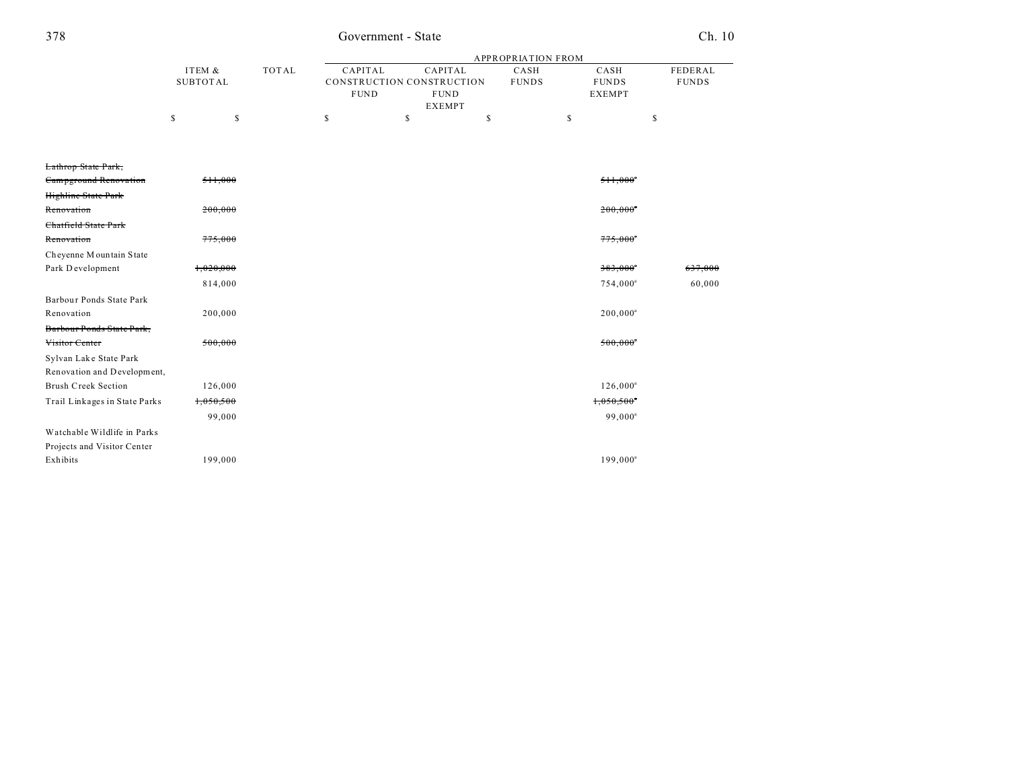## Government - State

## $Ch. 10$

|          |       | APPROPRIATION FROM |                           |              |               |              |
|----------|-------|--------------------|---------------------------|--------------|---------------|--------------|
| ITEM &   | TOTAL | CAPITAL            | CAPITAL                   | CASH         | CASH          | FEDERAL      |
| SUBTOTAL |       |                    | CONSTRUCTION CONSTRUCTION | <b>FUNDS</b> | <b>FUNDS</b>  | <b>FUNDS</b> |
|          |       | <b>FUND</b>        | <b>FUND</b>               |              | <b>EXEMPT</b> |              |
|          |       |                    | <b>EXEMPT</b>             |              |               |              |
|          |       |                    |                           |              |               |              |

| Lathrop State Park,           |           |                          |         |
|-------------------------------|-----------|--------------------------|---------|
| Campground Renovation         | 511,000   | $511,000$ <sup>*</sup>   |         |
| Highline State Park           |           |                          |         |
| Renovation                    | 200,000   | $200,000$ <sup>*</sup>   |         |
| Chatfield State Park          |           |                          |         |
| Renovation                    | 775,000   | $775,000^{\circ}$        |         |
| Cheyenne Mountain State       |           |                          |         |
| Park Development              | 1,020,000 | $383,000$ <sup>*</sup>   | 637,000 |
|                               | 814,000   | 754,000 <sup>a</sup>     | 60,000  |
| Barbour Ponds State Park      |           |                          |         |
| Renovation                    | 200,000   | $200,000^a$              |         |
| Barbour Ponds State Park,     |           |                          |         |
| Visitor Center                | 500,000   | $500,000$ <sup>*</sup>   |         |
| Sylvan Lake State Park        |           |                          |         |
| Renovation and Development,   |           |                          |         |
| <b>Brush Creek Section</b>    | 126,000   | $126,000^a$              |         |
| Trail Linkages in State Parks | 1,050,500 | $1,050,500$ <sup>*</sup> |         |
|                               | 99,000    | 99,000 <sup>a</sup>      |         |
| Watchable Wildlife in Parks   |           |                          |         |
| Projects and Visitor Center   |           |                          |         |
| Exhibits                      | 199,000   | $199,000^a$              |         |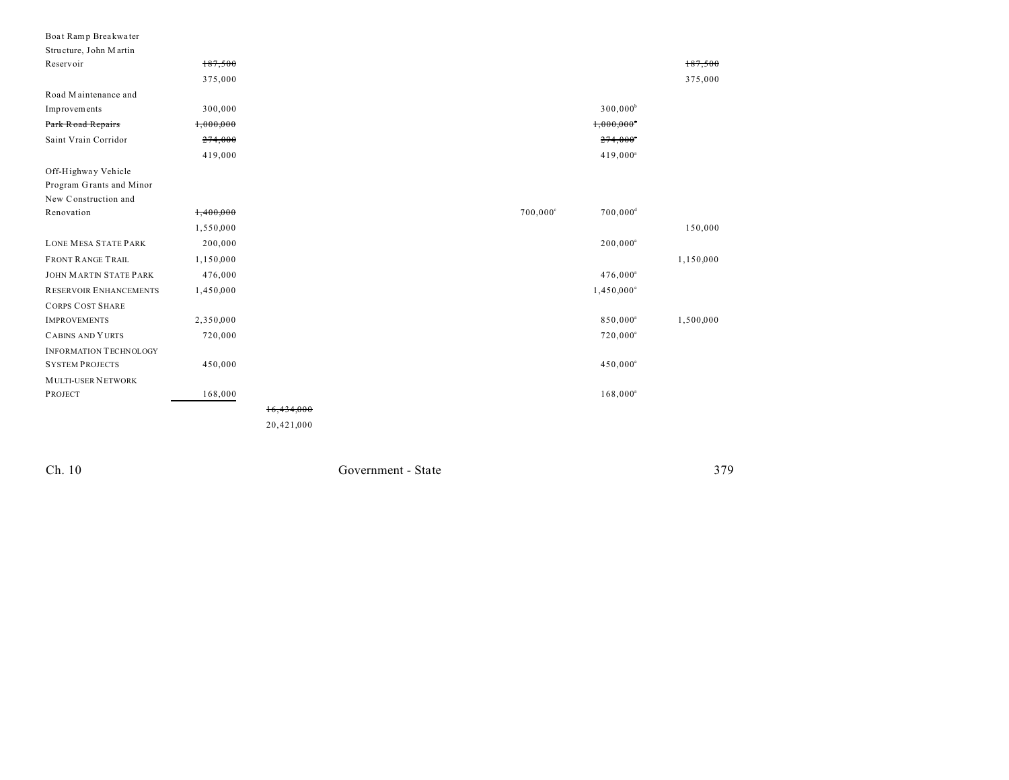| PROJECT                                        | 168,000   | 16,434,000        | $168,000^a$              |           |
|------------------------------------------------|-----------|-------------------|--------------------------|-----------|
| <b>MULTI-USER NETWORK</b>                      |           |                   |                          |           |
| <b>SYSTEM PROJECTS</b>                         | 450,000   |                   | 450,000 <sup>a</sup>     |           |
| <b>INFORMATION TECHNOLOGY</b>                  |           |                   |                          |           |
| <b>CABINS AND YURTS</b>                        | 720,000   |                   | $720,000^a$              |           |
| <b>IMPROVEMENTS</b>                            | 2,350,000 |                   | 850,000 <sup>a</sup>     | 1,500,000 |
| <b>CORPS COST SHARE</b>                        |           |                   |                          |           |
| RESERVOIR ENHANCEMENTS                         | 1,450,000 |                   | $1,450,000^a$            |           |
| <b>JOHN MARTIN STATE PARK</b>                  | 476,000   |                   | $476,000^a$              |           |
| <b>FRONT RANGE TRAIL</b>                       | 1,150,000 |                   |                          | 1,150,000 |
| <b>LONE MESA STATE PARK</b>                    | 200,000   |                   | $200,000^a$              |           |
|                                                | 1,550,000 |                   |                          | 150,000   |
| Renovation                                     | 1,400,000 | $700,000^{\circ}$ | $700,000$ <sup>d</sup>   |           |
| New Construction and                           |           |                   |                          |           |
| Program Grants and Minor                       |           |                   |                          |           |
| Off-Highway Vehicle                            |           |                   |                          |           |
|                                                | 419,000   |                   | 419,000 <sup>a</sup>     |           |
| Saint Vrain Corridor                           | 274,000   |                   | $274,000$ <sup>*</sup>   |           |
| Park Road Repairs                              | 1,000,000 |                   | $1,000,000$ <sup>*</sup> |           |
| Improvements                                   | 300,000   |                   | $300,000^b$              |           |
| Road Maintenance and                           |           |                   |                          |           |
|                                                | 375,000   |                   |                          | 375,000   |
| Reservoir                                      | 187,500   |                   |                          | 187,500   |
| Boat Ramp Breakwater<br>Structure, John Martin |           |                   |                          |           |

Ch. 10

Government - State

379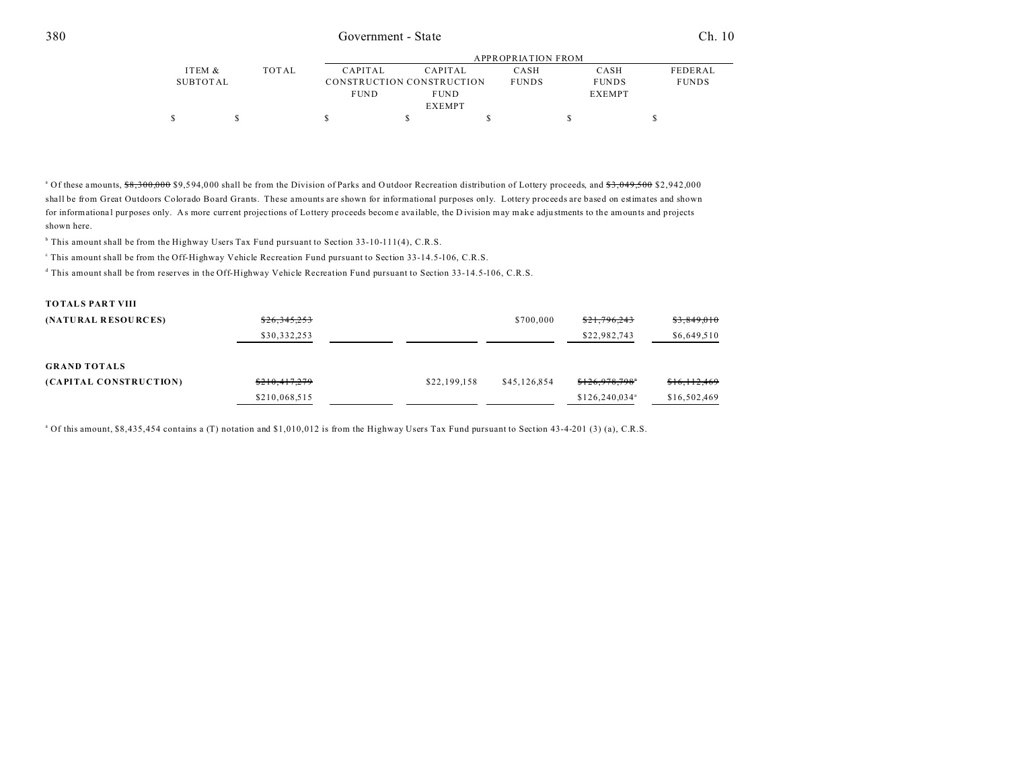|               |       |                |                           | APPROPRIATION FROM |               |                |  |  |  |
|---------------|-------|----------------|---------------------------|--------------------|---------------|----------------|--|--|--|
| ITEM &        | TOTAL | <b>CAPITAL</b> | <b>CAPITAL</b>            | CASH               | CASH          | <b>FEDERAL</b> |  |  |  |
| SUBTOTAL      |       |                | CONSTRUCTION CONSTRUCTION | <b>FUNDS</b>       | <b>FUNDS</b>  | <b>FUNDS</b>   |  |  |  |
|               |       | <b>FUND</b>    | <b>FUND</b>               |                    | <b>EXEMPT</b> |                |  |  |  |
| <b>EXEMPT</b> |       |                |                           |                    |               |                |  |  |  |
|               |       |                |                           |                    |               |                |  |  |  |

<sup>a</sup> Of these amounts,  $\frac{68,300,000}{3,000}$  \$9,594,000 shall be from the Division of Parks and Outdoor Recreation distribution of Lottery proceeds, and \$3,049,500 \$2,942,000 shall be from Great Outdoors Colorado Board Grants. These amounts are shown for informational purposes only. Lottery proceeds are based on estimates and shown for informational purposes only. As more current projections of Lottery proceeds become available, the Division may make adjustments to the amounts and projects shown here.

<sup>b</sup> This amount shall be from the Highway Users Tax Fund pursuant to Section 33-10-111(4), C.R.S.

This amount shall be from the Off-Highway Vehicle Recreation Fund pursuant to Section 33-14.5-106, C.R.S.

d This amount shall be from reserves in the Off-Highway Vehicle Recreation Fund pursuant to Section 33-14.5-106, C.R.S.

# **TOTALS PART VIII (NATURAL RESOURCES)**  $\frac{$26,345,253}{26,345,253}$  \$3,849,010 \$21,796,243 \$3,849,010 \$30,332,253 \$22,982,743 \$6,649,510

#### **GRAND TOTALS (CAPITAL CONSTRUCTION)** \$210,417,279 \$22,199,158 \$45,126,854 \$126,978,798 \$16,112,469 \$210,068,515 \$126,240,034<sup>a</sup> \$16,502,469

<sup>a</sup> Of this amount, \$8,435,454 contains a (T) notation and \$1,010,012 is from the Highway Users Tax Fund pursuant to Section 43-4-201 (3) (a), C.R.S.